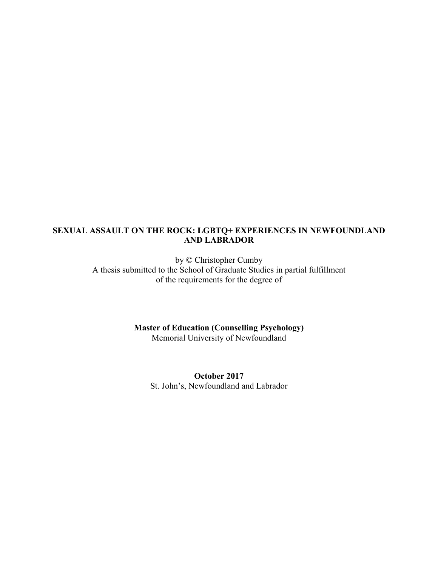## **SEXUAL ASSAULT ON THE ROCK: LGBTQ+ EXPERIENCES IN NEWFOUNDLAND AND LABRADOR**

by © Christopher Cumby A thesis submitted to the School of Graduate Studies in partial fulfillment of the requirements for the degree of

> **Master of Education (Counselling Psychology)** Memorial University of Newfoundland

**October 2017** St. John's, Newfoundland and Labrador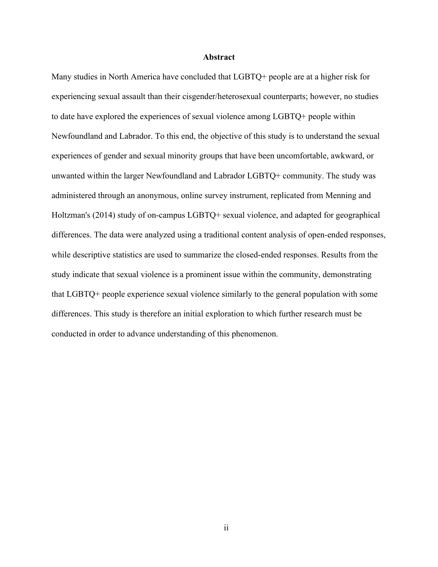#### **Abstract**

Many studies in North America have concluded that LGBTQ+ people are at a higher risk for experiencing sexual assault than their cisgender/heterosexual counterparts; however, no studies to date have explored the experiences of sexual violence among LGBTQ+ people within Newfoundland and Labrador. To this end, the objective of this study is to understand the sexual experiences of gender and sexual minority groups that have been uncomfortable, awkward, or unwanted within the larger Newfoundland and Labrador LGBTQ+ community. The study was administered through an anonymous, online survey instrument, replicated from Menning and Holtzman's (2014) study of on-campus LGBTQ+ sexual violence, and adapted for geographical differences. The data were analyzed using a traditional content analysis of open-ended responses, while descriptive statistics are used to summarize the closed-ended responses. Results from the study indicate that sexual violence is a prominent issue within the community, demonstrating that LGBTQ+ people experience sexual violence similarly to the general population with some differences. This study is therefore an initial exploration to which further research must be conducted in order to advance understanding of this phenomenon.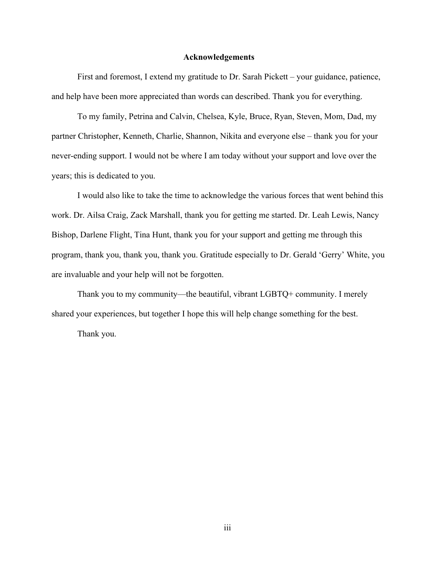### **Acknowledgements**

First and foremost, I extend my gratitude to Dr. Sarah Pickett – your guidance, patience, and help have been more appreciated than words can described. Thank you for everything.

To my family, Petrina and Calvin, Chelsea, Kyle, Bruce, Ryan, Steven, Mom, Dad, my partner Christopher, Kenneth, Charlie, Shannon, Nikita and everyone else – thank you for your never-ending support. I would not be where I am today without your support and love over the years; this is dedicated to you.

I would also like to take the time to acknowledge the various forces that went behind this work. Dr. Ailsa Craig, Zack Marshall, thank you for getting me started. Dr. Leah Lewis, Nancy Bishop, Darlene Flight, Tina Hunt, thank you for your support and getting me through this program, thank you, thank you, thank you. Gratitude especially to Dr. Gerald 'Gerry' White, you are invaluable and your help will not be forgotten.

Thank you to my community—the beautiful, vibrant LGBTQ+ community. I merely shared your experiences, but together I hope this will help change something for the best.

Thank you.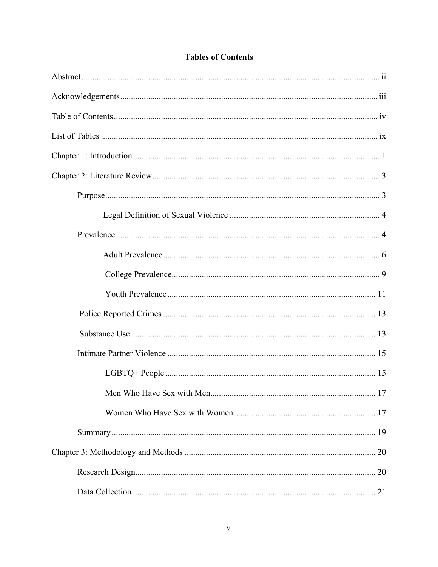# **Tables of Contents**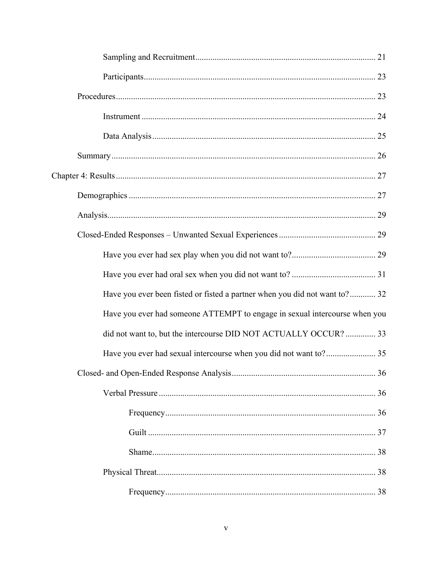| Have you ever been fisted or fisted a partner when you did not want to? 32 |  |
|----------------------------------------------------------------------------|--|
| Have you ever had someone ATTEMPT to engage in sexual intercourse when you |  |
| did not want to, but the intercourse DID NOT ACTUALLY OCCUR?  33           |  |
|                                                                            |  |
|                                                                            |  |
|                                                                            |  |
|                                                                            |  |
|                                                                            |  |
|                                                                            |  |
|                                                                            |  |
|                                                                            |  |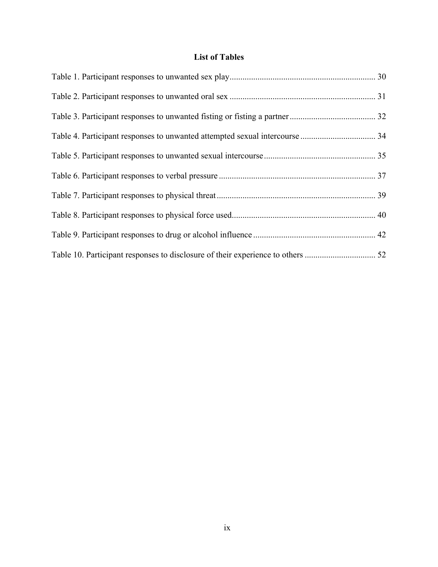# **List of Tables**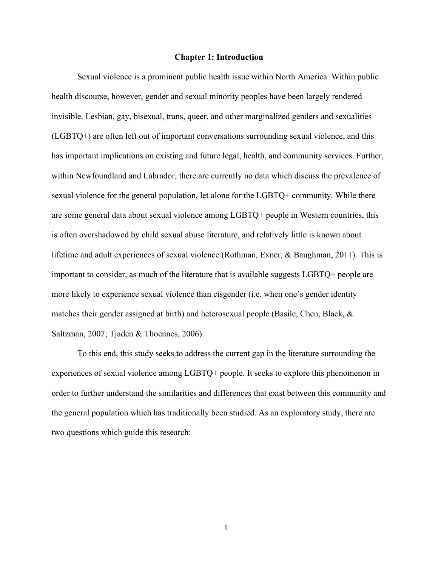## **Chapter 1: Introduction**

 Sexual violence is a prominent public health issue within North America. Within public health discourse, however, gender and sexual minority peoples have been largely rendered invisible. Lesbian, gay, bisexual, trans, queer, and other marginalized genders and sexualities (LGBTQ+) are often left out of important conversations surrounding sexual violence, and this has important implications on existing and future legal, health, and community services. Further, within Newfoundland and Labrador, there are currently no data which discuss the prevalence of sexual violence for the general population, let alone for the LGBTQ+ community. While there are some general data about sexual violence among LGBTQ+ people in Western countries, this is often overshadowed by child sexual abuse literature, and relatively little is known about lifetime and adult experiences of sexual violence (Rothman, Exner, & Baughman, 2011). This is important to consider, as much of the literature that is available suggests LGBTQ+ people are more likely to experience sexual violence than cisgender (i.e. when one's gender identity matches their gender assigned at birth) and heterosexual people (Basile, Chen, Black, & Saltzman, 2007; Tjaden & Thoennes, 2006).

 To this end, this study seeks to address the current gap in the literature surrounding the experiences of sexual violence among LGBTQ+ people. It seeks to explore this phenomenon in order to further understand the similarities and differences that exist between this community and the general population which has traditionally been studied. As an exploratory study, there are two questions which guide this research: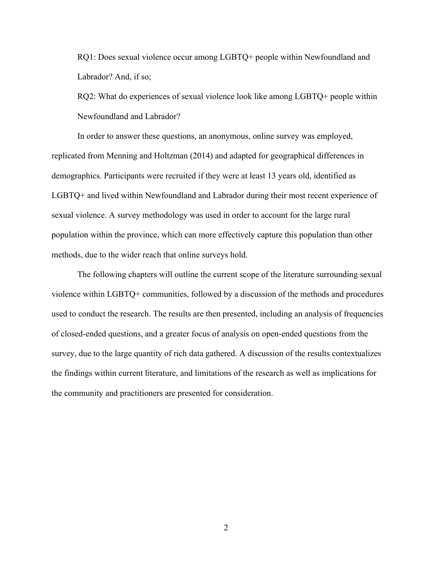RQ1: Does sexual violence occur among LGBTQ+ people within Newfoundland and Labrador? And, if so;

RQ2: What do experiences of sexual violence look like among LGBTQ+ people within Newfoundland and Labrador?

 In order to answer these questions, an anonymous, online survey was employed, replicated from Menning and Holtzman (2014) and adapted for geographical differences in demographics. Participants were recruited if they were at least 13 years old, identified as LGBTQ+ and lived within Newfoundland and Labrador during their most recent experience of sexual violence. A survey methodology was used in order to account for the large rural population within the province, which can more effectively capture this population than other methods, due to the wider reach that online surveys hold.

 The following chapters will outline the current scope of the literature surrounding sexual violence within LGBTQ+ communities, followed by a discussion of the methods and procedures used to conduct the research. The results are then presented, including an analysis of frequencies of closed-ended questions, and a greater focus of analysis on open-ended questions from the survey, due to the large quantity of rich data gathered. A discussion of the results contextualizes the findings within current literature, and limitations of the research as well as implications for the community and practitioners are presented for consideration.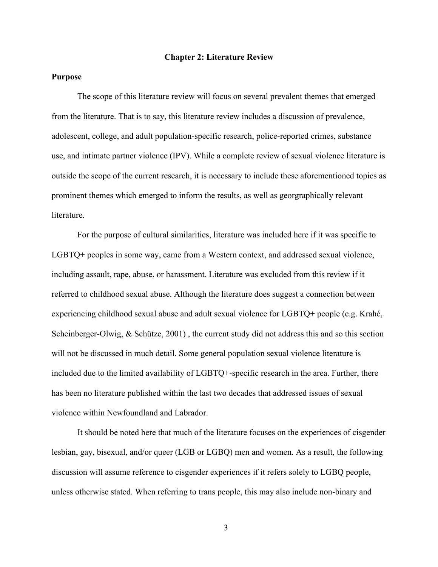#### **Chapter 2: Literature Review**

## **Purpose**

The scope of this literature review will focus on several prevalent themes that emerged from the literature. That is to say, this literature review includes a discussion of prevalence, adolescent, college, and adult population-specific research, police-reported crimes, substance use, and intimate partner violence (IPV). While a complete review of sexual violence literature is outside the scope of the current research, it is necessary to include these aforementioned topics as prominent themes which emerged to inform the results, as well as georgraphically relevant **literature** 

For the purpose of cultural similarities, literature was included here if it was specific to LGBTQ+ peoples in some way, came from a Western context, and addressed sexual violence, including assault, rape, abuse, or harassment. Literature was excluded from this review if it referred to childhood sexual abuse. Although the literature does suggest a connection between experiencing childhood sexual abuse and adult sexual violence for LGBTQ+ people (e.g. Krahé, Scheinberger-Olwig, & Schütze, 2001) , the current study did not address this and so this section will not be discussed in much detail. Some general population sexual violence literature is included due to the limited availability of LGBTQ+-specific research in the area. Further, there has been no literature published within the last two decades that addressed issues of sexual violence within Newfoundland and Labrador.

It should be noted here that much of the literature focuses on the experiences of cisgender lesbian, gay, bisexual, and/or queer (LGB or LGBQ) men and women. As a result, the following discussion will assume reference to cisgender experiences if it refers solely to LGBQ people, unless otherwise stated. When referring to trans people, this may also include non-binary and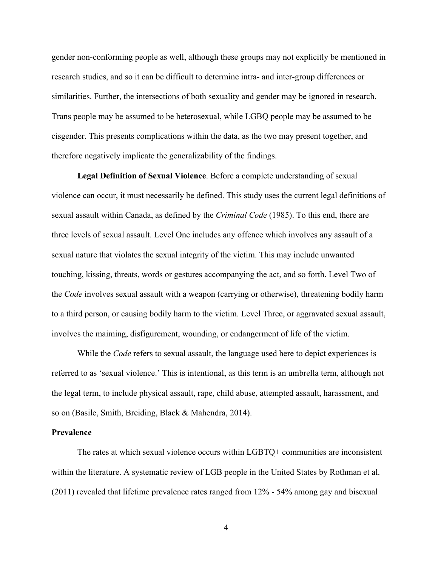gender non-conforming people as well, although these groups may not explicitly be mentioned in research studies, and so it can be difficult to determine intra- and inter-group differences or similarities. Further, the intersections of both sexuality and gender may be ignored in research. Trans people may be assumed to be heterosexual, while LGBQ people may be assumed to be cisgender. This presents complications within the data, as the two may present together, and therefore negatively implicate the generalizability of the findings.

**Legal Definition of Sexual Violence**. Before a complete understanding of sexual violence can occur, it must necessarily be defined. This study uses the current legal definitions of sexual assault within Canada, as defined by the *Criminal Code* (1985). To this end, there are three levels of sexual assault. Level One includes any offence which involves any assault of a sexual nature that violates the sexual integrity of the victim. This may include unwanted touching, kissing, threats, words or gestures accompanying the act, and so forth. Level Two of the *Code* involves sexual assault with a weapon (carrying or otherwise), threatening bodily harm to a third person, or causing bodily harm to the victim. Level Three, or aggravated sexual assault, involves the maiming, disfigurement, wounding, or endangerment of life of the victim.

While the *Code* refers to sexual assault, the language used here to depict experiences is referred to as 'sexual violence.' This is intentional, as this term is an umbrella term, although not the legal term, to include physical assault, rape, child abuse, attempted assault, harassment, and so on (Basile, Smith, Breiding, Black & Mahendra, 2014).

### **Prevalence**

 The rates at which sexual violence occurs within LGBTQ+ communities are inconsistent within the literature. A systematic review of LGB people in the United States by Rothman et al. (2011) revealed that lifetime prevalence rates ranged from 12% - 54% among gay and bisexual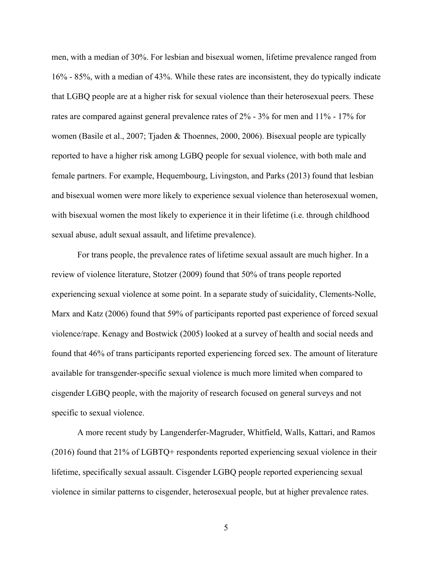men, with a median of 30%. For lesbian and bisexual women, lifetime prevalence ranged from 16% - 85%, with a median of 43%. While these rates are inconsistent, they do typically indicate that LGBQ people are at a higher risk for sexual violence than their heterosexual peers. These rates are compared against general prevalence rates of 2% - 3% for men and 11% - 17% for women (Basile et al., 2007; Tjaden & Thoennes, 2000, 2006). Bisexual people are typically reported to have a higher risk among LGBQ people for sexual violence, with both male and female partners. For example, Hequembourg, Livingston, and Parks (2013) found that lesbian and bisexual women were more likely to experience sexual violence than heterosexual women, with bisexual women the most likely to experience it in their lifetime (i.e. through childhood sexual abuse, adult sexual assault, and lifetime prevalence).

 For trans people, the prevalence rates of lifetime sexual assault are much higher. In a review of violence literature, Stotzer (2009) found that 50% of trans people reported experiencing sexual violence at some point. In a separate study of suicidality, Clements-Nolle, Marx and Katz (2006) found that 59% of participants reported past experience of forced sexual violence/rape. Kenagy and Bostwick (2005) looked at a survey of health and social needs and found that 46% of trans participants reported experiencing forced sex. The amount of literature available for transgender-specific sexual violence is much more limited when compared to cisgender LGBQ people, with the majority of research focused on general surveys and not specific to sexual violence.

 A more recent study by Langenderfer-Magruder, Whitfield, Walls, Kattari, and Ramos (2016) found that 21% of LGBTQ+ respondents reported experiencing sexual violence in their lifetime, specifically sexual assault. Cisgender LGBQ people reported experiencing sexual violence in similar patterns to cisgender, heterosexual people, but at higher prevalence rates.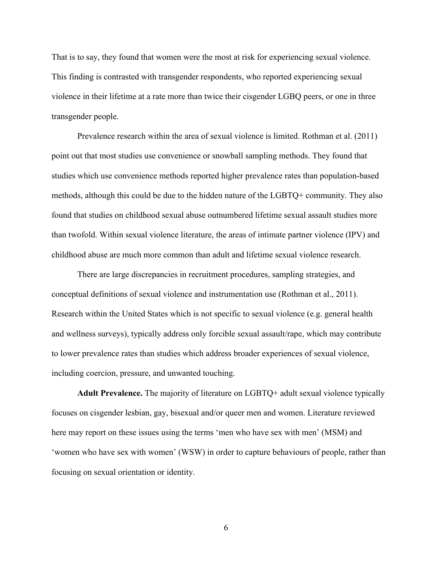That is to say, they found that women were the most at risk for experiencing sexual violence. This finding is contrasted with transgender respondents, who reported experiencing sexual violence in their lifetime at a rate more than twice their cisgender LGBQ peers, or one in three transgender people.

 Prevalence research within the area of sexual violence is limited. Rothman et al. (2011) point out that most studies use convenience or snowball sampling methods. They found that studies which use convenience methods reported higher prevalence rates than population-based methods, although this could be due to the hidden nature of the LGBTQ+ community. They also found that studies on childhood sexual abuse outnumbered lifetime sexual assault studies more than twofold. Within sexual violence literature, the areas of intimate partner violence (IPV) and childhood abuse are much more common than adult and lifetime sexual violence research.

There are large discrepancies in recruitment procedures, sampling strategies, and conceptual definitions of sexual violence and instrumentation use (Rothman et al., 2011). Research within the United States which is not specific to sexual violence (e.g. general health and wellness surveys), typically address only forcible sexual assault/rape, which may contribute to lower prevalence rates than studies which address broader experiences of sexual violence, including coercion, pressure, and unwanted touching.

 **Adult Prevalence.** The majority of literature on LGBTQ+ adult sexual violence typically focuses on cisgender lesbian, gay, bisexual and/or queer men and women. Literature reviewed here may report on these issues using the terms 'men who have sex with men' (MSM) and 'women who have sex with women' (WSW) in order to capture behaviours of people, rather than focusing on sexual orientation or identity.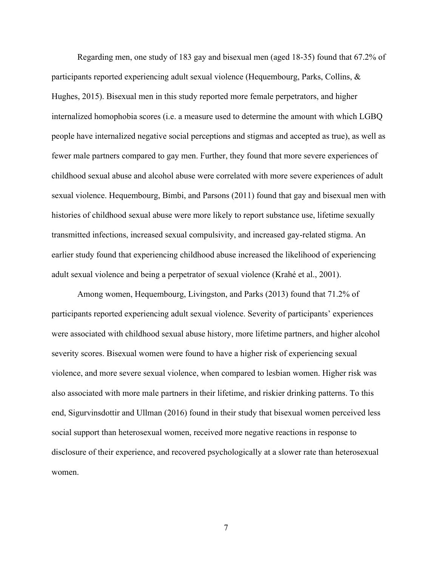Regarding men, one study of 183 gay and bisexual men (aged 18-35) found that 67.2% of participants reported experiencing adult sexual violence (Hequembourg, Parks, Collins, & Hughes, 2015). Bisexual men in this study reported more female perpetrators, and higher internalized homophobia scores (i.e. a measure used to determine the amount with which LGBQ people have internalized negative social perceptions and stigmas and accepted as true), as well as fewer male partners compared to gay men. Further, they found that more severe experiences of childhood sexual abuse and alcohol abuse were correlated with more severe experiences of adult sexual violence. Hequembourg, Bimbi, and Parsons (2011) found that gay and bisexual men with histories of childhood sexual abuse were more likely to report substance use, lifetime sexually transmitted infections, increased sexual compulsivity, and increased gay-related stigma. An earlier study found that experiencing childhood abuse increased the likelihood of experiencing adult sexual violence and being a perpetrator of sexual violence (Krahé et al., 2001).

 Among women, Hequembourg, Livingston, and Parks (2013) found that 71.2% of participants reported experiencing adult sexual violence. Severity of participants' experiences were associated with childhood sexual abuse history, more lifetime partners, and higher alcohol severity scores. Bisexual women were found to have a higher risk of experiencing sexual violence, and more severe sexual violence, when compared to lesbian women. Higher risk was also associated with more male partners in their lifetime, and riskier drinking patterns. To this end, Sigurvinsdottir and Ullman (2016) found in their study that bisexual women perceived less social support than heterosexual women, received more negative reactions in response to disclosure of their experience, and recovered psychologically at a slower rate than heterosexual women.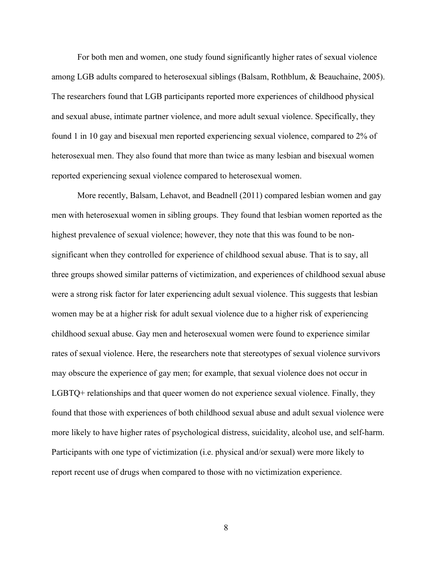For both men and women, one study found significantly higher rates of sexual violence among LGB adults compared to heterosexual siblings (Balsam, Rothblum, & Beauchaine, 2005). The researchers found that LGB participants reported more experiences of childhood physical and sexual abuse, intimate partner violence, and more adult sexual violence. Specifically, they found 1 in 10 gay and bisexual men reported experiencing sexual violence, compared to 2% of heterosexual men. They also found that more than twice as many lesbian and bisexual women reported experiencing sexual violence compared to heterosexual women.

 More recently, Balsam, Lehavot, and Beadnell (2011) compared lesbian women and gay men with heterosexual women in sibling groups. They found that lesbian women reported as the highest prevalence of sexual violence; however, they note that this was found to be nonsignificant when they controlled for experience of childhood sexual abuse. That is to say, all three groups showed similar patterns of victimization, and experiences of childhood sexual abuse were a strong risk factor for later experiencing adult sexual violence. This suggests that lesbian women may be at a higher risk for adult sexual violence due to a higher risk of experiencing childhood sexual abuse. Gay men and heterosexual women were found to experience similar rates of sexual violence. Here, the researchers note that stereotypes of sexual violence survivors may obscure the experience of gay men; for example, that sexual violence does not occur in LGBTQ+ relationships and that queer women do not experience sexual violence. Finally, they found that those with experiences of both childhood sexual abuse and adult sexual violence were more likely to have higher rates of psychological distress, suicidality, alcohol use, and self-harm. Participants with one type of victimization (i.e. physical and/or sexual) were more likely to report recent use of drugs when compared to those with no victimization experience.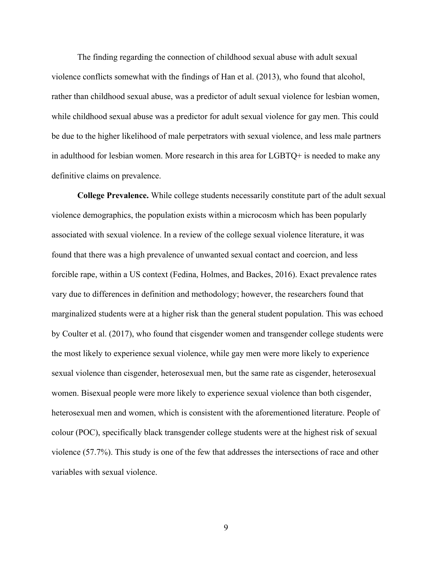The finding regarding the connection of childhood sexual abuse with adult sexual violence conflicts somewhat with the findings of Han et al. (2013), who found that alcohol, rather than childhood sexual abuse, was a predictor of adult sexual violence for lesbian women, while childhood sexual abuse was a predictor for adult sexual violence for gay men. This could be due to the higher likelihood of male perpetrators with sexual violence, and less male partners in adulthood for lesbian women. More research in this area for LGBTQ+ is needed to make any definitive claims on prevalence.

 **College Prevalence.** While college students necessarily constitute part of the adult sexual violence demographics, the population exists within a microcosm which has been popularly associated with sexual violence. In a review of the college sexual violence literature, it was found that there was a high prevalence of unwanted sexual contact and coercion, and less forcible rape, within a US context (Fedina, Holmes, and Backes, 2016). Exact prevalence rates vary due to differences in definition and methodology; however, the researchers found that marginalized students were at a higher risk than the general student population. This was echoed by Coulter et al. (2017), who found that cisgender women and transgender college students were the most likely to experience sexual violence, while gay men were more likely to experience sexual violence than cisgender, heterosexual men, but the same rate as cisgender, heterosexual women. Bisexual people were more likely to experience sexual violence than both cisgender, heterosexual men and women, which is consistent with the aforementioned literature. People of colour (POC), specifically black transgender college students were at the highest risk of sexual violence (57.7%). This study is one of the few that addresses the intersections of race and other variables with sexual violence.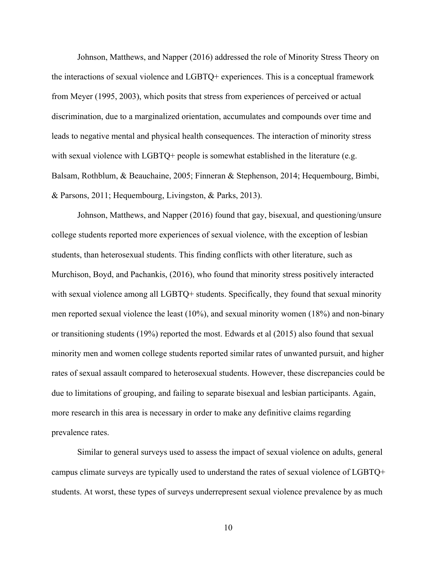Johnson, Matthews, and Napper (2016) addressed the role of Minority Stress Theory on the interactions of sexual violence and LGBTQ+ experiences. This is a conceptual framework from Meyer (1995, 2003), which posits that stress from experiences of perceived or actual discrimination, due to a marginalized orientation, accumulates and compounds over time and leads to negative mental and physical health consequences. The interaction of minority stress with sexual violence with LGBTQ+ people is somewhat established in the literature (e.g. Balsam, Rothblum, & Beauchaine, 2005; Finneran & Stephenson, 2014; Hequembourg, Bimbi, & Parsons, 2011; Hequembourg, Livingston, & Parks, 2013).

Johnson, Matthews, and Napper (2016) found that gay, bisexual, and questioning/unsure college students reported more experiences of sexual violence, with the exception of lesbian students, than heterosexual students. This finding conflicts with other literature, such as Murchison, Boyd, and Pachankis, (2016), who found that minority stress positively interacted with sexual violence among all LGBTQ+ students. Specifically, they found that sexual minority men reported sexual violence the least (10%), and sexual minority women (18%) and non-binary or transitioning students (19%) reported the most. Edwards et al (2015) also found that sexual minority men and women college students reported similar rates of unwanted pursuit, and higher rates of sexual assault compared to heterosexual students. However, these discrepancies could be due to limitations of grouping, and failing to separate bisexual and lesbian participants. Again, more research in this area is necessary in order to make any definitive claims regarding prevalence rates.

Similar to general surveys used to assess the impact of sexual violence on adults, general campus climate surveys are typically used to understand the rates of sexual violence of LGBTQ+ students. At worst, these types of surveys underrepresent sexual violence prevalence by as much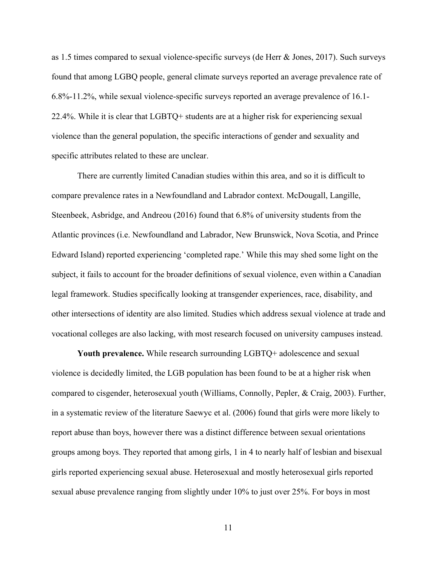as 1.5 times compared to sexual violence-specific surveys (de Herr & Jones, 2017). Such surveys found that among LGBQ people, general climate surveys reported an average prevalence rate of 6.8%-11.2%, while sexual violence-specific surveys reported an average prevalence of 16.1- 22.4%. While it is clear that LGBTQ+ students are at a higher risk for experiencing sexual violence than the general population, the specific interactions of gender and sexuality and specific attributes related to these are unclear.

There are currently limited Canadian studies within this area, and so it is difficult to compare prevalence rates in a Newfoundland and Labrador context. McDougall, Langille, Steenbeek, Asbridge, and Andreou (2016) found that 6.8% of university students from the Atlantic provinces (i.e. Newfoundland and Labrador, New Brunswick, Nova Scotia, and Prince Edward Island) reported experiencing 'completed rape.' While this may shed some light on the subject, it fails to account for the broader definitions of sexual violence, even within a Canadian legal framework. Studies specifically looking at transgender experiences, race, disability, and other intersections of identity are also limited. Studies which address sexual violence at trade and vocational colleges are also lacking, with most research focused on university campuses instead.

**Youth prevalence.** While research surrounding LGBTQ+ adolescence and sexual violence is decidedly limited, the LGB population has been found to be at a higher risk when compared to cisgender, heterosexual youth (Williams, Connolly, Pepler, & Craig, 2003). Further, in a systematic review of the literature Saewyc et al. (2006) found that girls were more likely to report abuse than boys, however there was a distinct difference between sexual orientations groups among boys. They reported that among girls, 1 in 4 to nearly half of lesbian and bisexual girls reported experiencing sexual abuse. Heterosexual and mostly heterosexual girls reported sexual abuse prevalence ranging from slightly under 10% to just over 25%. For boys in most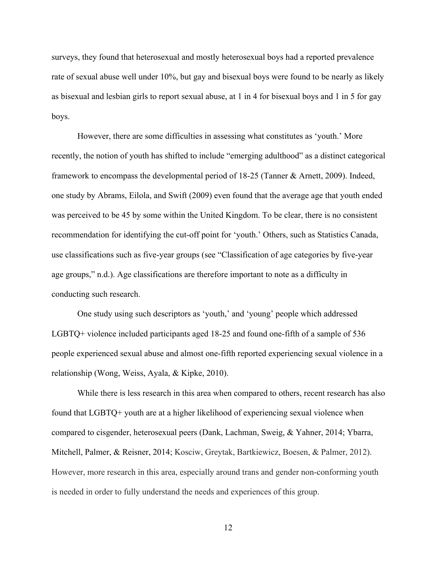surveys, they found that heterosexual and mostly heterosexual boys had a reported prevalence rate of sexual abuse well under 10%, but gay and bisexual boys were found to be nearly as likely as bisexual and lesbian girls to report sexual abuse, at 1 in 4 for bisexual boys and 1 in 5 for gay boys.

However, there are some difficulties in assessing what constitutes as 'youth.' More recently, the notion of youth has shifted to include "emerging adulthood" as a distinct categorical framework to encompass the developmental period of 18-25 (Tanner & Arnett, 2009). Indeed, one study by Abrams, Eilola, and Swift (2009) even found that the average age that youth ended was perceived to be 45 by some within the United Kingdom. To be clear, there is no consistent recommendation for identifying the cut-off point for 'youth.' Others, such as Statistics Canada, use classifications such as five-year groups (see "Classification of age categories by five-year age groups," n.d.). Age classifications are therefore important to note as a difficulty in conducting such research.

One study using such descriptors as 'youth,' and 'young' people which addressed LGBTQ+ violence included participants aged 18-25 and found one-fifth of a sample of 536 people experienced sexual abuse and almost one-fifth reported experiencing sexual violence in a relationship (Wong, Weiss, Ayala, & Kipke, 2010).

While there is less research in this area when compared to others, recent research has also found that LGBTQ+ youth are at a higher likelihood of experiencing sexual violence when compared to cisgender, heterosexual peers (Dank, Lachman, Sweig, & Yahner, 2014; Ybarra, Mitchell, Palmer, & Reisner, 2014; Kosciw, Greytak, Bartkiewicz, Boesen, & Palmer, 2012). However, more research in this area, especially around trans and gender non-conforming youth is needed in order to fully understand the needs and experiences of this group.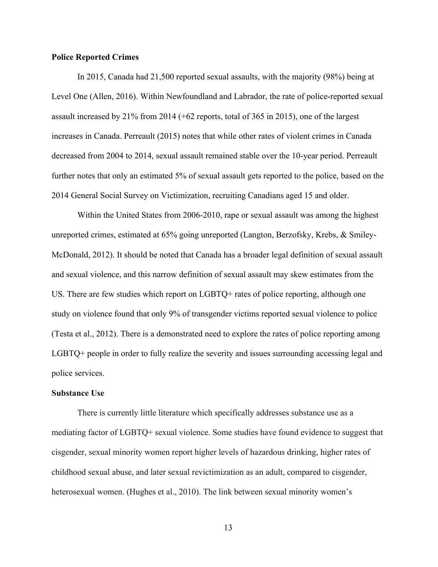## **Police Reported Crimes**

In 2015, Canada had 21,500 reported sexual assaults, with the majority (98%) being at Level One (Allen, 2016). Within Newfoundland and Labrador, the rate of police-reported sexual assault increased by 21% from 2014 (+62 reports, total of 365 in 2015), one of the largest increases in Canada. Perreault (2015) notes that while other rates of violent crimes in Canada decreased from 2004 to 2014, sexual assault remained stable over the 10-year period. Perreault further notes that only an estimated 5% of sexual assault gets reported to the police, based on the 2014 General Social Survey on Victimization, recruiting Canadians aged 15 and older.

 Within the United States from 2006-2010, rape or sexual assault was among the highest unreported crimes, estimated at 65% going unreported (Langton, Berzofsky, Krebs, & Smiley-McDonald, 2012). It should be noted that Canada has a broader legal definition of sexual assault and sexual violence, and this narrow definition of sexual assault may skew estimates from the US. There are few studies which report on LGBTQ+ rates of police reporting, although one study on violence found that only 9% of transgender victims reported sexual violence to police (Testa et al., 2012). There is a demonstrated need to explore the rates of police reporting among LGBTQ+ people in order to fully realize the severity and issues surrounding accessing legal and police services.

#### **Substance Use**

There is currently little literature which specifically addresses substance use as a mediating factor of LGBTQ+ sexual violence. Some studies have found evidence to suggest that cisgender, sexual minority women report higher levels of hazardous drinking, higher rates of childhood sexual abuse, and later sexual revictimization as an adult, compared to cisgender, heterosexual women. (Hughes et al., 2010). The link between sexual minority women's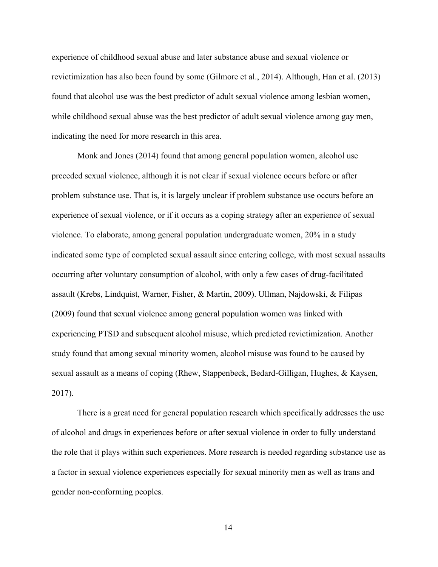experience of childhood sexual abuse and later substance abuse and sexual violence or revictimization has also been found by some (Gilmore et al., 2014). Although, Han et al. (2013) found that alcohol use was the best predictor of adult sexual violence among lesbian women, while childhood sexual abuse was the best predictor of adult sexual violence among gay men, indicating the need for more research in this area.

Monk and Jones (2014) found that among general population women, alcohol use preceded sexual violence, although it is not clear if sexual violence occurs before or after problem substance use. That is, it is largely unclear if problem substance use occurs before an experience of sexual violence, or if it occurs as a coping strategy after an experience of sexual violence. To elaborate, among general population undergraduate women, 20% in a study indicated some type of completed sexual assault since entering college, with most sexual assaults occurring after voluntary consumption of alcohol, with only a few cases of drug-facilitated assault (Krebs, Lindquist, Warner, Fisher, & Martin, 2009). Ullman, Najdowski, & Filipas (2009) found that sexual violence among general population women was linked with experiencing PTSD and subsequent alcohol misuse, which predicted revictimization. Another study found that among sexual minority women, alcohol misuse was found to be caused by sexual assault as a means of coping (Rhew, Stappenbeck, Bedard-Gilligan, Hughes, & Kaysen, 2017).

There is a great need for general population research which specifically addresses the use of alcohol and drugs in experiences before or after sexual violence in order to fully understand the role that it plays within such experiences. More research is needed regarding substance use as a factor in sexual violence experiences especially for sexual minority men as well as trans and gender non-conforming peoples.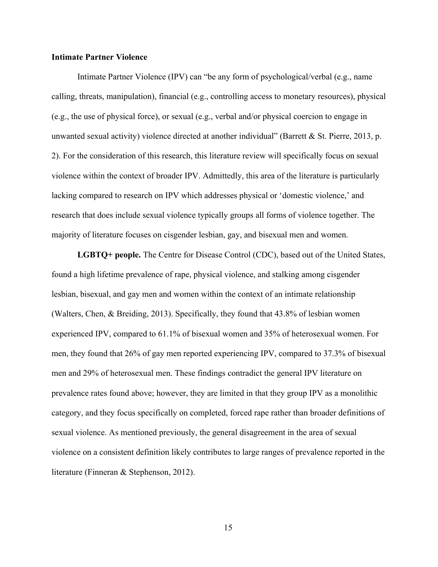### **Intimate Partner Violence**

Intimate Partner Violence (IPV) can "be any form of psychological/verbal (e.g., name calling, threats, manipulation), financial (e.g., controlling access to monetary resources), physical (e.g., the use of physical force), or sexual (e.g., verbal and/or physical coercion to engage in unwanted sexual activity) violence directed at another individual" (Barrett & St. Pierre, 2013, p. 2). For the consideration of this research, this literature review will specifically focus on sexual violence within the context of broader IPV. Admittedly, this area of the literature is particularly lacking compared to research on IPV which addresses physical or 'domestic violence,' and research that does include sexual violence typically groups all forms of violence together. The majority of literature focuses on cisgender lesbian, gay, and bisexual men and women.

**LGBTQ+ people.** The Centre for Disease Control (CDC), based out of the United States, found a high lifetime prevalence of rape, physical violence, and stalking among cisgender lesbian, bisexual, and gay men and women within the context of an intimate relationship (Walters, Chen, & Breiding, 2013). Specifically, they found that 43.8% of lesbian women experienced IPV, compared to 61.1% of bisexual women and 35% of heterosexual women. For men, they found that 26% of gay men reported experiencing IPV, compared to 37.3% of bisexual men and 29% of heterosexual men. These findings contradict the general IPV literature on prevalence rates found above; however, they are limited in that they group IPV as a monolithic category, and they focus specifically on completed, forced rape rather than broader definitions of sexual violence. As mentioned previously, the general disagreement in the area of sexual violence on a consistent definition likely contributes to large ranges of prevalence reported in the literature (Finneran & Stephenson, 2012).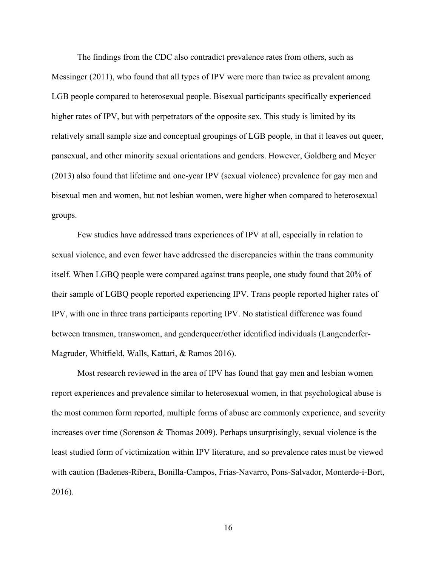The findings from the CDC also contradict prevalence rates from others, such as Messinger (2011), who found that all types of IPV were more than twice as prevalent among LGB people compared to heterosexual people. Bisexual participants specifically experienced higher rates of IPV, but with perpetrators of the opposite sex. This study is limited by its relatively small sample size and conceptual groupings of LGB people, in that it leaves out queer, pansexual, and other minority sexual orientations and genders. However, Goldberg and Meyer (2013) also found that lifetime and one-year IPV (sexual violence) prevalence for gay men and bisexual men and women, but not lesbian women, were higher when compared to heterosexual groups.

Few studies have addressed trans experiences of IPV at all, especially in relation to sexual violence, and even fewer have addressed the discrepancies within the trans community itself. When LGBQ people were compared against trans people, one study found that 20% of their sample of LGBQ people reported experiencing IPV. Trans people reported higher rates of IPV, with one in three trans participants reporting IPV. No statistical difference was found between transmen, transwomen, and genderqueer/other identified individuals (Langenderfer-Magruder, Whitfield, Walls, Kattari, & Ramos 2016).

Most research reviewed in the area of IPV has found that gay men and lesbian women report experiences and prevalence similar to heterosexual women, in that psychological abuse is the most common form reported, multiple forms of abuse are commonly experience, and severity increases over time (Sorenson  $\&$  Thomas 2009). Perhaps unsurprisingly, sexual violence is the least studied form of victimization within IPV literature, and so prevalence rates must be viewed with caution (Badenes-Ribera, Bonilla-Campos, Frias-Navarro, Pons-Salvador, Monterde-i-Bort, 2016).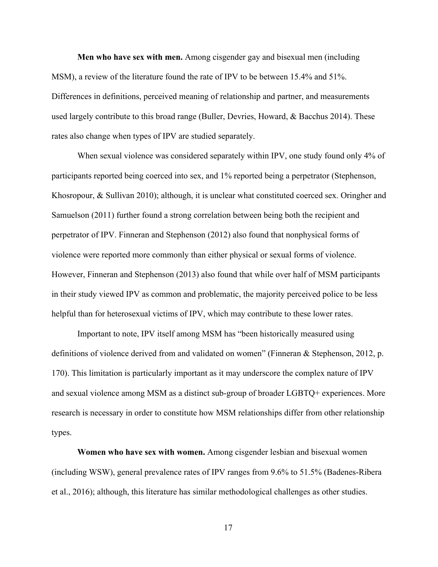**Men who have sex with men.** Among cisgender gay and bisexual men (including MSM), a review of the literature found the rate of IPV to be between 15.4% and 51%. Differences in definitions, perceived meaning of relationship and partner, and measurements used largely contribute to this broad range (Buller, Devries, Howard, & Bacchus 2014). These rates also change when types of IPV are studied separately.

When sexual violence was considered separately within IPV, one study found only 4% of participants reported being coerced into sex, and 1% reported being a perpetrator (Stephenson, Khosropour, & Sullivan 2010); although, it is unclear what constituted coerced sex. Oringher and Samuelson (2011) further found a strong correlation between being both the recipient and perpetrator of IPV. Finneran and Stephenson (2012) also found that nonphysical forms of violence were reported more commonly than either physical or sexual forms of violence. However, Finneran and Stephenson (2013) also found that while over half of MSM participants in their study viewed IPV as common and problematic, the majority perceived police to be less helpful than for heterosexual victims of IPV, which may contribute to these lower rates.

Important to note, IPV itself among MSM has "been historically measured using definitions of violence derived from and validated on women" (Finneran & Stephenson, 2012, p. 170). This limitation is particularly important as it may underscore the complex nature of IPV and sexual violence among MSM as a distinct sub-group of broader LGBTQ+ experiences. More research is necessary in order to constitute how MSM relationships differ from other relationship types.

**Women who have sex with women.** Among cisgender lesbian and bisexual women (including WSW), general prevalence rates of IPV ranges from 9.6% to 51.5% (Badenes-Ribera et al., 2016); although, this literature has similar methodological challenges as other studies.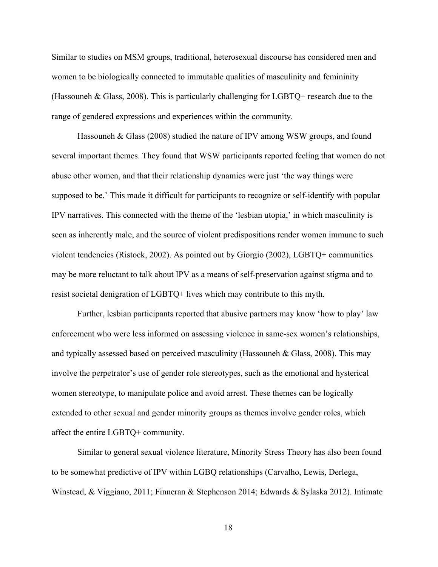Similar to studies on MSM groups, traditional, heterosexual discourse has considered men and women to be biologically connected to immutable qualities of masculinity and femininity (Hassouneh & Glass, 2008). This is particularly challenging for LGBTQ+ research due to the range of gendered expressions and experiences within the community.

Hassouneh & Glass (2008) studied the nature of IPV among WSW groups, and found several important themes. They found that WSW participants reported feeling that women do not abuse other women, and that their relationship dynamics were just 'the way things were supposed to be.' This made it difficult for participants to recognize or self-identify with popular IPV narratives. This connected with the theme of the 'lesbian utopia,' in which masculinity is seen as inherently male, and the source of violent predispositions render women immune to such violent tendencies (Ristock, 2002). As pointed out by Giorgio (2002), LGBTQ+ communities may be more reluctant to talk about IPV as a means of self-preservation against stigma and to resist societal denigration of LGBTQ+ lives which may contribute to this myth.

Further, lesbian participants reported that abusive partners may know 'how to play' law enforcement who were less informed on assessing violence in same-sex women's relationships, and typically assessed based on perceived masculinity (Hassouneh  $&$  Glass, 2008). This may involve the perpetrator's use of gender role stereotypes, such as the emotional and hysterical women stereotype, to manipulate police and avoid arrest. These themes can be logically extended to other sexual and gender minority groups as themes involve gender roles, which affect the entire LGBTQ+ community.

Similar to general sexual violence literature, Minority Stress Theory has also been found to be somewhat predictive of IPV within LGBQ relationships (Carvalho, Lewis, Derlega, Winstead, & Viggiano, 2011; Finneran & Stephenson 2014; Edwards & Sylaska 2012). Intimate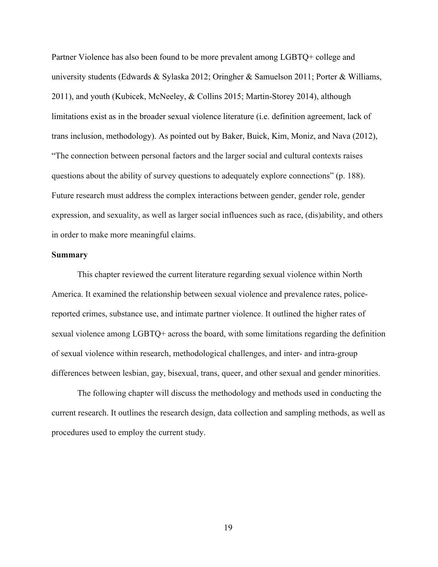Partner Violence has also been found to be more prevalent among LGBTQ+ college and university students (Edwards & Sylaska 2012; Oringher & Samuelson 2011; Porter & Williams, 2011), and youth (Kubicek, McNeeley, & Collins 2015; Martin-Storey 2014), although limitations exist as in the broader sexual violence literature (i.e. definition agreement, lack of trans inclusion, methodology). As pointed out by Baker, Buick, Kim, Moniz, and Nava (2012), "The connection between personal factors and the larger social and cultural contexts raises questions about the ability of survey questions to adequately explore connections" (p. 188). Future research must address the complex interactions between gender, gender role, gender expression, and sexuality, as well as larger social influences such as race, (dis)ability, and others in order to make more meaningful claims.

#### **Summary**

This chapter reviewed the current literature regarding sexual violence within North America. It examined the relationship between sexual violence and prevalence rates, policereported crimes, substance use, and intimate partner violence. It outlined the higher rates of sexual violence among LGBTQ+ across the board, with some limitations regarding the definition of sexual violence within research, methodological challenges, and inter- and intra-group differences between lesbian, gay, bisexual, trans, queer, and other sexual and gender minorities.

The following chapter will discuss the methodology and methods used in conducting the current research. It outlines the research design, data collection and sampling methods, as well as procedures used to employ the current study.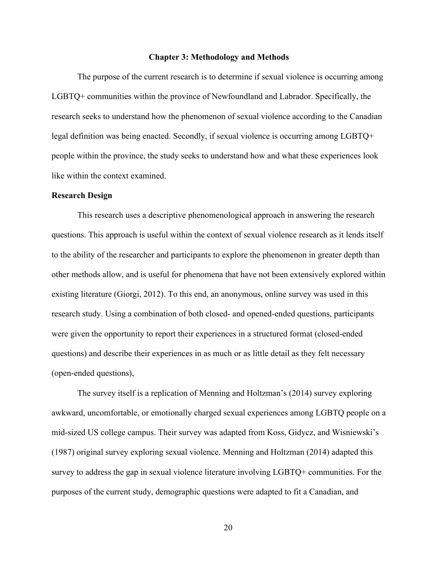#### **Chapter 3: Methodology and Methods**

The purpose of the current research is to determine if sexual violence is occurring among LGBTQ+ communities within the province of Newfoundland and Labrador. Specifically, the research seeks to understand how the phenomenon of sexual violence according to the Canadian legal definition was being enacted. Secondly, if sexual violence is occurring among LGBTQ+ people within the province, the study seeks to understand how and what these experiences look like within the context examined.

### **Research Design**

This research uses a descriptive phenomenological approach in answering the research questions. This approach is useful within the context of sexual violence research as it lends itself to the ability of the researcher and participants to explore the phenomenon in greater depth than other methods allow, and is useful for phenomena that have not been extensively explored within existing literature (Giorgi, 2012). To this end, an anonymous, online survey was used in this research study. Using a combination of both closed- and opened-ended questions, participants were given the opportunity to report their experiences in a structured format (closed-ended questions) and describe their experiences in as much or as little detail as they felt necessary (open-ended questions),

The survey itself is a replication of Menning and Holtzman's (2014) survey exploring awkward, uncomfortable, or emotionally charged sexual experiences among LGBTQ people on a mid-sized US college campus. Their survey was adapted from Koss, Gidycz, and Wisniewski's (1987) original survey exploring sexual violence. Menning and Holtzman (2014) adapted this survey to address the gap in sexual violence literature involving LGBTQ+ communities. For the purposes of the current study, demographic questions were adapted to fit a Canadian, and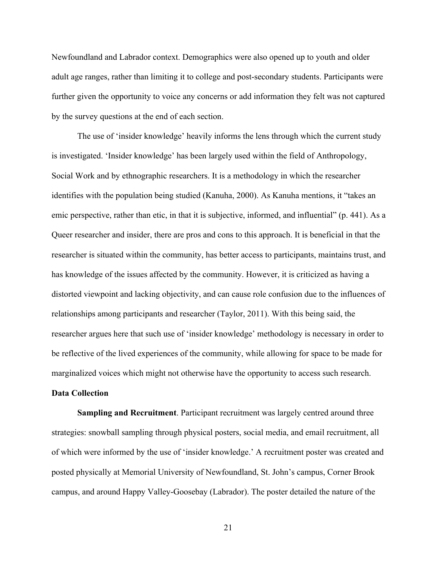Newfoundland and Labrador context. Demographics were also opened up to youth and older adult age ranges, rather than limiting it to college and post-secondary students. Participants were further given the opportunity to voice any concerns or add information they felt was not captured by the survey questions at the end of each section.

The use of 'insider knowledge' heavily informs the lens through which the current study is investigated. 'Insider knowledge' has been largely used within the field of Anthropology, Social Work and by ethnographic researchers. It is a methodology in which the researcher identifies with the population being studied (Kanuha, 2000). As Kanuha mentions, it "takes an emic perspective, rather than etic, in that it is subjective, informed, and influential" (p. 441). As a Queer researcher and insider, there are pros and cons to this approach. It is beneficial in that the researcher is situated within the community, has better access to participants, maintains trust, and has knowledge of the issues affected by the community. However, it is criticized as having a distorted viewpoint and lacking objectivity, and can cause role confusion due to the influences of relationships among participants and researcher (Taylor, 2011). With this being said, the researcher argues here that such use of 'insider knowledge' methodology is necessary in order to be reflective of the lived experiences of the community, while allowing for space to be made for marginalized voices which might not otherwise have the opportunity to access such research.

## **Data Collection**

**Sampling and Recruitment**. Participant recruitment was largely centred around three strategies: snowball sampling through physical posters, social media, and email recruitment, all of which were informed by the use of 'insider knowledge.' A recruitment poster was created and posted physically at Memorial University of Newfoundland, St. John's campus, Corner Brook campus, and around Happy Valley-Goosebay (Labrador). The poster detailed the nature of the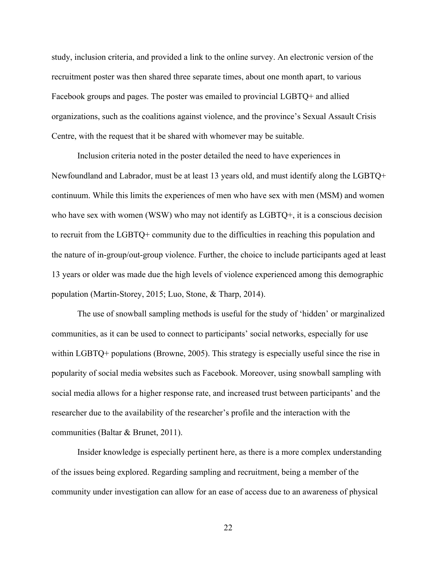study, inclusion criteria, and provided a link to the online survey. An electronic version of the recruitment poster was then shared three separate times, about one month apart, to various Facebook groups and pages. The poster was emailed to provincial LGBTQ+ and allied organizations, such as the coalitions against violence, and the province's Sexual Assault Crisis Centre, with the request that it be shared with whomever may be suitable.

Inclusion criteria noted in the poster detailed the need to have experiences in Newfoundland and Labrador, must be at least 13 years old, and must identify along the LGBTQ+ continuum. While this limits the experiences of men who have sex with men (MSM) and women who have sex with women (WSW) who may not identify as LGBTQ+, it is a conscious decision to recruit from the LGBTQ+ community due to the difficulties in reaching this population and the nature of in-group/out-group violence. Further, the choice to include participants aged at least 13 years or older was made due the high levels of violence experienced among this demographic population (Martin-Storey, 2015; Luo, Stone, & Tharp, 2014).

The use of snowball sampling methods is useful for the study of 'hidden' or marginalized communities, as it can be used to connect to participants' social networks, especially for use within LGBTQ+ populations (Browne, 2005). This strategy is especially useful since the rise in popularity of social media websites such as Facebook. Moreover, using snowball sampling with social media allows for a higher response rate, and increased trust between participants' and the researcher due to the availability of the researcher's profile and the interaction with the communities (Baltar & Brunet, 2011).

Insider knowledge is especially pertinent here, as there is a more complex understanding of the issues being explored. Regarding sampling and recruitment, being a member of the community under investigation can allow for an ease of access due to an awareness of physical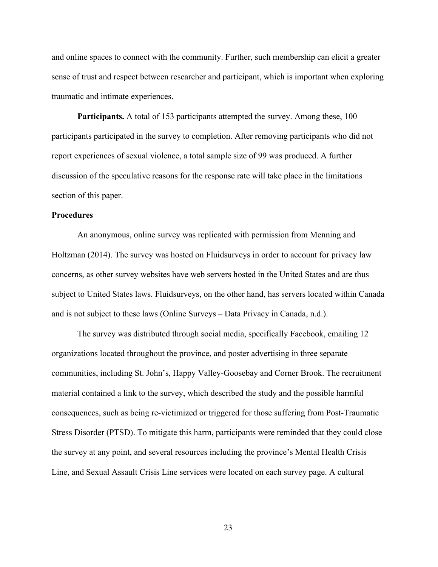and online spaces to connect with the community. Further, such membership can elicit a greater sense of trust and respect between researcher and participant, which is important when exploring traumatic and intimate experiences.

**Participants.** A total of 153 participants attempted the survey. Among these, 100 participants participated in the survey to completion. After removing participants who did not report experiences of sexual violence, a total sample size of 99 was produced. A further discussion of the speculative reasons for the response rate will take place in the limitations section of this paper.

#### **Procedures**

An anonymous, online survey was replicated with permission from Menning and Holtzman (2014). The survey was hosted on Fluidsurveys in order to account for privacy law concerns, as other survey websites have web servers hosted in the United States and are thus subject to United States laws. Fluidsurveys, on the other hand, has servers located within Canada and is not subject to these laws (Online Surveys – Data Privacy in Canada, n.d.).

The survey was distributed through social media, specifically Facebook, emailing 12 organizations located throughout the province, and poster advertising in three separate communities, including St. John's, Happy Valley-Goosebay and Corner Brook. The recruitment material contained a link to the survey, which described the study and the possible harmful consequences, such as being re-victimized or triggered for those suffering from Post-Traumatic Stress Disorder (PTSD). To mitigate this harm, participants were reminded that they could close the survey at any point, and several resources including the province's Mental Health Crisis Line, and Sexual Assault Crisis Line services were located on each survey page. A cultural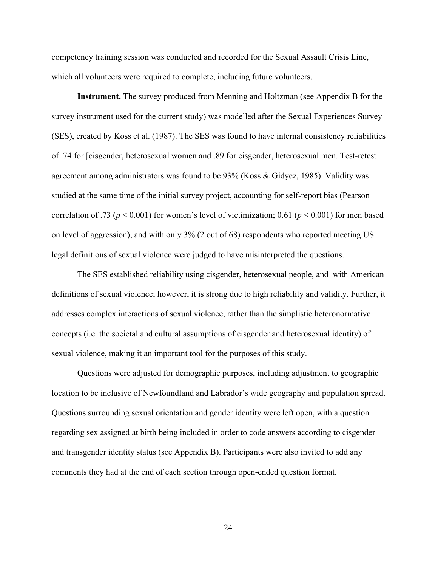competency training session was conducted and recorded for the Sexual Assault Crisis Line, which all volunteers were required to complete, including future volunteers.

**Instrument.** The survey produced from Menning and Holtzman (see Appendix B for the survey instrument used for the current study) was modelled after the Sexual Experiences Survey (SES), created by Koss et al. (1987). The SES was found to have internal consistency reliabilities of .74 for [cisgender, heterosexual women and .89 for cisgender, heterosexual men. Test-retest agreement among administrators was found to be 93% (Koss & Gidycz, 1985). Validity was studied at the same time of the initial survey project, accounting for self-report bias (Pearson correlation of .73 ( $p < 0.001$ ) for women's level of victimization; 0.61 ( $p < 0.001$ ) for men based on level of aggression), and with only 3% (2 out of 68) respondents who reported meeting US legal definitions of sexual violence were judged to have misinterpreted the questions.

The SES established reliability using cisgender, heterosexual people, and with American definitions of sexual violence; however, it is strong due to high reliability and validity. Further, it addresses complex interactions of sexual violence, rather than the simplistic heteronormative concepts (i.e. the societal and cultural assumptions of cisgender and heterosexual identity) of sexual violence, making it an important tool for the purposes of this study.

Questions were adjusted for demographic purposes, including adjustment to geographic location to be inclusive of Newfoundland and Labrador's wide geography and population spread. Questions surrounding sexual orientation and gender identity were left open, with a question regarding sex assigned at birth being included in order to code answers according to cisgender and transgender identity status (see Appendix B). Participants were also invited to add any comments they had at the end of each section through open-ended question format.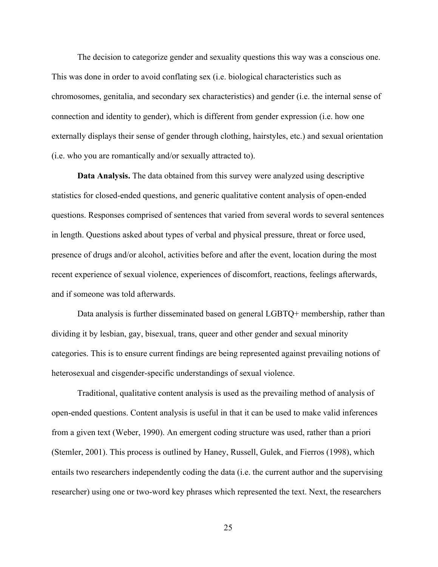The decision to categorize gender and sexuality questions this way was a conscious one. This was done in order to avoid conflating sex (i.e. biological characteristics such as chromosomes, genitalia, and secondary sex characteristics) and gender (i.e. the internal sense of connection and identity to gender), which is different from gender expression (i.e. how one externally displays their sense of gender through clothing, hairstyles, etc.) and sexual orientation (i.e. who you are romantically and/or sexually attracted to).

**Data Analysis.** The data obtained from this survey were analyzed using descriptive statistics for closed-ended questions, and generic qualitative content analysis of open-ended questions. Responses comprised of sentences that varied from several words to several sentences in length. Questions asked about types of verbal and physical pressure, threat or force used, presence of drugs and/or alcohol, activities before and after the event, location during the most recent experience of sexual violence, experiences of discomfort, reactions, feelings afterwards, and if someone was told afterwards.

Data analysis is further disseminated based on general LGBTQ+ membership, rather than dividing it by lesbian, gay, bisexual, trans, queer and other gender and sexual minority categories. This is to ensure current findings are being represented against prevailing notions of heterosexual and cisgender-specific understandings of sexual violence.

Traditional, qualitative content analysis is used as the prevailing method of analysis of open-ended questions. Content analysis is useful in that it can be used to make valid inferences from a given text (Weber, 1990). An emergent coding structure was used, rather than a priori (Stemler, 2001). This process is outlined by Haney, Russell, Gulek, and Fierros (1998), which entails two researchers independently coding the data (i.e. the current author and the supervising researcher) using one or two-word key phrases which represented the text. Next, the researchers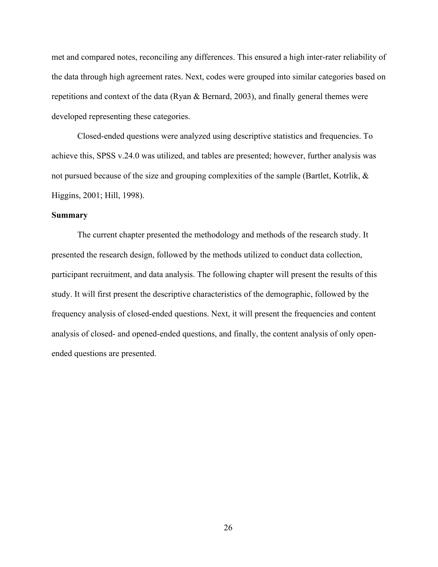met and compared notes, reconciling any differences. This ensured a high inter-rater reliability of the data through high agreement rates. Next, codes were grouped into similar categories based on repetitions and context of the data (Ryan & Bernard, 2003), and finally general themes were developed representing these categories.

Closed-ended questions were analyzed using descriptive statistics and frequencies. To achieve this, SPSS v.24.0 was utilized, and tables are presented; however, further analysis was not pursued because of the size and grouping complexities of the sample (Bartlet, Kotrlik, & Higgins, 2001; Hill, 1998).

### **Summary**

The current chapter presented the methodology and methods of the research study. It presented the research design, followed by the methods utilized to conduct data collection, participant recruitment, and data analysis. The following chapter will present the results of this study. It will first present the descriptive characteristics of the demographic, followed by the frequency analysis of closed-ended questions. Next, it will present the frequencies and content analysis of closed- and opened-ended questions, and finally, the content analysis of only openended questions are presented.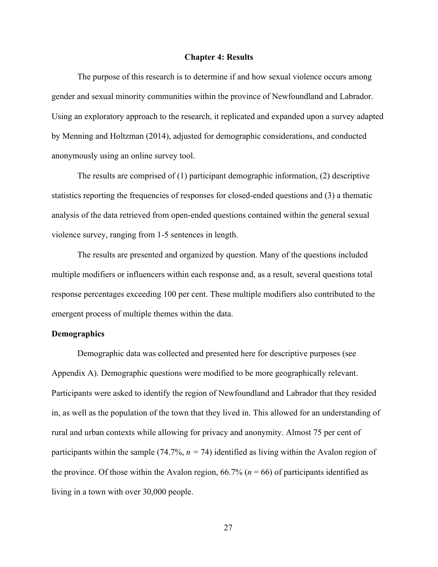#### **Chapter 4: Results**

 The purpose of this research is to determine if and how sexual violence occurs among gender and sexual minority communities within the province of Newfoundland and Labrador. Using an exploratory approach to the research, it replicated and expanded upon a survey adapted by Menning and Holtzman (2014), adjusted for demographic considerations, and conducted anonymously using an online survey tool.

The results are comprised of  $(1)$  participant demographic information,  $(2)$  descriptive statistics reporting the frequencies of responses for closed-ended questions and (3) a thematic analysis of the data retrieved from open-ended questions contained within the general sexual violence survey, ranging from 1-5 sentences in length.

 The results are presented and organized by question. Many of the questions included multiple modifiers or influencers within each response and, as a result, several questions total response percentages exceeding 100 per cent. These multiple modifiers also contributed to the emergent process of multiple themes within the data.

## **Demographics**

Demographic data was collected and presented here for descriptive purposes (see Appendix A). Demographic questions were modified to be more geographically relevant. Participants were asked to identify the region of Newfoundland and Labrador that they resided in, as well as the population of the town that they lived in. This allowed for an understanding of rural and urban contexts while allowing for privacy and anonymity. Almost 75 per cent of participants within the sample (74.7%,  $n = 74$ ) identified as living within the Avalon region of the province. Of those within the Avalon region,  $66.7\%$  ( $n = 66$ ) of participants identified as living in a town with over 30,000 people.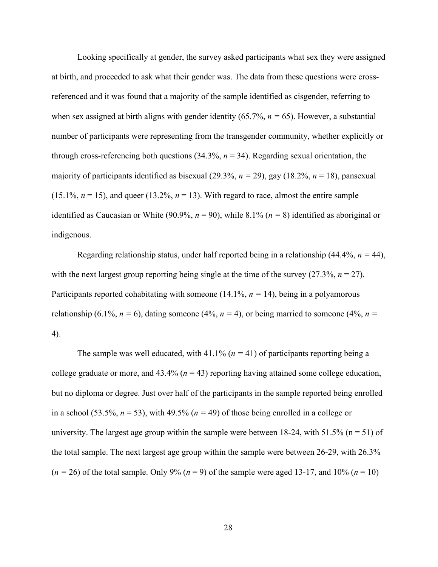Looking specifically at gender, the survey asked participants what sex they were assigned at birth, and proceeded to ask what their gender was. The data from these questions were crossreferenced and it was found that a majority of the sample identified as cisgender, referring to when sex assigned at birth aligns with gender identity (65.7%, *n =* 65). However, a substantial number of participants were representing from the transgender community, whether explicitly or through cross-referencing both questions  $(34.3\%, n = 34)$ . Regarding sexual orientation, the majority of participants identified as bisexual  $(29.3\%, n = 29)$ , gay  $(18.2\%, n = 18)$ , pansexual  $(15.1\%, n = 15)$ , and queer  $(13.2\%, n = 13)$ . With regard to race, almost the entire sample identified as Caucasian or White (90.9%,  $n = 90$ ), while 8.1% ( $n = 8$ ) identified as aboriginal or indigenous.

Regarding relationship status, under half reported being in a relationship  $(44.4\%, n = 44)$ , with the next largest group reporting being single at the time of the survey  $(27.3\%, n = 27)$ . Participants reported cohabitating with someone (14.1%, *n =* 14), being in a polyamorous relationship (6.1%,  $n = 6$ ), dating someone (4%,  $n = 4$ ), or being married to someone (4%,  $n =$ 4).

The sample was well educated, with  $41.1\%$  ( $n = 41$ ) of participants reporting being a college graduate or more, and  $43.4\%$  ( $n = 43$ ) reporting having attained some college education, but no diploma or degree. Just over half of the participants in the sample reported being enrolled in a school (53.5%,  $n = 53$ ), with 49.5% ( $n = 49$ ) of those being enrolled in a college or university. The largest age group within the sample were between 18-24, with 51.5% ( $n = 51$ ) of the total sample. The next largest age group within the sample were between 26-29, with 26.3%  $(n = 26)$  of the total sample. Only 9%  $(n = 9)$  of the sample were aged 13-17, and 10%  $(n = 10)$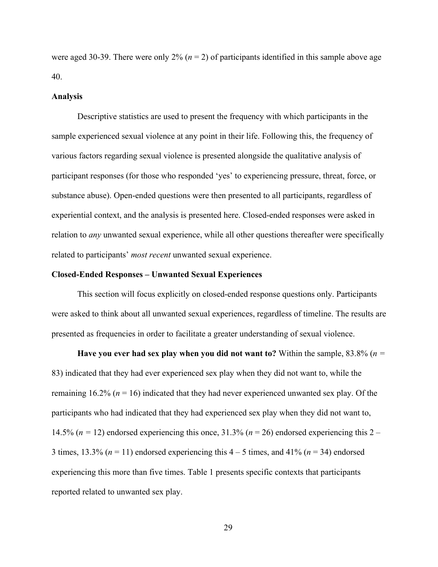were aged 30-39. There were only  $2\%$   $(n = 2)$  of participants identified in this sample above age 40.

#### **Analysis**

Descriptive statistics are used to present the frequency with which participants in the sample experienced sexual violence at any point in their life. Following this, the frequency of various factors regarding sexual violence is presented alongside the qualitative analysis of participant responses (for those who responded 'yes' to experiencing pressure, threat, force, or substance abuse). Open-ended questions were then presented to all participants, regardless of experiential context, and the analysis is presented here. Closed-ended responses were asked in relation to *any* unwanted sexual experience, while all other questions thereafter were specifically related to participants' *most recent* unwanted sexual experience.

#### **Closed-Ended Responses – Unwanted Sexual Experiences**

This section will focus explicitly on closed-ended response questions only. Participants were asked to think about all unwanted sexual experiences, regardless of timeline. The results are presented as frequencies in order to facilitate a greater understanding of sexual violence.

**Have you ever had sex play when you did not want to?** Within the sample, 83.8% (*n =*  83) indicated that they had ever experienced sex play when they did not want to, while the remaining 16.2% (*n* = 16) indicated that they had never experienced unwanted sex play. Of the participants who had indicated that they had experienced sex play when they did not want to, 14.5% ( $n = 12$ ) endorsed experiencing this once, 31.3% ( $n = 26$ ) endorsed experiencing this 2 – 3 times,  $13.3\%$  ( $n = 11$ ) endorsed experiencing this  $4 - 5$  times, and  $41\%$  ( $n = 34$ ) endorsed experiencing this more than five times. Table 1 presents specific contexts that participants reported related to unwanted sex play.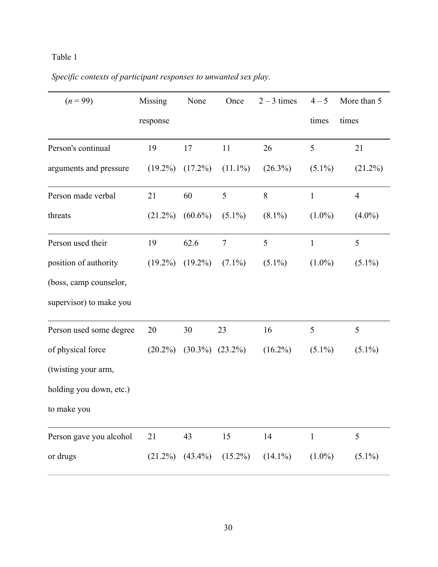# Table 1

# *Specific contexts of participant responses to unwanted sex play.*

| $(n = 99)$              | Missing    | None                  | Once           | $2 - 3$ times | $4 - 5$        | More than 5    |
|-------------------------|------------|-----------------------|----------------|---------------|----------------|----------------|
|                         | response   |                       |                |               | times          | times          |
| Person's continual      | 19         | 17                    | 11             | 26            | 5              | 21             |
| arguments and pressure  | $(19.2\%)$ | $(17.2\%)$            | $(11.1\%)$     | $(26.3\%)$    | $(5.1\%)$      | $(21.2\%)$     |
| Person made verbal      | 21         | 60                    | 5              | 8             | $\mathbf{1}$   | $\overline{4}$ |
| threats                 | $(21.2\%)$ | $(60.6\%)$            | $(5.1\%)$      | $(8.1\%)$     | $(1.0\%)$      | $(4.0\%)$      |
| Person used their       | 19         | 62.6                  | $\overline{7}$ | 5             | $\mathbf{1}$   | 5              |
| position of authority   | $(19.2\%)$ | $(19.2\%)$            | $(7.1\%)$      | $(5.1\%)$     | $(1.0\%)$      | $(5.1\%)$      |
| (boss, camp counselor,  |            |                       |                |               |                |                |
| supervisor) to make you |            |                       |                |               |                |                |
| Person used some degree | 20         | 30                    | 23             | 16            | $\mathfrak{S}$ | 5              |
| of physical force       | $(20.2\%)$ | $(30.3\%)$            | $(23.2\%)$     | $(16.2\%)$    | $(5.1\%)$      | $(5.1\%)$      |
| (twisting your arm,     |            |                       |                |               |                |                |
| holding you down, etc.) |            |                       |                |               |                |                |
| to make you             |            |                       |                |               |                |                |
| Person gave you alcohol | 21         | 43                    | 15             | 14            | $\mathbf{1}$   | 5              |
| or drugs                |            | $(21.2\%)$ $(43.4\%)$ | $(15.2\%)$     | $(14.1\%)$    | $(1.0\%)$      | $(5.1\%)$      |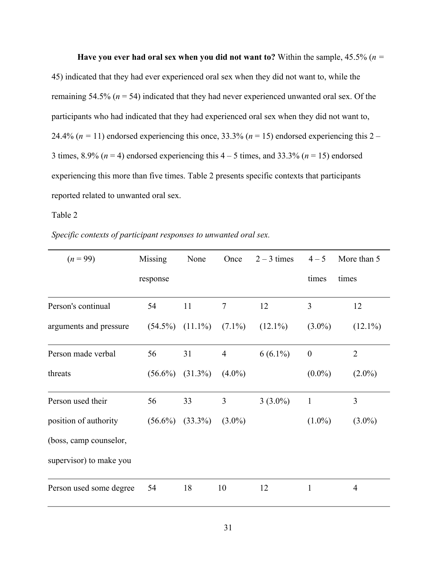**Have you ever had oral sex when you did not want to?** Within the sample, 45.5% (*n =*  45) indicated that they had ever experienced oral sex when they did not want to, while the remaining 54.5% (*n* = 54) indicated that they had never experienced unwanted oral sex. Of the participants who had indicated that they had experienced oral sex when they did not want to, 24.4% ( $n = 11$ ) endorsed experiencing this once, 33.3% ( $n = 15$ ) endorsed experiencing this 2 – 3 times,  $8.9\%$  ( $n = 4$ ) endorsed experiencing this  $4 - 5$  times, and  $33.3\%$  ( $n = 15$ ) endorsed experiencing this more than five times. Table 2 presents specific contexts that participants reported related to unwanted oral sex.

Table 2

*Specific contexts of participant responses to unwanted oral sex.*

| $(n = 99)$              | Missing    | None       | Once           | $2 - 3$ times | $4 - 5$          | More than 5    |
|-------------------------|------------|------------|----------------|---------------|------------------|----------------|
|                         | response   |            |                |               | times            | times          |
| Person's continual      | 54         | 11         | $\tau$         | 12            | 3                | 12             |
| arguments and pressure  | $(54.5\%)$ | $(11.1\%)$ | $(7.1\%)$      | $(12.1\%)$    | $(3.0\%)$        | $(12.1\%)$     |
| Person made verbal      | 56         | 31         | $\overline{4}$ | $6(6.1\%)$    | $\boldsymbol{0}$ | $\overline{2}$ |
| threats                 | $(56.6\%)$ | $(31.3\%)$ | $(4.0\%)$      |               | $(0.0\%)$        | $(2.0\%)$      |
| Person used their       | 56         | 33         | 3              | $3(3.0\%)$    | $\mathbf{1}$     | $\overline{3}$ |
| position of authority   | $(56.6\%)$ | $(33.3\%)$ | $(3.0\%)$      |               | $(1.0\%)$        | $(3.0\%)$      |
| (boss, camp counselor,  |            |            |                |               |                  |                |
| supervisor) to make you |            |            |                |               |                  |                |
| Person used some degree | 54         | 18         | 10             | 12            | $\mathbf{1}$     | 4              |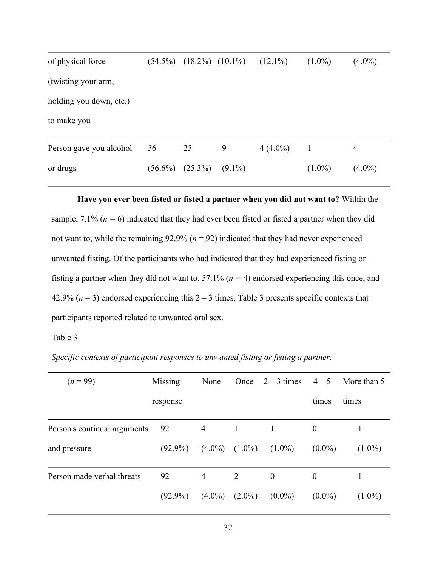| of physical force       |            | $(54.5\%)$ $(18.2\%)$ $(10.1\%)$ |           | $(12.1\%)$   | $(1.0\%)$ | $(4.0\%)$ |  |
|-------------------------|------------|----------------------------------|-----------|--------------|-----------|-----------|--|
| (twisting your arm,     |            |                                  |           |              |           |           |  |
| holding you down, etc.) |            |                                  |           |              |           |           |  |
| to make you             |            |                                  |           |              |           |           |  |
| Person gave you alcohol | 56         | 25                               | 9         | $4(4.0\%)$ 1 |           | 4         |  |
| or drugs                | $(56.6\%)$ | $(25.3\%)$                       | $(9.1\%)$ |              | $(1.0\%)$ | $(4.0\%)$ |  |

**Have you ever been fisted or fisted a partner when you did not want to?** Within the sample,  $7.1\%$  ( $n = 6$ ) indicated that they had ever been fisted or fisted a partner when they did not want to, while the remaining 92.9% (*n* = 92) indicated that they had never experienced unwanted fisting. Of the participants who had indicated that they had experienced fisting or fisting a partner when they did not want to, 57.1% (*n =* 4) endorsed experiencing this once, and 42.9% ( $n = 3$ ) endorsed experiencing this  $2 - 3$  times. Table 3 presents specific contexts that participants reported related to unwanted oral sex.

# Table 3

*Specific contexts of participant responses to unwanted fisting or fisting a partner.*

| $(n = 99)$                   | Missing    | None      |           | Once $2-3$ times | $4 - 5$          | More than 5 |
|------------------------------|------------|-----------|-----------|------------------|------------------|-------------|
|                              | response   |           |           |                  | times            | times       |
| Person's continual arguments | 92         | 4         | 1         |                  | $\boldsymbol{0}$ |             |
| and pressure                 | $(92.9\%)$ | $(4.0\%)$ | $(1.0\%)$ | $(1.0\%)$        | $(0.0\%)$        | $(1.0\%)$   |
| Person made verbal threats   | 92         | 4         | 2         | $\mathbf{0}$     | $\boldsymbol{0}$ |             |
|                              | $(92.9\%)$ | $(4.0\%)$ | $(2.0\%)$ | $(0.0\%)$        | $(0.0\%)$        | $(1.0\%)$   |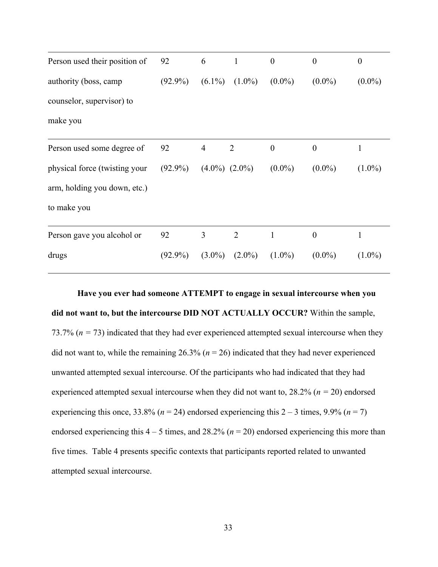| Person used their position of | 92         | 6                 | $\mathbf{1}$   | $\boldsymbol{0}$ | $\boldsymbol{0}$ | $\boldsymbol{0}$ |
|-------------------------------|------------|-------------------|----------------|------------------|------------------|------------------|
| authority (boss, camp         | $(92.9\%)$ | $(6.1\%)$         | $(1.0\%)$      | $(0.0\%)$        | $(0.0\%)$        | $(0.0\%)$        |
| counselor, supervisor) to     |            |                   |                |                  |                  |                  |
| make you                      |            |                   |                |                  |                  |                  |
| Person used some degree of    | 92         | $\overline{4}$    | $\overline{2}$ | $\boldsymbol{0}$ | $\boldsymbol{0}$ | 1                |
| physical force (twisting your | $(92.9\%)$ | $(4.0\%) (2.0\%)$ |                | $(0.0\%)$        | $(0.0\%)$        | $(1.0\%)$        |
| arm, holding you down, etc.)  |            |                   |                |                  |                  |                  |
| to make you                   |            |                   |                |                  |                  |                  |
| Person gave you alcohol or    | 92         | 3                 | $\overline{2}$ | 1                | $\boldsymbol{0}$ | 1                |
| drugs                         | $(92.9\%)$ | $(3.0\%)$         | $(2.0\%)$      | $(1.0\%)$        | $(0.0\%)$        | $(1.0\%)$        |

**Have you ever had someone ATTEMPT to engage in sexual intercourse when you did not want to, but the intercourse DID NOT ACTUALLY OCCUR?** Within the sample, 73.7% ( $n = 73$ ) indicated that they had ever experienced attempted sexual intercourse when they did not want to, while the remaining  $26.3\%$  ( $n = 26$ ) indicated that they had never experienced unwanted attempted sexual intercourse. Of the participants who had indicated that they had experienced attempted sexual intercourse when they did not want to, 28.2% (*n =* 20) endorsed experiencing this once,  $33.8\%$  ( $n = 24$ ) endorsed experiencing this  $2 - 3$  times,  $9.9\%$  ( $n = 7$ ) endorsed experiencing this  $4 - 5$  times, and  $28.2\%$  ( $n = 20$ ) endorsed experiencing this more than five times. Table 4 presents specific contexts that participants reported related to unwanted attempted sexual intercourse.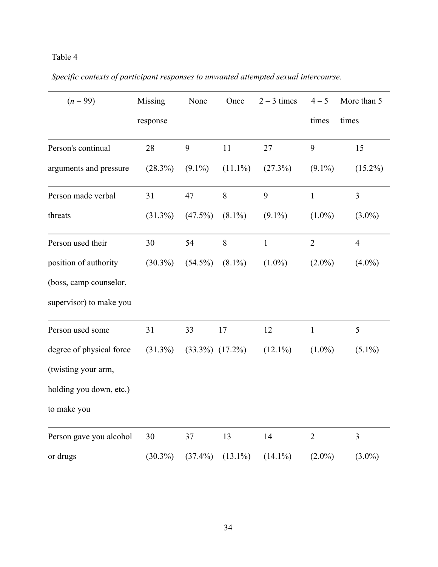# Table 4

|  |  |  |  |  |  |  | Specific contexts of participant responses to unwanted attempted sexual intercourse. |  |
|--|--|--|--|--|--|--|--------------------------------------------------------------------------------------|--|
|  |  |  |  |  |  |  |                                                                                      |  |

| $(n = 99)$               | Missing    | None                | Once       | $2 - 3$ times | $4 - 5$        | More than 5    |
|--------------------------|------------|---------------------|------------|---------------|----------------|----------------|
|                          | response   |                     |            |               | times          | times          |
| Person's continual       | 28         | 9                   | 11         | 27            | 9              | 15             |
| arguments and pressure   | (28.3%)    | $(9.1\%)$           | $(11.1\%)$ | (27.3%)       | $(9.1\%)$      | $(15.2\%)$     |
| Person made verbal       | 31         | 47                  | $8\,$      | 9             | $\mathbf{1}$   | $\overline{3}$ |
| threats                  | $(31.3\%)$ | $(47.5\%)$          | $(8.1\%)$  | $(9.1\%)$     | $(1.0\%)$      | $(3.0\%)$      |
| Person used their        | 30         | 54                  | 8          | $\mathbf{1}$  | $\overline{2}$ | $\overline{4}$ |
| position of authority    | $(30.3\%)$ | $(54.5\%)$          | $(8.1\%)$  | $(1.0\%)$     | $(2.0\%)$      | $(4.0\%)$      |
| (boss, camp counselor,   |            |                     |            |               |                |                |
| supervisor) to make you  |            |                     |            |               |                |                |
| Person used some         | 31         | 33                  | 17         | 12            | $\mathbf{1}$   | 5              |
| degree of physical force | $(31.3\%)$ | $(33.3\%) (17.2\%)$ |            | $(12.1\%)$    | $(1.0\%)$      | $(5.1\%)$      |
| (twisting your arm,      |            |                     |            |               |                |                |
| holding you down, etc.)  |            |                     |            |               |                |                |
| to make you              |            |                     |            |               |                |                |
| Person gave you alcohol  | 30         | 37                  | 13         | 14            | $\overline{2}$ | 3              |
| or drugs                 | $(30.3\%)$ | $(37.4\%)$          | $(13.1\%)$ | $(14.1\%)$    | $(2.0\%)$      | $(3.0\%)$      |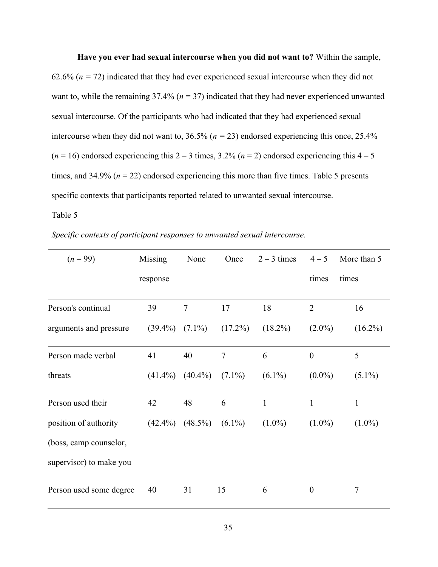#### **Have you ever had sexual intercourse when you did not want to?** Within the sample,

62.6% ( $n = 72$ ) indicated that they had ever experienced sexual intercourse when they did not want to, while the remaining  $37.4\%$  ( $n = 37$ ) indicated that they had never experienced unwanted sexual intercourse. Of the participants who had indicated that they had experienced sexual intercourse when they did not want to, 36.5% (*n =* 23) endorsed experiencing this once, 25.4%  $(n = 16)$  endorsed experiencing this  $2 - 3$  times,  $3.2\%$   $(n = 2)$  endorsed experiencing this  $4 - 5$ times, and  $34.9\%$  ( $n = 22$ ) endorsed experiencing this more than five times. Table 5 presents specific contexts that participants reported related to unwanted sexual intercourse.

Table 5

*Specific contexts of participant responses to unwanted sexual intercourse.*

| $(n = 99)$              | Missing    | None       | Once           | $2 - 3$ times | $4 - 5$          | More than 5    |
|-------------------------|------------|------------|----------------|---------------|------------------|----------------|
|                         | response   |            |                |               | times            | times          |
| Person's continual      | 39         | $\tau$     | 17             | 18            | $\overline{2}$   | 16             |
| arguments and pressure  | $(39.4\%)$ | $(7.1\%)$  | $(17.2\%)$     | $(18.2\%)$    | $(2.0\%)$        | $(16.2\%)$     |
| Person made verbal      | 41         | 40         | $\overline{7}$ | 6             | $\overline{0}$   | 5              |
| threats                 | $(41.4\%)$ | $(40.4\%)$ | $(7.1\%)$      | $(6.1\%)$     | $(0.0\%)$        | $(5.1\%)$      |
| Person used their       | 42         | 48         | 6              | $\mathbf{1}$  | $\mathbf{1}$     | $\mathbf{1}$   |
| position of authority   | $(42.4\%)$ | $(48.5\%)$ | $(6.1\%)$      | $(1.0\%)$     | $(1.0\%)$        | $(1.0\%)$      |
| (boss, camp counselor,  |            |            |                |               |                  |                |
| supervisor) to make you |            |            |                |               |                  |                |
| Person used some degree | 40         | 31         | 15             | 6             | $\boldsymbol{0}$ | $\overline{7}$ |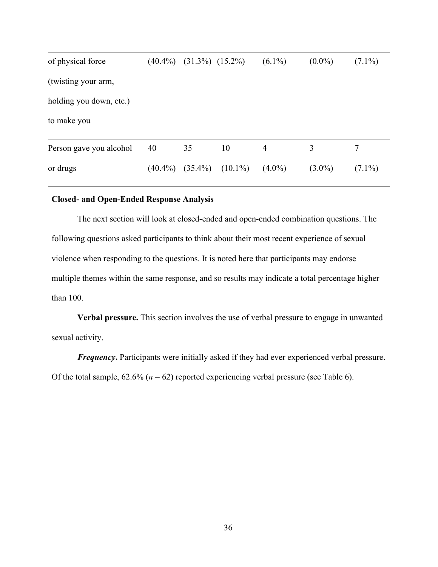| of physical force       | $(40.4\%)$ | $(31.3\%) (15.2\%)$ |            | $(6.1\%)$      | $(0.0\%)$ | $(7.1\%)$ |  |
|-------------------------|------------|---------------------|------------|----------------|-----------|-----------|--|
| (twisting your arm,     |            |                     |            |                |           |           |  |
| holding you down, etc.) |            |                     |            |                |           |           |  |
| to make you             |            |                     |            |                |           |           |  |
| Person gave you alcohol | 40         | 35                  | 10         | $\overline{4}$ | 3         | 7         |  |
| or drugs                | $(40.4\%)$ | $(35.4\%)$          | $(10.1\%)$ | $(4.0\%)$      | $(3.0\%)$ | $(7.1\%)$ |  |

# **Closed- and Open-Ended Response Analysis**

The next section will look at closed-ended and open-ended combination questions. The following questions asked participants to think about their most recent experience of sexual violence when responding to the questions. It is noted here that participants may endorse multiple themes within the same response, and so results may indicate a total percentage higher than 100.

**Verbal pressure.** This section involves the use of verbal pressure to engage in unwanted sexual activity.

*Frequency*. Participants were initially asked if they had ever experienced verbal pressure. Of the total sample,  $62.6\%$  ( $n = 62$ ) reported experiencing verbal pressure (see Table 6).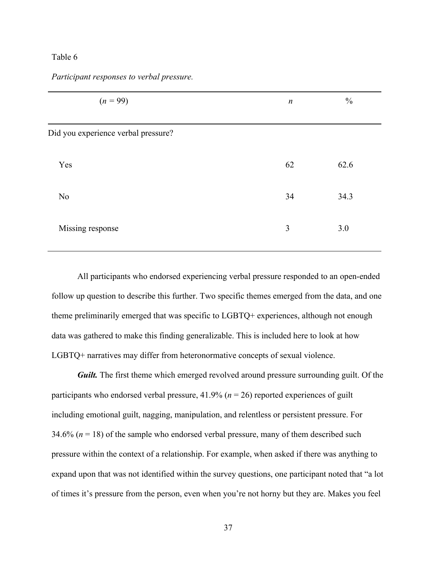# Table 6

| $(n = 99)$                          | $\boldsymbol{n}$ | $\frac{0}{0}$ |  |
|-------------------------------------|------------------|---------------|--|
| Did you experience verbal pressure? |                  |               |  |
| Yes                                 | 62               | 62.6          |  |
| N <sub>0</sub>                      | 34               | 34.3          |  |
| Missing response                    | 3                | 3.0           |  |

*Participant responses to verbal pressure.*

All participants who endorsed experiencing verbal pressure responded to an open-ended follow up question to describe this further. Two specific themes emerged from the data, and one theme preliminarily emerged that was specific to LGBTQ+ experiences, although not enough data was gathered to make this finding generalizable. This is included here to look at how LGBTQ+ narratives may differ from heteronormative concepts of sexual violence.

*Guilt.* The first theme which emerged revolved around pressure surrounding guilt. Of the participants who endorsed verbal pressure,  $41.9\%$  ( $n = 26$ ) reported experiences of guilt including emotional guilt, nagging, manipulation, and relentless or persistent pressure. For 34.6% (*n* = 18) of the sample who endorsed verbal pressure, many of them described such pressure within the context of a relationship. For example, when asked if there was anything to expand upon that was not identified within the survey questions, one participant noted that "a lot of times it's pressure from the person, even when you're not horny but they are. Makes you feel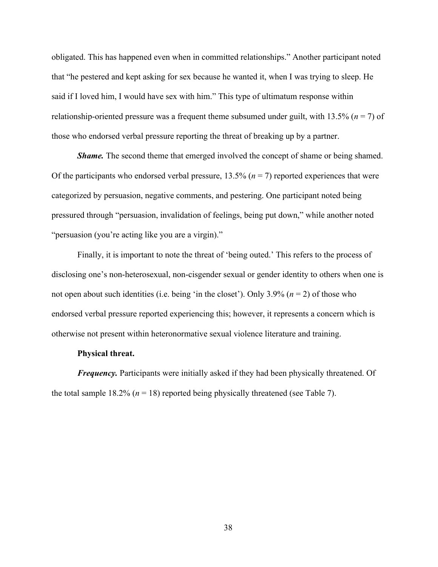obligated. This has happened even when in committed relationships." Another participant noted that "he pestered and kept asking for sex because he wanted it, when I was trying to sleep. He said if I loved him, I would have sex with him." This type of ultimatum response within relationship-oriented pressure was a frequent theme subsumed under guilt, with 13.5% (*n* = 7) of those who endorsed verbal pressure reporting the threat of breaking up by a partner.

*Shame.* The second theme that emerged involved the concept of shame or being shamed. Of the participants who endorsed verbal pressure,  $13.5\%$  ( $n = 7$ ) reported experiences that were categorized by persuasion, negative comments, and pestering. One participant noted being pressured through "persuasion, invalidation of feelings, being put down," while another noted "persuasion (you're acting like you are a virgin)."

Finally, it is important to note the threat of 'being outed.' This refers to the process of disclosing one's non-heterosexual, non-cisgender sexual or gender identity to others when one is not open about such identities (i.e. being 'in the closet'). Only 3.9% (*n* = 2) of those who endorsed verbal pressure reported experiencing this; however, it represents a concern which is otherwise not present within heteronormative sexual violence literature and training.

## **Physical threat.**

*Frequency*. Participants were initially asked if they had been physically threatened. Of the total sample  $18.2\%$  ( $n = 18$ ) reported being physically threatened (see Table 7).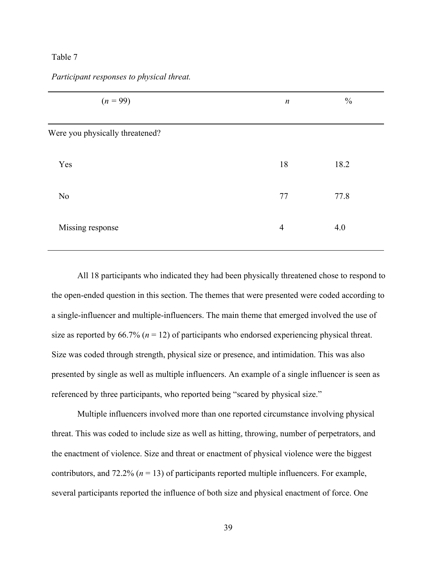# Table 7

| $(n = 99)$                      | $\boldsymbol{n}$ | $\frac{0}{0}$ |  |
|---------------------------------|------------------|---------------|--|
| Were you physically threatened? |                  |               |  |
| Yes                             | 18               | 18.2          |  |
| N <sub>o</sub>                  | 77               | 77.8          |  |
| Missing response                | $\overline{4}$   | 4.0           |  |

*Participant responses to physical threat.*

All 18 participants who indicated they had been physically threatened chose to respond to the open-ended question in this section. The themes that were presented were coded according to a single-influencer and multiple-influencers. The main theme that emerged involved the use of size as reported by  $66.7\%$  ( $n = 12$ ) of participants who endorsed experiencing physical threat. Size was coded through strength, physical size or presence, and intimidation. This was also presented by single as well as multiple influencers. An example of a single influencer is seen as referenced by three participants, who reported being "scared by physical size."

 Multiple influencers involved more than one reported circumstance involving physical threat. This was coded to include size as well as hitting, throwing, number of perpetrators, and the enactment of violence. Size and threat or enactment of physical violence were the biggest contributors, and 72.2% ( $n = 13$ ) of participants reported multiple influencers. For example, several participants reported the influence of both size and physical enactment of force. One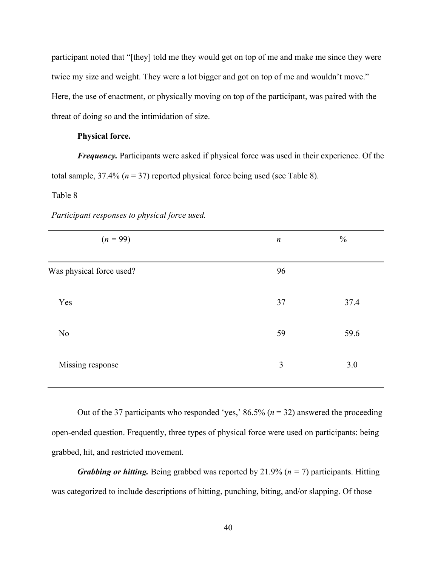participant noted that "[they] told me they would get on top of me and make me since they were twice my size and weight. They were a lot bigger and got on top of me and wouldn't move." Here, the use of enactment, or physically moving on top of the participant, was paired with the threat of doing so and the intimidation of size.

# **Physical force.**

*Frequency.* Participants were asked if physical force was used in their experience. Of the total sample,  $37.4\%$  ( $n = 37$ ) reported physical force being used (see Table 8).

#### Table 8

| $(n = 99)$               | $\boldsymbol{n}$ | $\frac{0}{0}$ |
|--------------------------|------------------|---------------|
| Was physical force used? | 96               |               |
| Yes                      | 37               | 37.4          |
| No                       | 59               | 59.6          |
| Missing response         | 3                | 3.0           |

*Participant responses to physical force used.*

Out of the 37 participants who responded 'yes,' 86.5% (*n* = 32) answered the proceeding open-ended question. Frequently, three types of physical force were used on participants: being grabbed, hit, and restricted movement.

 *Grabbing or hitting.* Being grabbed was reported by 21.9% (*n =* 7) participants. Hitting was categorized to include descriptions of hitting, punching, biting, and/or slapping. Of those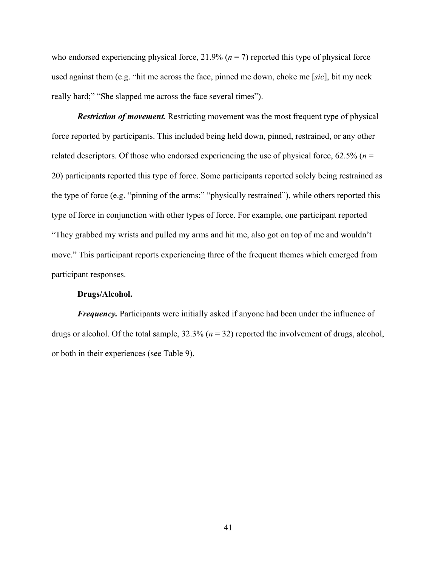who endorsed experiencing physical force,  $21.9\%$  ( $n = 7$ ) reported this type of physical force used against them (e.g. "hit me across the face, pinned me down, choke me [*sic*], bit my neck really hard;" "She slapped me across the face several times").

*Restriction of movement.* Restricting movement was the most frequent type of physical force reported by participants. This included being held down, pinned, restrained, or any other related descriptors. Of those who endorsed experiencing the use of physical force,  $62.5\%$  ( $n =$ 20) participants reported this type of force. Some participants reported solely being restrained as the type of force (e.g. "pinning of the arms;" "physically restrained"), while others reported this type of force in conjunction with other types of force. For example, one participant reported "They grabbed my wrists and pulled my arms and hit me, also got on top of me and wouldn't move." This participant reports experiencing three of the frequent themes which emerged from participant responses.

# **Drugs/Alcohol.**

*Frequency*. Participants were initially asked if anyone had been under the influence of drugs or alcohol. Of the total sample, 32.3% (*n* = 32) reported the involvement of drugs, alcohol, or both in their experiences (see Table 9).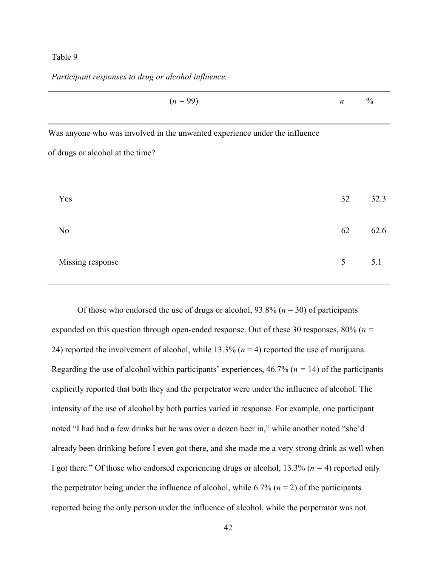# Table 9

*Participant responses to drug or alcohol influence.*

| $(n = 99)$                                                                 | $\boldsymbol{n}$ | $\frac{0}{0}$ |
|----------------------------------------------------------------------------|------------------|---------------|
| Was anyone who was involved in the unwanted experience under the influence |                  |               |
| of drugs or alcohol at the time?                                           |                  |               |
| Yes                                                                        | 32               | 32.3          |
| N <sub>o</sub>                                                             | 62               | 62.6          |
| Missing response                                                           | 5                | 5.1           |

Of those who endorsed the use of drugs or alcohol,  $93.8\%$  ( $n = 30$ ) of participants expanded on this question through open-ended response. Out of these 30 responses, 80% (*n =*  24) reported the involvement of alcohol, while 13.3% (*n* = 4) reported the use of marijuana. Regarding the use of alcohol within participants' experiences, 46.7% (*n =* 14) of the participants explicitly reported that both they and the perpetrator were under the influence of alcohol. The intensity of the use of alcohol by both parties varied in response. For example, one participant noted "I had had a few drinks but he was over a dozen beer in," while another noted "she'd already been drinking before I even got there, and she made me a very strong drink as well when I got there." Of those who endorsed experiencing drugs or alcohol, 13.3% (*n =* 4) reported only the perpetrator being under the influence of alcohol, while  $6.7\%$  ( $n = 2$ ) of the participants reported being the only person under the influence of alcohol, while the perpetrator was not.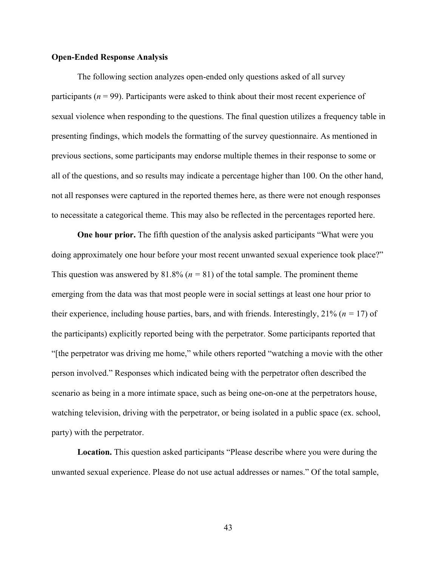#### **Open-Ended Response Analysis**

The following section analyzes open-ended only questions asked of all survey participants (*n* = 99). Participants were asked to think about their most recent experience of sexual violence when responding to the questions. The final question utilizes a frequency table in presenting findings, which models the formatting of the survey questionnaire. As mentioned in previous sections, some participants may endorse multiple themes in their response to some or all of the questions, and so results may indicate a percentage higher than 100. On the other hand, not all responses were captured in the reported themes here, as there were not enough responses to necessitate a categorical theme. This may also be reflected in the percentages reported here.

**One hour prior.** The fifth question of the analysis asked participants "What were you doing approximately one hour before your most recent unwanted sexual experience took place?" This question was answered by  $81.8\%$  ( $n = 81$ ) of the total sample. The prominent theme emerging from the data was that most people were in social settings at least one hour prior to their experience, including house parties, bars, and with friends. Interestingly,  $21\%$  ( $n = 17$ ) of the participants) explicitly reported being with the perpetrator. Some participants reported that "[the perpetrator was driving me home," while others reported "watching a movie with the other person involved." Responses which indicated being with the perpetrator often described the scenario as being in a more intimate space, such as being one-on-one at the perpetrators house, watching television, driving with the perpetrator, or being isolated in a public space (ex. school, party) with the perpetrator.

**Location.** This question asked participants "Please describe where you were during the unwanted sexual experience. Please do not use actual addresses or names." Of the total sample,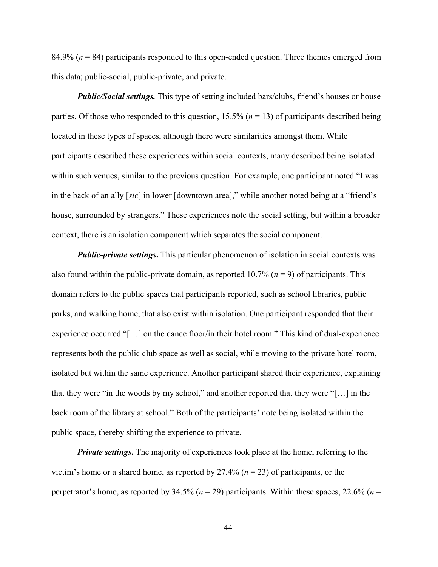84.9% (*n* = 84) participants responded to this open-ended question. Three themes emerged from this data; public-social, public-private, and private.

*Public/Social settings.* This type of setting included bars/clubs, friend's houses or house parties. Of those who responded to this question,  $15.5\%$  ( $n = 13$ ) of participants described being located in these types of spaces, although there were similarities amongst them. While participants described these experiences within social contexts, many described being isolated within such venues, similar to the previous question. For example, one participant noted "I was in the back of an ally [*sic*] in lower [downtown area]," while another noted being at a "friend's house, surrounded by strangers." These experiences note the social setting, but within a broader context, there is an isolation component which separates the social component.

*Public-private settings*. This particular phenomenon of isolation in social contexts was also found within the public-private domain, as reported  $10.7\%$  ( $n = 9$ ) of participants. This domain refers to the public spaces that participants reported, such as school libraries, public parks, and walking home, that also exist within isolation. One participant responded that their experience occurred "[…] on the dance floor/in their hotel room." This kind of dual-experience represents both the public club space as well as social, while moving to the private hotel room, isolated but within the same experience. Another participant shared their experience, explaining that they were "in the woods by my school," and another reported that they were "[…] in the back room of the library at school." Both of the participants' note being isolated within the public space, thereby shifting the experience to private.

*Private settings*. The majority of experiences took place at the home, referring to the victim's home or a shared home, as reported by 27.4% (*n* = 23) of participants, or the perpetrator's home, as reported by 34.5% (*n* = 29) participants. Within these spaces, 22.6% (*n* =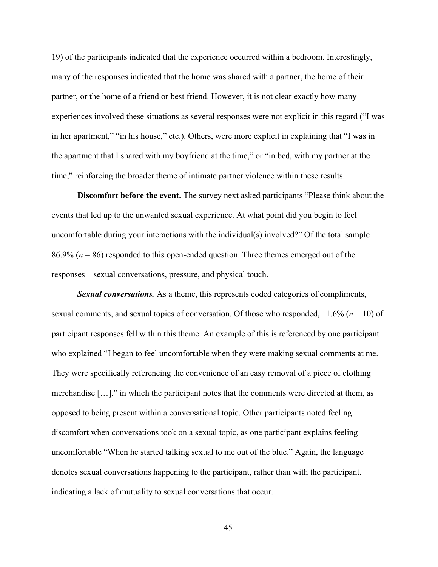19) of the participants indicated that the experience occurred within a bedroom. Interestingly, many of the responses indicated that the home was shared with a partner, the home of their partner, or the home of a friend or best friend. However, it is not clear exactly how many experiences involved these situations as several responses were not explicit in this regard ("I was in her apartment," "in his house," etc.). Others, were more explicit in explaining that "I was in the apartment that I shared with my boyfriend at the time," or "in bed, with my partner at the time," reinforcing the broader theme of intimate partner violence within these results.

**Discomfort before the event.** The survey next asked participants "Please think about the events that led up to the unwanted sexual experience. At what point did you begin to feel uncomfortable during your interactions with the individual(s) involved?" Of the total sample 86.9% (*n* = 86) responded to this open-ended question. Three themes emerged out of the responses—sexual conversations, pressure, and physical touch.

*Sexual conversations.* As a theme, this represents coded categories of compliments, sexual comments, and sexual topics of conversation. Of those who responded, 11.6% (*n* = 10) of participant responses fell within this theme. An example of this is referenced by one participant who explained "I began to feel uncomfortable when they were making sexual comments at me. They were specifically referencing the convenience of an easy removal of a piece of clothing merchandise […]," in which the participant notes that the comments were directed at them, as opposed to being present within a conversational topic. Other participants noted feeling discomfort when conversations took on a sexual topic, as one participant explains feeling uncomfortable "When he started talking sexual to me out of the blue." Again, the language denotes sexual conversations happening to the participant, rather than with the participant, indicating a lack of mutuality to sexual conversations that occur.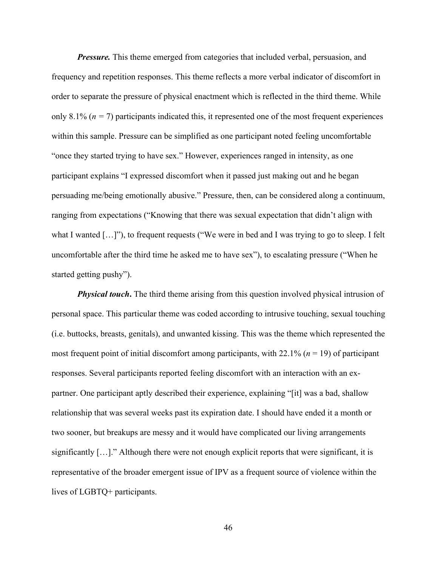*Pressure.* This theme emerged from categories that included verbal, persuasion, and frequency and repetition responses. This theme reflects a more verbal indicator of discomfort in order to separate the pressure of physical enactment which is reflected in the third theme. While only 8.1% ( $n = 7$ ) participants indicated this, it represented one of the most frequent experiences within this sample. Pressure can be simplified as one participant noted feeling uncomfortable "once they started trying to have sex." However, experiences ranged in intensity, as one participant explains "I expressed discomfort when it passed just making out and he began persuading me/being emotionally abusive." Pressure, then, can be considered along a continuum, ranging from expectations ("Knowing that there was sexual expectation that didn't align with what I wanted [...]"), to frequent requests ("We were in bed and I was trying to go to sleep. I felt uncomfortable after the third time he asked me to have sex"), to escalating pressure ("When he started getting pushy").

*Physical touch*. The third theme arising from this question involved physical intrusion of personal space. This particular theme was coded according to intrusive touching, sexual touching (i.e. buttocks, breasts, genitals), and unwanted kissing. This was the theme which represented the most frequent point of initial discomfort among participants, with 22.1% (*n* = 19) of participant responses. Several participants reported feeling discomfort with an interaction with an expartner. One participant aptly described their experience, explaining "[it] was a bad, shallow relationship that was several weeks past its expiration date. I should have ended it a month or two sooner, but breakups are messy and it would have complicated our living arrangements significantly […]." Although there were not enough explicit reports that were significant, it is representative of the broader emergent issue of IPV as a frequent source of violence within the lives of LGBTQ+ participants.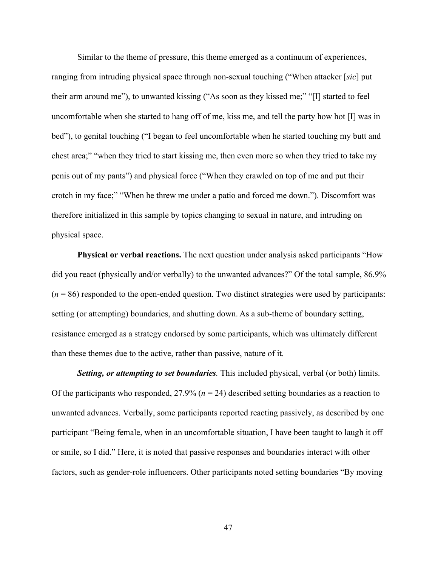Similar to the theme of pressure, this theme emerged as a continuum of experiences, ranging from intruding physical space through non-sexual touching ("When attacker [*sic*] put their arm around me"), to unwanted kissing ("As soon as they kissed me;" "[I] started to feel uncomfortable when she started to hang off of me, kiss me, and tell the party how hot [I] was in bed"), to genital touching ("I began to feel uncomfortable when he started touching my butt and chest area;" "when they tried to start kissing me, then even more so when they tried to take my penis out of my pants") and physical force ("When they crawled on top of me and put their crotch in my face;" "When he threw me under a patio and forced me down."). Discomfort was therefore initialized in this sample by topics changing to sexual in nature, and intruding on physical space.

**Physical or verbal reactions.** The next question under analysis asked participants "How did you react (physically and/or verbally) to the unwanted advances?" Of the total sample, 86.9%  $(n = 86)$  responded to the open-ended question. Two distinct strategies were used by participants: setting (or attempting) boundaries, and shutting down. As a sub-theme of boundary setting, resistance emerged as a strategy endorsed by some participants, which was ultimately different than these themes due to the active, rather than passive, nature of it.

*Setting, or attempting to set boundaries.* This included physical, verbal (or both) limits. Of the participants who responded, 27.9% (*n* = 24) described setting boundaries as a reaction to unwanted advances. Verbally, some participants reported reacting passively, as described by one participant "Being female, when in an uncomfortable situation, I have been taught to laugh it off or smile, so I did." Here, it is noted that passive responses and boundaries interact with other factors, such as gender-role influencers. Other participants noted setting boundaries "By moving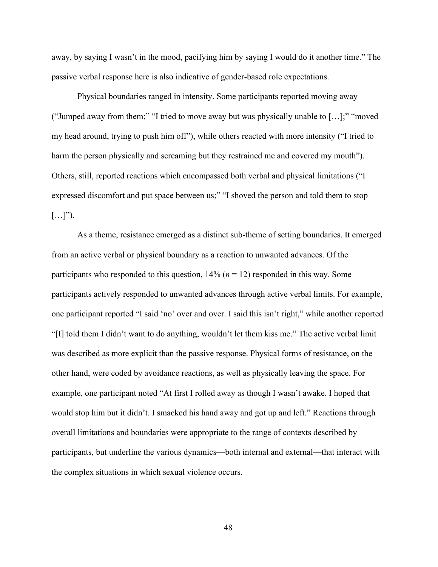away, by saying I wasn't in the mood, pacifying him by saying I would do it another time." The passive verbal response here is also indicative of gender-based role expectations.

 Physical boundaries ranged in intensity. Some participants reported moving away ("Jumped away from them;" "I tried to move away but was physically unable to […];" "moved my head around, trying to push him off"), while others reacted with more intensity ("I tried to harm the person physically and screaming but they restrained me and covered my mouth"). Others, still, reported reactions which encompassed both verbal and physical limitations ("I expressed discomfort and put space between us;" "I shoved the person and told them to stop  $[\ldots]$ ").

 As a theme, resistance emerged as a distinct sub-theme of setting boundaries. It emerged from an active verbal or physical boundary as a reaction to unwanted advances. Of the participants who responded to this question,  $14\%$  ( $n = 12$ ) responded in this way. Some participants actively responded to unwanted advances through active verbal limits. For example, one participant reported "I said 'no' over and over. I said this isn't right," while another reported "[I] told them I didn't want to do anything, wouldn't let them kiss me." The active verbal limit was described as more explicit than the passive response. Physical forms of resistance, on the other hand, were coded by avoidance reactions, as well as physically leaving the space. For example, one participant noted "At first I rolled away as though I wasn't awake. I hoped that would stop him but it didn't. I smacked his hand away and got up and left." Reactions through overall limitations and boundaries were appropriate to the range of contexts described by participants, but underline the various dynamics—both internal and external—that interact with the complex situations in which sexual violence occurs.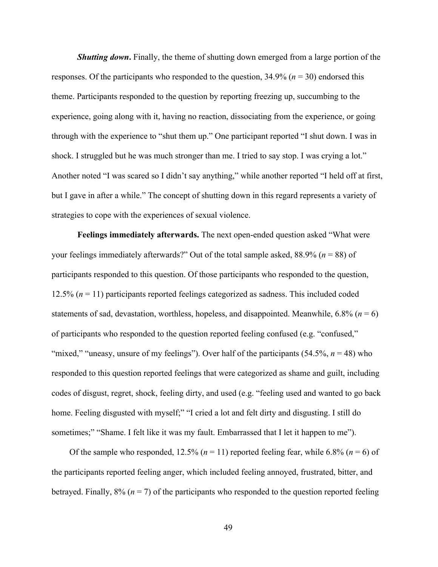*Shutting down*. Finally, the theme of shutting down emerged from a large portion of the responses. Of the participants who responded to the question,  $34.9\%$  ( $n = 30$ ) endorsed this theme. Participants responded to the question by reporting freezing up, succumbing to the experience, going along with it, having no reaction, dissociating from the experience, or going through with the experience to "shut them up." One participant reported "I shut down. I was in shock. I struggled but he was much stronger than me. I tried to say stop. I was crying a lot." Another noted "I was scared so I didn't say anything," while another reported "I held off at first, but I gave in after a while." The concept of shutting down in this regard represents a variety of strategies to cope with the experiences of sexual violence.

**Feelings immediately afterwards.** The next open-ended question asked "What were your feelings immediately afterwards?" Out of the total sample asked, 88.9% (*n* = 88) of participants responded to this question. Of those participants who responded to the question, 12.5% (*n* = 11) participants reported feelings categorized as sadness. This included coded statements of sad, devastation, worthless, hopeless, and disappointed. Meanwhile,  $6.8\%$  ( $n = 6$ ) of participants who responded to the question reported feeling confused (e.g. "confused," "mixed," "uneasy, unsure of my feelings"). Over half of the participants  $(54.5\%, n = 48)$  who responded to this question reported feelings that were categorized as shame and guilt, including codes of disgust, regret, shock, feeling dirty, and used (e.g. "feeling used and wanted to go back home. Feeling disgusted with myself;" "I cried a lot and felt dirty and disgusting. I still do sometimes;" "Shame. I felt like it was my fault. Embarrassed that I let it happen to me").

Of the sample who responded,  $12.5\%$  ( $n = 11$ ) reported feeling fear, while 6.8% ( $n = 6$ ) of the participants reported feeling anger, which included feeling annoyed, frustrated, bitter, and betrayed. Finally,  $8\%$  ( $n = 7$ ) of the participants who responded to the question reported feeling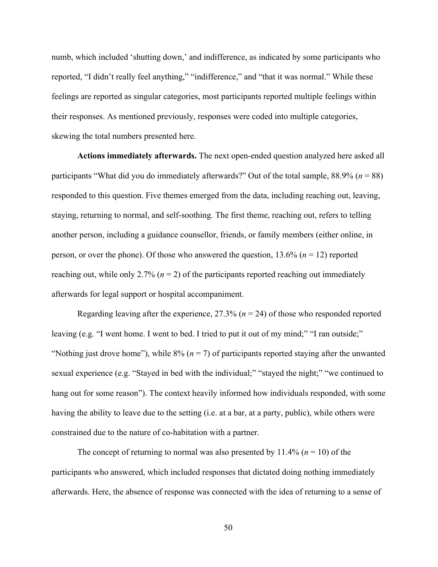numb, which included 'shutting down,' and indifference, as indicated by some participants who reported, "I didn't really feel anything," "indifference," and "that it was normal." While these feelings are reported as singular categories, most participants reported multiple feelings within their responses. As mentioned previously, responses were coded into multiple categories, skewing the total numbers presented here.

**Actions immediately afterwards.** The next open-ended question analyzed here asked all participants "What did you do immediately afterwards?" Out of the total sample, 88.9% (*n* = 88) responded to this question. Five themes emerged from the data, including reaching out, leaving, staying, returning to normal, and self-soothing. The first theme, reaching out, refers to telling another person, including a guidance counsellor, friends, or family members (either online, in person, or over the phone). Of those who answered the question, 13.6% (*n* = 12) reported reaching out, while only 2.7% ( $n = 2$ ) of the participants reported reaching out immediately afterwards for legal support or hospital accompaniment.

Regarding leaving after the experience,  $27.3\%$  ( $n = 24$ ) of those who responded reported leaving (e.g. "I went home. I went to bed. I tried to put it out of my mind;" "I ran outside;" "Nothing just drove home"), while  $8\%$  ( $n = 7$ ) of participants reported staying after the unwanted sexual experience (e.g. "Stayed in bed with the individual;" "stayed the night;" "we continued to hang out for some reason"). The context heavily informed how individuals responded, with some having the ability to leave due to the setting (i.e. at a bar, at a party, public), while others were constrained due to the nature of co-habitation with a partner.

The concept of returning to normal was also presented by  $11.4\%$  ( $n = 10$ ) of the participants who answered, which included responses that dictated doing nothing immediately afterwards. Here, the absence of response was connected with the idea of returning to a sense of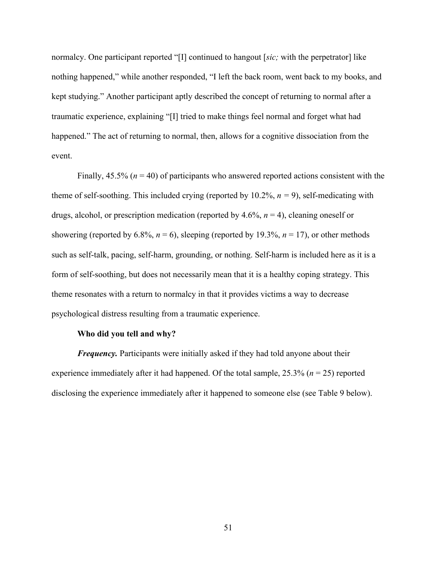normalcy. One participant reported "[I] continued to hangout [*sic;* with the perpetrator] like nothing happened," while another responded, "I left the back room, went back to my books, and kept studying." Another participant aptly described the concept of returning to normal after a traumatic experience, explaining "[I] tried to make things feel normal and forget what had happened." The act of returning to normal, then, allows for a cognitive dissociation from the event.

Finally,  $45.5\%$  ( $n = 40$ ) of participants who answered reported actions consistent with the theme of self-soothing. This included crying (reported by 10.2%, *n =* 9), self-medicating with drugs, alcohol, or prescription medication (reported by  $4.6\%$ ,  $n = 4$ ), cleaning oneself or showering (reported by 6.8%,  $n = 6$ ), sleeping (reported by 19.3%,  $n = 17$ ), or other methods such as self-talk, pacing, self-harm, grounding, or nothing. Self-harm is included here as it is a form of self-soothing, but does not necessarily mean that it is a healthy coping strategy. This theme resonates with a return to normalcy in that it provides victims a way to decrease psychological distress resulting from a traumatic experience.

# **Who did you tell and why?**

*Frequency*. Participants were initially asked if they had told anyone about their experience immediately after it had happened. Of the total sample, 25.3% (*n* = 25) reported disclosing the experience immediately after it happened to someone else (see Table 9 below).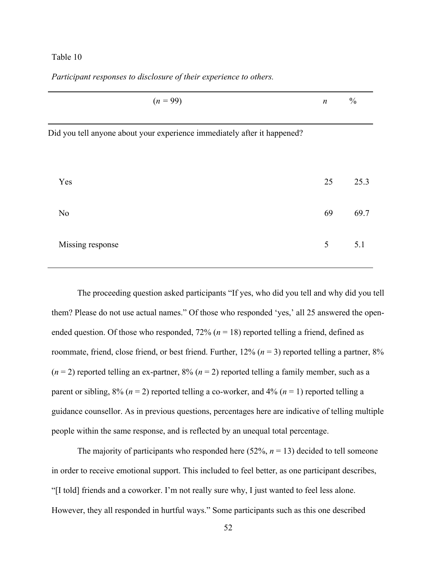# Table 10

| $(n = 99)$                                                               | $\boldsymbol{n}$ | $\frac{0}{0}$ |
|--------------------------------------------------------------------------|------------------|---------------|
| Did you tell anyone about your experience immediately after it happened? |                  |               |
| Yes                                                                      | 25               | 25.3          |
| N <sub>0</sub>                                                           | 69               | 69.7          |
| Missing response                                                         | 5                | 5.1           |
|                                                                          |                  |               |

*Participant responses to disclosure of their experience to others.*

The proceeding question asked participants "If yes, who did you tell and why did you tell them? Please do not use actual names." Of those who responded 'yes,' all 25 answered the openended question. Of those who responded,  $72\%$  ( $n = 18$ ) reported telling a friend, defined as roommate, friend, close friend, or best friend. Further,  $12\%$  ( $n = 3$ ) reported telling a partner,  $8\%$  $(n=2)$  reported telling an ex-partner,  $8\%$   $(n=2)$  reported telling a family member, such as a parent or sibling,  $8\%$  ( $n = 2$ ) reported telling a co-worker, and  $4\%$  ( $n = 1$ ) reported telling a guidance counsellor. As in previous questions, percentages here are indicative of telling multiple people within the same response, and is reflected by an unequal total percentage.

The majority of participants who responded here  $(52\%, n = 13)$  decided to tell someone in order to receive emotional support. This included to feel better, as one participant describes, "[I told] friends and a coworker. I'm not really sure why, I just wanted to feel less alone. However, they all responded in hurtful ways." Some participants such as this one described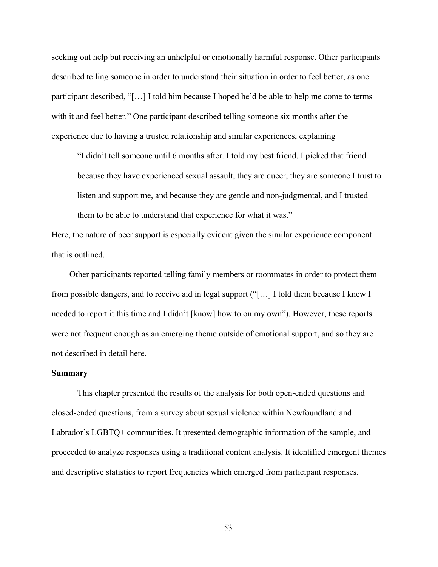seeking out help but receiving an unhelpful or emotionally harmful response. Other participants described telling someone in order to understand their situation in order to feel better, as one participant described, "[…] I told him because I hoped he'd be able to help me come to terms with it and feel better." One participant described telling someone six months after the experience due to having a trusted relationship and similar experiences, explaining

"I didn't tell someone until 6 months after. I told my best friend. I picked that friend because they have experienced sexual assault, they are queer, they are someone I trust to listen and support me, and because they are gentle and non-judgmental, and I trusted them to be able to understand that experience for what it was."

Here, the nature of peer support is especially evident given the similar experience component that is outlined.

Other participants reported telling family members or roommates in order to protect them from possible dangers, and to receive aid in legal support ("[…] I told them because I knew I needed to report it this time and I didn't [know] how to on my own"). However, these reports were not frequent enough as an emerging theme outside of emotional support, and so they are not described in detail here.

#### **Summary**

This chapter presented the results of the analysis for both open-ended questions and closed-ended questions, from a survey about sexual violence within Newfoundland and Labrador's LGBTQ+ communities. It presented demographic information of the sample, and proceeded to analyze responses using a traditional content analysis. It identified emergent themes and descriptive statistics to report frequencies which emerged from participant responses.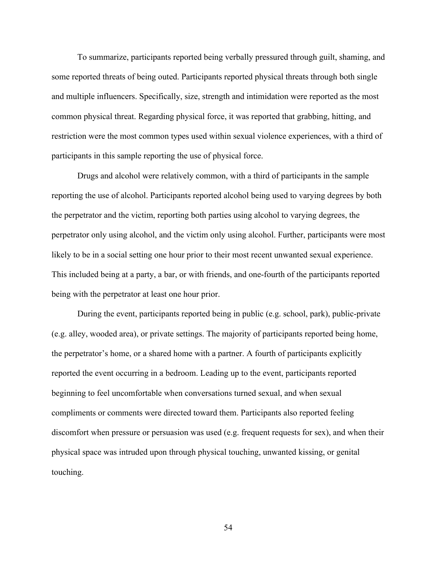To summarize, participants reported being verbally pressured through guilt, shaming, and some reported threats of being outed. Participants reported physical threats through both single and multiple influencers. Specifically, size, strength and intimidation were reported as the most common physical threat. Regarding physical force, it was reported that grabbing, hitting, and restriction were the most common types used within sexual violence experiences, with a third of participants in this sample reporting the use of physical force.

 Drugs and alcohol were relatively common, with a third of participants in the sample reporting the use of alcohol. Participants reported alcohol being used to varying degrees by both the perpetrator and the victim, reporting both parties using alcohol to varying degrees, the perpetrator only using alcohol, and the victim only using alcohol. Further, participants were most likely to be in a social setting one hour prior to their most recent unwanted sexual experience. This included being at a party, a bar, or with friends, and one-fourth of the participants reported being with the perpetrator at least one hour prior.

 During the event, participants reported being in public (e.g. school, park), public-private (e.g. alley, wooded area), or private settings. The majority of participants reported being home, the perpetrator's home, or a shared home with a partner. A fourth of participants explicitly reported the event occurring in a bedroom. Leading up to the event, participants reported beginning to feel uncomfortable when conversations turned sexual, and when sexual compliments or comments were directed toward them. Participants also reported feeling discomfort when pressure or persuasion was used (e.g. frequent requests for sex), and when their physical space was intruded upon through physical touching, unwanted kissing, or genital touching.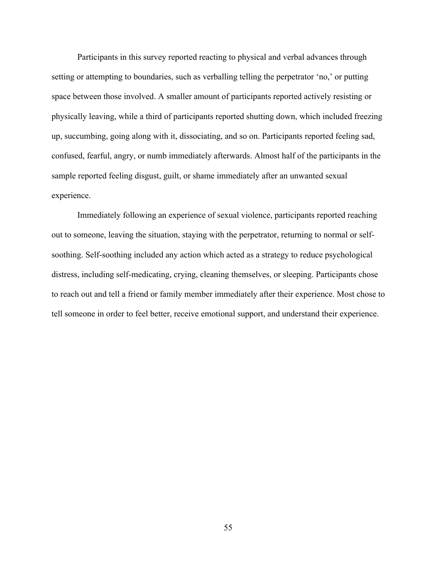Participants in this survey reported reacting to physical and verbal advances through setting or attempting to boundaries, such as verballing telling the perpetrator 'no,' or putting space between those involved. A smaller amount of participants reported actively resisting or physically leaving, while a third of participants reported shutting down, which included freezing up, succumbing, going along with it, dissociating, and so on. Participants reported feeling sad, confused, fearful, angry, or numb immediately afterwards. Almost half of the participants in the sample reported feeling disgust, guilt, or shame immediately after an unwanted sexual experience.

 Immediately following an experience of sexual violence, participants reported reaching out to someone, leaving the situation, staying with the perpetrator, returning to normal or selfsoothing. Self-soothing included any action which acted as a strategy to reduce psychological distress, including self-medicating, crying, cleaning themselves, or sleeping. Participants chose to reach out and tell a friend or family member immediately after their experience. Most chose to tell someone in order to feel better, receive emotional support, and understand their experience.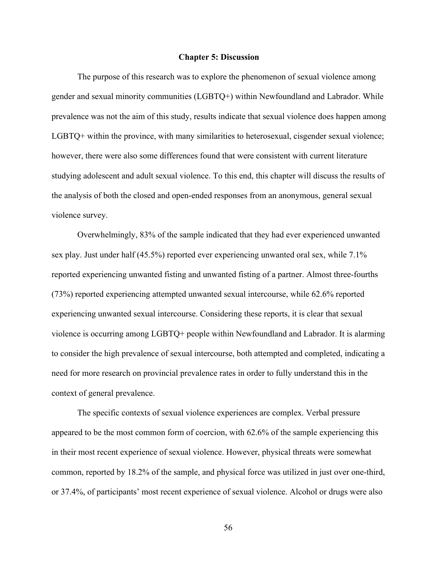#### **Chapter 5: Discussion**

The purpose of this research was to explore the phenomenon of sexual violence among gender and sexual minority communities (LGBTQ+) within Newfoundland and Labrador. While prevalence was not the aim of this study, results indicate that sexual violence does happen among LGBTQ+ within the province, with many similarities to heterosexual, cisgender sexual violence; however, there were also some differences found that were consistent with current literature studying adolescent and adult sexual violence. To this end, this chapter will discuss the results of the analysis of both the closed and open-ended responses from an anonymous, general sexual violence survey.

Overwhelmingly, 83% of the sample indicated that they had ever experienced unwanted sex play. Just under half (45.5%) reported ever experiencing unwanted oral sex, while 7.1% reported experiencing unwanted fisting and unwanted fisting of a partner. Almost three-fourths (73%) reported experiencing attempted unwanted sexual intercourse, while 62.6% reported experiencing unwanted sexual intercourse. Considering these reports, it is clear that sexual violence is occurring among LGBTQ+ people within Newfoundland and Labrador. It is alarming to consider the high prevalence of sexual intercourse, both attempted and completed, indicating a need for more research on provincial prevalence rates in order to fully understand this in the context of general prevalence.

The specific contexts of sexual violence experiences are complex. Verbal pressure appeared to be the most common form of coercion, with 62.6% of the sample experiencing this in their most recent experience of sexual violence. However, physical threats were somewhat common, reported by 18.2% of the sample, and physical force was utilized in just over one-third, or 37.4%, of participants' most recent experience of sexual violence. Alcohol or drugs were also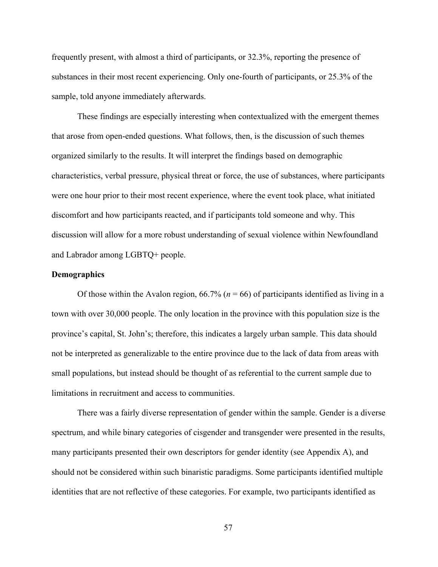frequently present, with almost a third of participants, or 32.3%, reporting the presence of substances in their most recent experiencing. Only one-fourth of participants, or 25.3% of the sample, told anyone immediately afterwards.

These findings are especially interesting when contextualized with the emergent themes that arose from open-ended questions. What follows, then, is the discussion of such themes organized similarly to the results. It will interpret the findings based on demographic characteristics, verbal pressure, physical threat or force, the use of substances, where participants were one hour prior to their most recent experience, where the event took place, what initiated discomfort and how participants reacted, and if participants told someone and why. This discussion will allow for a more robust understanding of sexual violence within Newfoundland and Labrador among LGBTQ+ people.

#### **Demographics**

Of those within the Avalon region,  $66.7\%$  ( $n = 66$ ) of participants identified as living in a town with over 30,000 people. The only location in the province with this population size is the province's capital, St. John's; therefore, this indicates a largely urban sample. This data should not be interpreted as generalizable to the entire province due to the lack of data from areas with small populations, but instead should be thought of as referential to the current sample due to limitations in recruitment and access to communities.

There was a fairly diverse representation of gender within the sample. Gender is a diverse spectrum, and while binary categories of cisgender and transgender were presented in the results, many participants presented their own descriptors for gender identity (see Appendix A), and should not be considered within such binaristic paradigms. Some participants identified multiple identities that are not reflective of these categories. For example, two participants identified as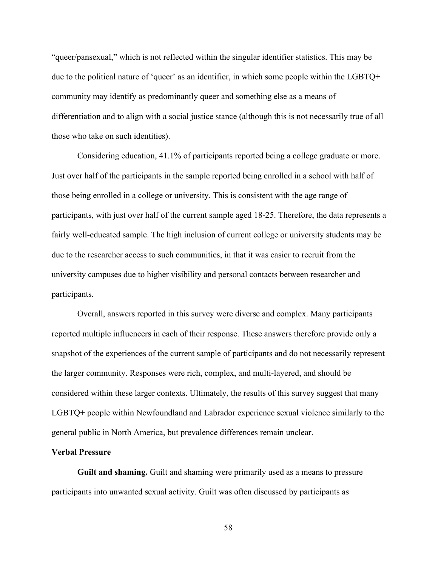"queer/pansexual," which is not reflected within the singular identifier statistics. This may be due to the political nature of 'queer' as an identifier, in which some people within the LGBTQ+ community may identify as predominantly queer and something else as a means of differentiation and to align with a social justice stance (although this is not necessarily true of all those who take on such identities).

Considering education, 41.1% of participants reported being a college graduate or more. Just over half of the participants in the sample reported being enrolled in a school with half of those being enrolled in a college or university. This is consistent with the age range of participants, with just over half of the current sample aged 18-25. Therefore, the data represents a fairly well-educated sample. The high inclusion of current college or university students may be due to the researcher access to such communities, in that it was easier to recruit from the university campuses due to higher visibility and personal contacts between researcher and participants.

Overall, answers reported in this survey were diverse and complex. Many participants reported multiple influencers in each of their response. These answers therefore provide only a snapshot of the experiences of the current sample of participants and do not necessarily represent the larger community. Responses were rich, complex, and multi-layered, and should be considered within these larger contexts. Ultimately, the results of this survey suggest that many LGBTQ+ people within Newfoundland and Labrador experience sexual violence similarly to the general public in North America, but prevalence differences remain unclear.

# **Verbal Pressure**

 **Guilt and shaming.** Guilt and shaming were primarily used as a means to pressure participants into unwanted sexual activity. Guilt was often discussed by participants as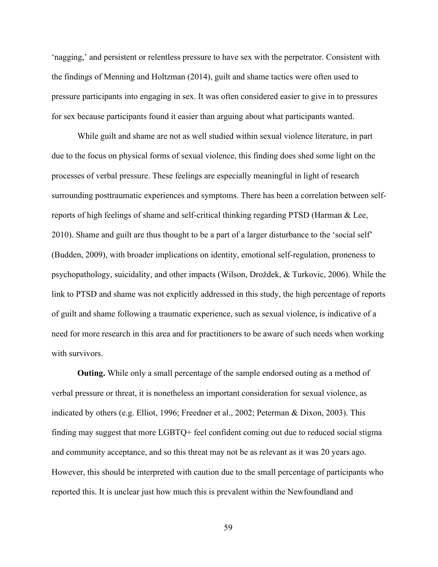'nagging,' and persistent or relentless pressure to have sex with the perpetrator. Consistent with the findings of Menning and Holtzman (2014), guilt and shame tactics were often used to pressure participants into engaging in sex. It was often considered easier to give in to pressures for sex because participants found it easier than arguing about what participants wanted.

While guilt and shame are not as well studied within sexual violence literature, in part due to the focus on physical forms of sexual violence, this finding does shed some light on the processes of verbal pressure. These feelings are especially meaningful in light of research surrounding posttraumatic experiences and symptoms. There has been a correlation between selfreports of high feelings of shame and self-critical thinking regarding PTSD (Harman & Lee, 2010). Shame and guilt are thus thought to be a part of a larger disturbance to the 'social self' (Budden, 2009), with broader implications on identity, emotional self-regulation, proneness to psychopathology, suicidality, and other impacts (Wilson, Droždek, & Turkovic, 2006). While the link to PTSD and shame was not explicitly addressed in this study, the high percentage of reports of guilt and shame following a traumatic experience, such as sexual violence, is indicative of a need for more research in this area and for practitioners to be aware of such needs when working with survivors.

 **Outing.** While only a small percentage of the sample endorsed outing as a method of verbal pressure or threat, it is nonetheless an important consideration for sexual violence, as indicated by others (e.g. Elliot, 1996; Freedner et al., 2002; Peterman & Dixon, 2003). This finding may suggest that more LGBTQ+ feel confident coming out due to reduced social stigma and community acceptance, and so this threat may not be as relevant as it was 20 years ago. However, this should be interpreted with caution due to the small percentage of participants who reported this. It is unclear just how much this is prevalent within the Newfoundland and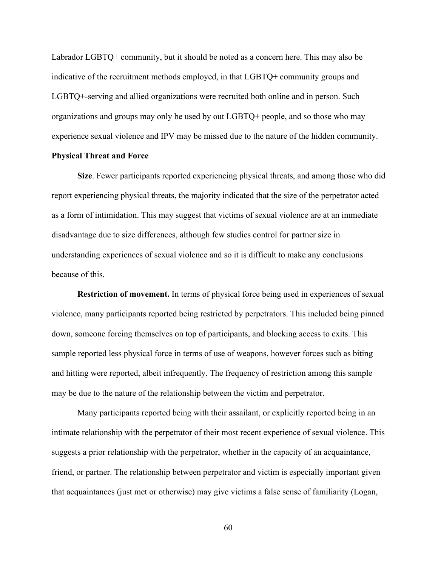Labrador LGBTQ+ community, but it should be noted as a concern here. This may also be indicative of the recruitment methods employed, in that LGBTQ+ community groups and LGBTQ+-serving and allied organizations were recruited both online and in person. Such organizations and groups may only be used by out LGBTQ+ people, and so those who may experience sexual violence and IPV may be missed due to the nature of the hidden community.

# **Physical Threat and Force**

 **Size**. Fewer participants reported experiencing physical threats, and among those who did report experiencing physical threats, the majority indicated that the size of the perpetrator acted as a form of intimidation. This may suggest that victims of sexual violence are at an immediate disadvantage due to size differences, although few studies control for partner size in understanding experiences of sexual violence and so it is difficult to make any conclusions because of this.

 **Restriction of movement.** In terms of physical force being used in experiences of sexual violence, many participants reported being restricted by perpetrators. This included being pinned down, someone forcing themselves on top of participants, and blocking access to exits. This sample reported less physical force in terms of use of weapons, however forces such as biting and hitting were reported, albeit infrequently. The frequency of restriction among this sample may be due to the nature of the relationship between the victim and perpetrator.

Many participants reported being with their assailant, or explicitly reported being in an intimate relationship with the perpetrator of their most recent experience of sexual violence. This suggests a prior relationship with the perpetrator, whether in the capacity of an acquaintance, friend, or partner. The relationship between perpetrator and victim is especially important given that acquaintances (just met or otherwise) may give victims a false sense of familiarity (Logan,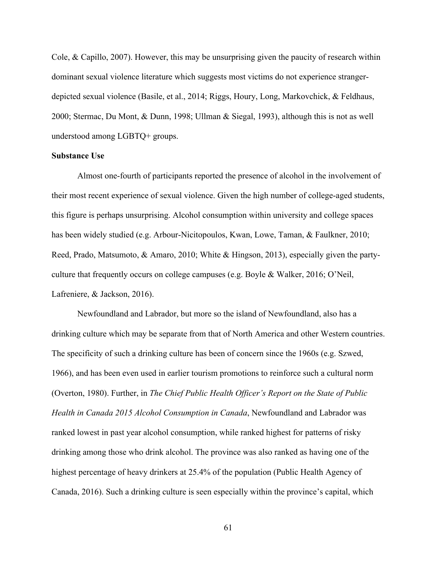Cole, & Capillo, 2007). However, this may be unsurprising given the paucity of research within dominant sexual violence literature which suggests most victims do not experience strangerdepicted sexual violence (Basile, et al., 2014; Riggs, Houry, Long, Markovchick, & Feldhaus, 2000; Stermac, Du Mont, & Dunn, 1998; Ullman & Siegal, 1993), although this is not as well understood among LGBTQ+ groups.

# **Substance Use**

Almost one-fourth of participants reported the presence of alcohol in the involvement of their most recent experience of sexual violence. Given the high number of college-aged students, this figure is perhaps unsurprising. Alcohol consumption within university and college spaces has been widely studied (e.g. Arbour-Nicitopoulos, Kwan, Lowe, Taman, & Faulkner, 2010; Reed, Prado, Matsumoto, & Amaro, 2010; White & Hingson, 2013), especially given the partyculture that frequently occurs on college campuses (e.g. Boyle & Walker, 2016; O'Neil, Lafreniere, & Jackson, 2016).

 Newfoundland and Labrador, but more so the island of Newfoundland, also has a drinking culture which may be separate from that of North America and other Western countries. The specificity of such a drinking culture has been of concern since the 1960s (e.g. Szwed, 1966), and has been even used in earlier tourism promotions to reinforce such a cultural norm (Overton, 1980). Further, in *The Chief Public Health Officer's Report on the State of Public Health in Canada 2015 Alcohol Consumption in Canada*, Newfoundland and Labrador was ranked lowest in past year alcohol consumption, while ranked highest for patterns of risky drinking among those who drink alcohol. The province was also ranked as having one of the highest percentage of heavy drinkers at 25.4% of the population (Public Health Agency of Canada, 2016). Such a drinking culture is seen especially within the province's capital, which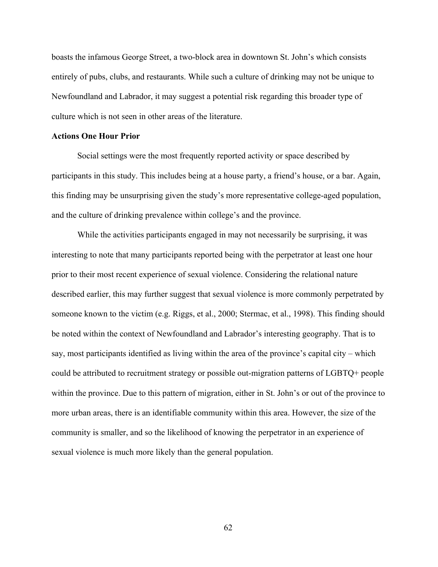boasts the infamous George Street, a two-block area in downtown St. John's which consists entirely of pubs, clubs, and restaurants. While such a culture of drinking may not be unique to Newfoundland and Labrador, it may suggest a potential risk regarding this broader type of culture which is not seen in other areas of the literature.

# **Actions One Hour Prior**

Social settings were the most frequently reported activity or space described by participants in this study. This includes being at a house party, a friend's house, or a bar. Again, this finding may be unsurprising given the study's more representative college-aged population, and the culture of drinking prevalence within college's and the province.

 While the activities participants engaged in may not necessarily be surprising, it was interesting to note that many participants reported being with the perpetrator at least one hour prior to their most recent experience of sexual violence. Considering the relational nature described earlier, this may further suggest that sexual violence is more commonly perpetrated by someone known to the victim (e.g. Riggs, et al., 2000; Stermac, et al., 1998). This finding should be noted within the context of Newfoundland and Labrador's interesting geography. That is to say, most participants identified as living within the area of the province's capital city – which could be attributed to recruitment strategy or possible out-migration patterns of LGBTQ+ people within the province. Due to this pattern of migration, either in St. John's or out of the province to more urban areas, there is an identifiable community within this area. However, the size of the community is smaller, and so the likelihood of knowing the perpetrator in an experience of sexual violence is much more likely than the general population.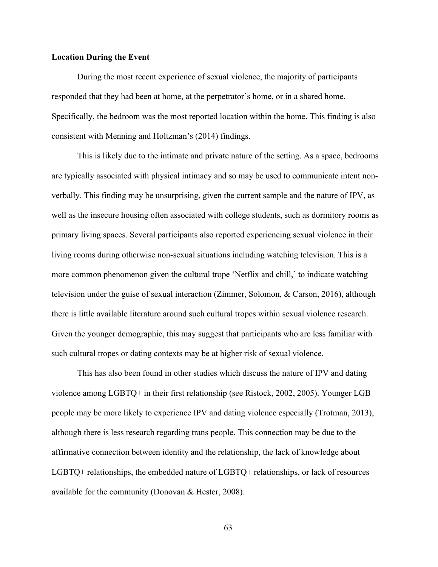### **Location During the Event**

During the most recent experience of sexual violence, the majority of participants responded that they had been at home, at the perpetrator's home, or in a shared home. Specifically, the bedroom was the most reported location within the home. This finding is also consistent with Menning and Holtzman's (2014) findings.

 This is likely due to the intimate and private nature of the setting. As a space, bedrooms are typically associated with physical intimacy and so may be used to communicate intent nonverbally. This finding may be unsurprising, given the current sample and the nature of IPV, as well as the insecure housing often associated with college students, such as dormitory rooms as primary living spaces. Several participants also reported experiencing sexual violence in their living rooms during otherwise non-sexual situations including watching television. This is a more common phenomenon given the cultural trope 'Netflix and chill,' to indicate watching television under the guise of sexual interaction (Zimmer, Solomon, & Carson, 2016), although there is little available literature around such cultural tropes within sexual violence research. Given the younger demographic, this may suggest that participants who are less familiar with such cultural tropes or dating contexts may be at higher risk of sexual violence.

This has also been found in other studies which discuss the nature of IPV and dating violence among LGBTQ+ in their first relationship (see Ristock, 2002, 2005). Younger LGB people may be more likely to experience IPV and dating violence especially (Trotman, 2013), although there is less research regarding trans people. This connection may be due to the affirmative connection between identity and the relationship, the lack of knowledge about LGBTQ+ relationships, the embedded nature of LGBTQ+ relationships, or lack of resources available for the community (Donovan & Hester, 2008).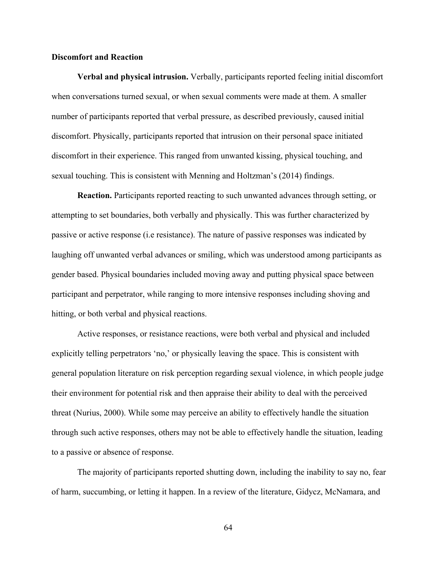# **Discomfort and Reaction**

 **Verbal and physical intrusion.** Verbally, participants reported feeling initial discomfort when conversations turned sexual, or when sexual comments were made at them. A smaller number of participants reported that verbal pressure, as described previously, caused initial discomfort. Physically, participants reported that intrusion on their personal space initiated discomfort in their experience. This ranged from unwanted kissing, physical touching, and sexual touching. This is consistent with Menning and Holtzman's (2014) findings.

 **Reaction.** Participants reported reacting to such unwanted advances through setting, or attempting to set boundaries, both verbally and physically. This was further characterized by passive or active response (i.e resistance). The nature of passive responses was indicated by laughing off unwanted verbal advances or smiling, which was understood among participants as gender based. Physical boundaries included moving away and putting physical space between participant and perpetrator, while ranging to more intensive responses including shoving and hitting, or both verbal and physical reactions.

 Active responses, or resistance reactions, were both verbal and physical and included explicitly telling perpetrators 'no,' or physically leaving the space. This is consistent with general population literature on risk perception regarding sexual violence, in which people judge their environment for potential risk and then appraise their ability to deal with the perceived threat (Nurius, 2000). While some may perceive an ability to effectively handle the situation through such active responses, others may not be able to effectively handle the situation, leading to a passive or absence of response.

 The majority of participants reported shutting down, including the inability to say no, fear of harm, succumbing, or letting it happen. In a review of the literature, Gidycz, McNamara, and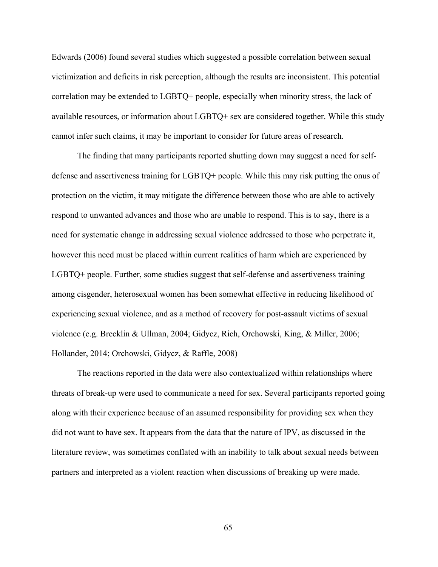Edwards (2006) found several studies which suggested a possible correlation between sexual victimization and deficits in risk perception, although the results are inconsistent. This potential correlation may be extended to LGBTQ+ people, especially when minority stress, the lack of available resources, or information about LGBTQ+ sex are considered together. While this study cannot infer such claims, it may be important to consider for future areas of research.

The finding that many participants reported shutting down may suggest a need for selfdefense and assertiveness training for LGBTQ+ people. While this may risk putting the onus of protection on the victim, it may mitigate the difference between those who are able to actively respond to unwanted advances and those who are unable to respond. This is to say, there is a need for systematic change in addressing sexual violence addressed to those who perpetrate it, however this need must be placed within current realities of harm which are experienced by LGBTQ+ people. Further, some studies suggest that self-defense and assertiveness training among cisgender, heterosexual women has been somewhat effective in reducing likelihood of experiencing sexual violence, and as a method of recovery for post-assault victims of sexual violence (e.g. Brecklin & Ullman, 2004; Gidycz, Rich, Orchowski, King, & Miller, 2006; Hollander, 2014; Orchowski, Gidycz, & Raffle, 2008)

The reactions reported in the data were also contextualized within relationships where threats of break-up were used to communicate a need for sex. Several participants reported going along with their experience because of an assumed responsibility for providing sex when they did not want to have sex. It appears from the data that the nature of IPV, as discussed in the literature review, was sometimes conflated with an inability to talk about sexual needs between partners and interpreted as a violent reaction when discussions of breaking up were made.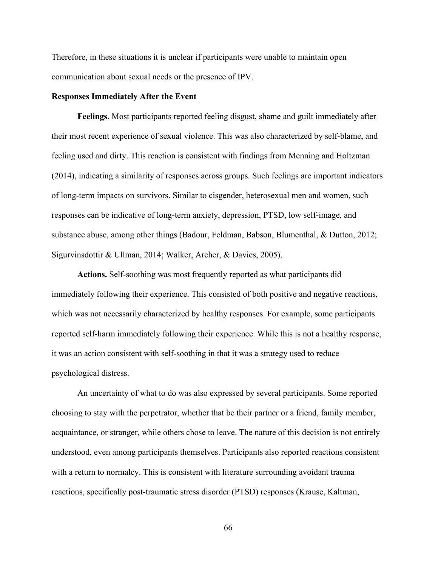Therefore, in these situations it is unclear if participants were unable to maintain open communication about sexual needs or the presence of IPV.

# **Responses Immediately After the Event**

 **Feelings.** Most participants reported feeling disgust, shame and guilt immediately after their most recent experience of sexual violence. This was also characterized by self-blame, and feeling used and dirty. This reaction is consistent with findings from Menning and Holtzman (2014), indicating a similarity of responses across groups. Such feelings are important indicators of long-term impacts on survivors. Similar to cisgender, heterosexual men and women, such responses can be indicative of long-term anxiety, depression, PTSD, low self-image, and substance abuse, among other things (Badour, Feldman, Babson, Blumenthal, & Dutton, 2012; Sigurvinsdottir & Ullman, 2014; Walker, Archer, & Davies, 2005).

 **Actions.** Self-soothing was most frequently reported as what participants did immediately following their experience. This consisted of both positive and negative reactions, which was not necessarily characterized by healthy responses. For example, some participants reported self-harm immediately following their experience. While this is not a healthy response, it was an action consistent with self-soothing in that it was a strategy used to reduce psychological distress.

 An uncertainty of what to do was also expressed by several participants. Some reported choosing to stay with the perpetrator, whether that be their partner or a friend, family member, acquaintance, or stranger, while others chose to leave. The nature of this decision is not entirely understood, even among participants themselves. Participants also reported reactions consistent with a return to normalcy. This is consistent with literature surrounding avoidant trauma reactions, specifically post-traumatic stress disorder (PTSD) responses (Krause, Kaltman,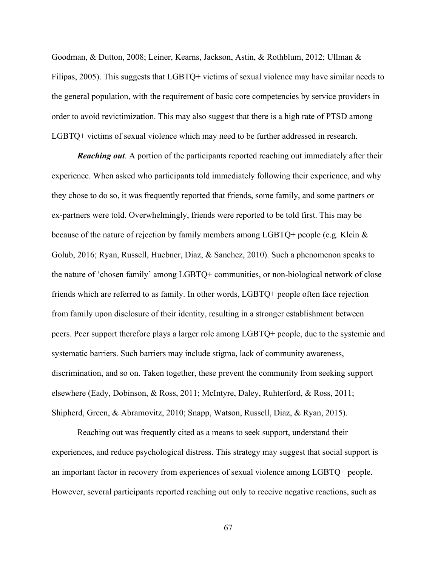Goodman, & Dutton, 2008; Leiner, Kearns, Jackson, Astin, & Rothblum, 2012; Ullman & Filipas, 2005). This suggests that LGBTQ+ victims of sexual violence may have similar needs to the general population, with the requirement of basic core competencies by service providers in order to avoid revictimization. This may also suggest that there is a high rate of PTSD among LGBTQ+ victims of sexual violence which may need to be further addressed in research.

*Reaching out.* A portion of the participants reported reaching out immediately after their experience. When asked who participants told immediately following their experience, and why they chose to do so, it was frequently reported that friends, some family, and some partners or ex-partners were told. Overwhelmingly, friends were reported to be told first. This may be because of the nature of rejection by family members among LGBTQ+ people (e.g. Klein  $\&$ Golub, 2016; Ryan, Russell, Huebner, Diaz, & Sanchez, 2010). Such a phenomenon speaks to the nature of 'chosen family' among LGBTQ+ communities, or non-biological network of close friends which are referred to as family. In other words, LGBTQ+ people often face rejection from family upon disclosure of their identity, resulting in a stronger establishment between peers. Peer support therefore plays a larger role among LGBTQ+ people, due to the systemic and systematic barriers. Such barriers may include stigma, lack of community awareness, discrimination, and so on. Taken together, these prevent the community from seeking support elsewhere (Eady, Dobinson, & Ross, 2011; McIntyre, Daley, Ruhterford, & Ross, 2011; Shipherd, Green, & Abramovitz, 2010; Snapp, Watson, Russell, Diaz, & Ryan, 2015).

 Reaching out was frequently cited as a means to seek support, understand their experiences, and reduce psychological distress. This strategy may suggest that social support is an important factor in recovery from experiences of sexual violence among LGBTQ+ people. However, several participants reported reaching out only to receive negative reactions, such as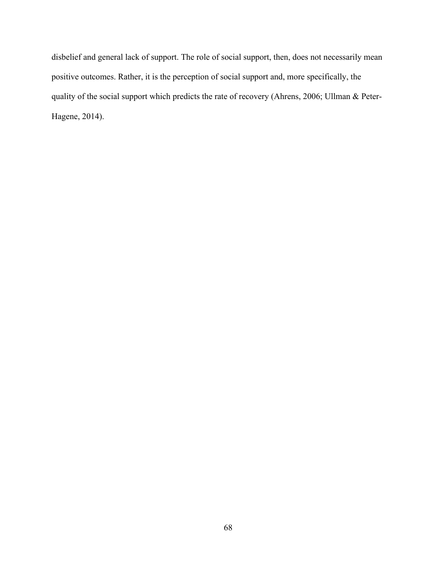disbelief and general lack of support. The role of social support, then, does not necessarily mean positive outcomes. Rather, it is the perception of social support and, more specifically, the quality of the social support which predicts the rate of recovery (Ahrens, 2006; Ullman & Peter-Hagene, 2014).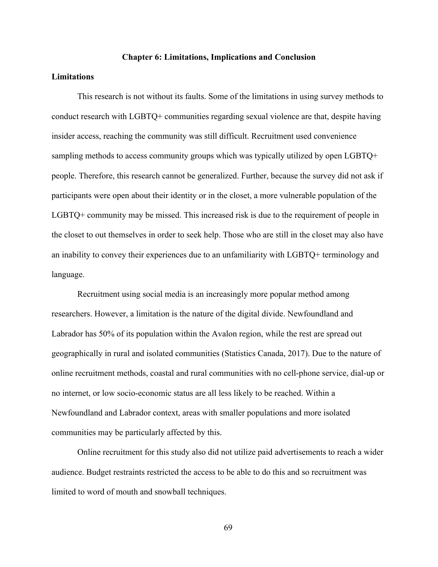## **Chapter 6: Limitations, Implications and Conclusion**

# **Limitations**

This research is not without its faults. Some of the limitations in using survey methods to conduct research with LGBTQ+ communities regarding sexual violence are that, despite having insider access, reaching the community was still difficult. Recruitment used convenience sampling methods to access community groups which was typically utilized by open LGBTQ+ people. Therefore, this research cannot be generalized. Further, because the survey did not ask if participants were open about their identity or in the closet, a more vulnerable population of the LGBTQ+ community may be missed. This increased risk is due to the requirement of people in the closet to out themselves in order to seek help. Those who are still in the closet may also have an inability to convey their experiences due to an unfamiliarity with LGBTQ+ terminology and language.

Recruitment using social media is an increasingly more popular method among researchers. However, a limitation is the nature of the digital divide. Newfoundland and Labrador has 50% of its population within the Avalon region, while the rest are spread out geographically in rural and isolated communities (Statistics Canada, 2017). Due to the nature of online recruitment methods, coastal and rural communities with no cell-phone service, dial-up or no internet, or low socio-economic status are all less likely to be reached. Within a Newfoundland and Labrador context, areas with smaller populations and more isolated communities may be particularly affected by this.

Online recruitment for this study also did not utilize paid advertisements to reach a wider audience. Budget restraints restricted the access to be able to do this and so recruitment was limited to word of mouth and snowball techniques.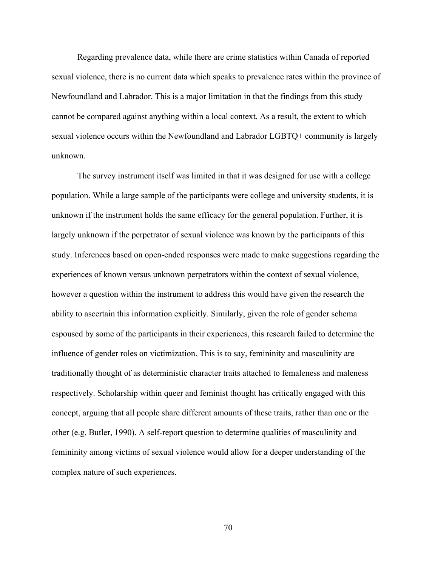Regarding prevalence data, while there are crime statistics within Canada of reported sexual violence, there is no current data which speaks to prevalence rates within the province of Newfoundland and Labrador. This is a major limitation in that the findings from this study cannot be compared against anything within a local context. As a result, the extent to which sexual violence occurs within the Newfoundland and Labrador LGBTQ+ community is largely unknown.

The survey instrument itself was limited in that it was designed for use with a college population. While a large sample of the participants were college and university students, it is unknown if the instrument holds the same efficacy for the general population. Further, it is largely unknown if the perpetrator of sexual violence was known by the participants of this study. Inferences based on open-ended responses were made to make suggestions regarding the experiences of known versus unknown perpetrators within the context of sexual violence, however a question within the instrument to address this would have given the research the ability to ascertain this information explicitly. Similarly, given the role of gender schema espoused by some of the participants in their experiences, this research failed to determine the influence of gender roles on victimization. This is to say, femininity and masculinity are traditionally thought of as deterministic character traits attached to femaleness and maleness respectively. Scholarship within queer and feminist thought has critically engaged with this concept, arguing that all people share different amounts of these traits, rather than one or the other (e.g. Butler, 1990). A self-report question to determine qualities of masculinity and femininity among victims of sexual violence would allow for a deeper understanding of the complex nature of such experiences.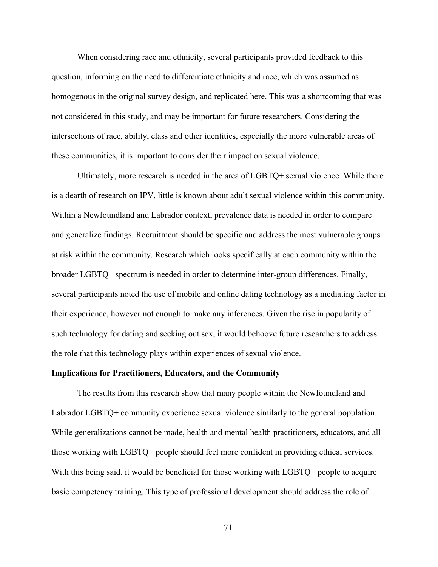When considering race and ethnicity, several participants provided feedback to this question, informing on the need to differentiate ethnicity and race, which was assumed as homogenous in the original survey design, and replicated here. This was a shortcoming that was not considered in this study, and may be important for future researchers. Considering the intersections of race, ability, class and other identities, especially the more vulnerable areas of these communities, it is important to consider their impact on sexual violence.

Ultimately, more research is needed in the area of LGBTQ+ sexual violence. While there is a dearth of research on IPV, little is known about adult sexual violence within this community. Within a Newfoundland and Labrador context, prevalence data is needed in order to compare and generalize findings. Recruitment should be specific and address the most vulnerable groups at risk within the community. Research which looks specifically at each community within the broader LGBTQ+ spectrum is needed in order to determine inter-group differences. Finally, several participants noted the use of mobile and online dating technology as a mediating factor in their experience, however not enough to make any inferences. Given the rise in popularity of such technology for dating and seeking out sex, it would behoove future researchers to address the role that this technology plays within experiences of sexual violence.

#### **Implications for Practitioners, Educators, and the Community**

The results from this research show that many people within the Newfoundland and Labrador LGBTQ+ community experience sexual violence similarly to the general population. While generalizations cannot be made, health and mental health practitioners, educators, and all those working with LGBTQ+ people should feel more confident in providing ethical services. With this being said, it would be beneficial for those working with LGBTQ+ people to acquire basic competency training. This type of professional development should address the role of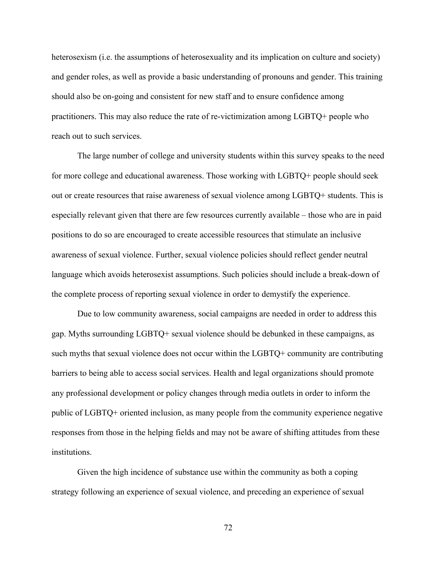heterosexism (i.e. the assumptions of heterosexuality and its implication on culture and society) and gender roles, as well as provide a basic understanding of pronouns and gender. This training should also be on-going and consistent for new staff and to ensure confidence among practitioners. This may also reduce the rate of re-victimization among LGBTQ+ people who reach out to such services.

The large number of college and university students within this survey speaks to the need for more college and educational awareness. Those working with LGBTQ+ people should seek out or create resources that raise awareness of sexual violence among LGBTQ+ students. This is especially relevant given that there are few resources currently available – those who are in paid positions to do so are encouraged to create accessible resources that stimulate an inclusive awareness of sexual violence. Further, sexual violence policies should reflect gender neutral language which avoids heterosexist assumptions. Such policies should include a break-down of the complete process of reporting sexual violence in order to demystify the experience.

Due to low community awareness, social campaigns are needed in order to address this gap. Myths surrounding LGBTQ+ sexual violence should be debunked in these campaigns, as such myths that sexual violence does not occur within the LGBTQ+ community are contributing barriers to being able to access social services. Health and legal organizations should promote any professional development or policy changes through media outlets in order to inform the public of LGBTQ+ oriented inclusion, as many people from the community experience negative responses from those in the helping fields and may not be aware of shifting attitudes from these institutions.

Given the high incidence of substance use within the community as both a coping strategy following an experience of sexual violence, and preceding an experience of sexual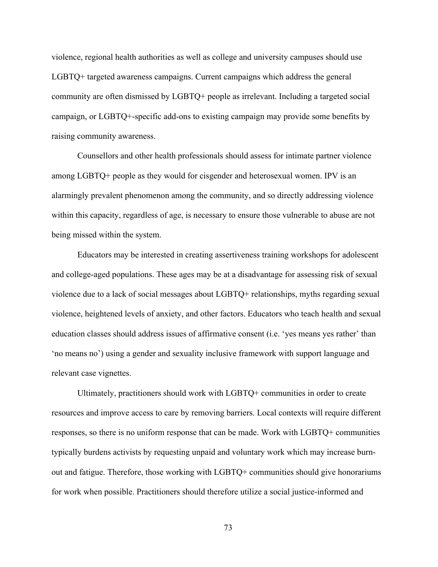violence, regional health authorities as well as college and university campuses should use LGBTQ+ targeted awareness campaigns. Current campaigns which address the general community are often dismissed by LGBTQ+ people as irrelevant. Including a targeted social campaign, or LGBTQ+-specific add-ons to existing campaign may provide some benefits by raising community awareness.

Counsellors and other health professionals should assess for intimate partner violence among LGBTQ+ people as they would for cisgender and heterosexual women. IPV is an alarmingly prevalent phenomenon among the community, and so directly addressing violence within this capacity, regardless of age, is necessary to ensure those vulnerable to abuse are not being missed within the system.

Educators may be interested in creating assertiveness training workshops for adolescent and college-aged populations. These ages may be at a disadvantage for assessing risk of sexual violence due to a lack of social messages about LGBTQ+ relationships, myths regarding sexual violence, heightened levels of anxiety, and other factors. Educators who teach health and sexual education classes should address issues of affirmative consent (i.e. 'yes means yes rather' than 'no means no') using a gender and sexuality inclusive framework with support language and relevant case vignettes.

Ultimately, practitioners should work with LGBTQ+ communities in order to create resources and improve access to care by removing barriers. Local contexts will require different responses, so there is no uniform response that can be made. Work with LGBTQ+ communities typically burdens activists by requesting unpaid and voluntary work which may increase burnout and fatigue. Therefore, those working with LGBTQ+ communities should give honorariums for work when possible. Practitioners should therefore utilize a social justice-informed and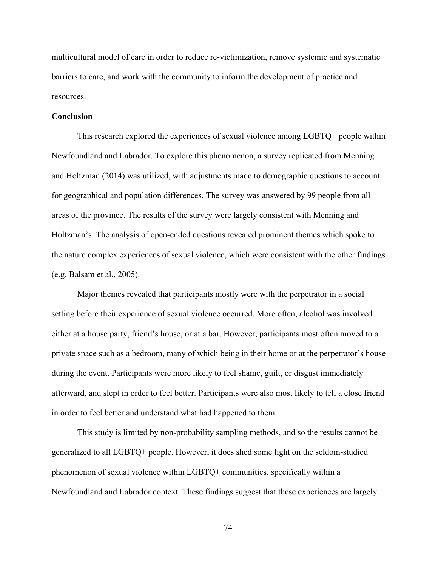multicultural model of care in order to reduce re-victimization, remove systemic and systematic barriers to care, and work with the community to inform the development of practice and resources.

# **Conclusion**

This research explored the experiences of sexual violence among LGBTQ+ people within Newfoundland and Labrador. To explore this phenomenon, a survey replicated from Menning and Holtzman (2014) was utilized, with adjustments made to demographic questions to account for geographical and population differences. The survey was answered by 99 people from all areas of the province. The results of the survey were largely consistent with Menning and Holtzman's. The analysis of open-ended questions revealed prominent themes which spoke to the nature complex experiences of sexual violence, which were consistent with the other findings (e.g. Balsam et al., 2005).

 Major themes revealed that participants mostly were with the perpetrator in a social setting before their experience of sexual violence occurred. More often, alcohol was involved either at a house party, friend's house, or at a bar. However, participants most often moved to a private space such as a bedroom, many of which being in their home or at the perpetrator's house during the event. Participants were more likely to feel shame, guilt, or disgust immediately afterward, and slept in order to feel better. Participants were also most likely to tell a close friend in order to feel better and understand what had happened to them.

 This study is limited by non-probability sampling methods, and so the results cannot be generalized to all LGBTQ+ people. However, it does shed some light on the seldom-studied phenomenon of sexual violence within LGBTQ+ communities, specifically within a Newfoundland and Labrador context. These findings suggest that these experiences are largely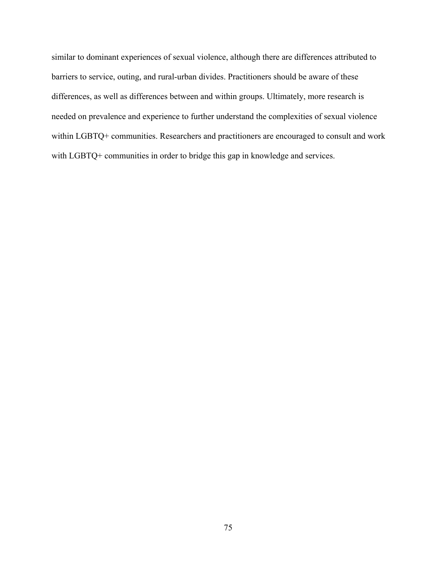similar to dominant experiences of sexual violence, although there are differences attributed to barriers to service, outing, and rural-urban divides. Practitioners should be aware of these differences, as well as differences between and within groups. Ultimately, more research is needed on prevalence and experience to further understand the complexities of sexual violence within LGBTQ+ communities. Researchers and practitioners are encouraged to consult and work with LGBTQ+ communities in order to bridge this gap in knowledge and services.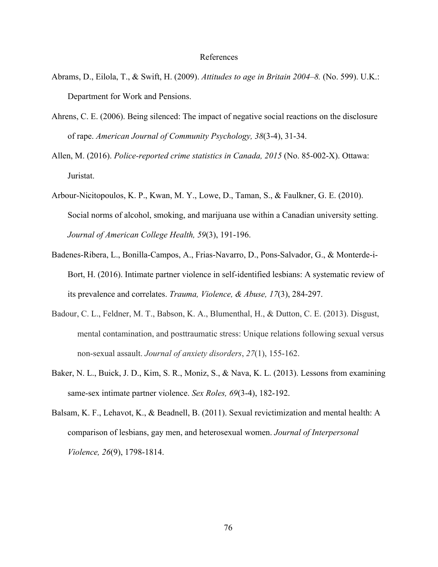### References

- Abrams, D., Eilola, T., & Swift, H. (2009). *Attitudes to age in Britain 2004–8.* (No. 599). U.K.: Department for Work and Pensions.
- Ahrens, C. E. (2006). Being silenced: The impact of negative social reactions on the disclosure of rape. *American Journal of Community Psychology, 38*(3-4), 31-34.
- Allen, M. (2016). *Police-reported crime statistics in Canada, 2015* (No. 85-002-X). Ottawa: Juristat.
- Arbour-Nicitopoulos, K. P., Kwan, M. Y., Lowe, D., Taman, S., & Faulkner, G. E. (2010). Social norms of alcohol, smoking, and marijuana use within a Canadian university setting. *Journal of American College Health, 59*(3), 191-196.
- Badenes-Ribera, L., Bonilla-Campos, A., Frias-Navarro, D., Pons-Salvador, G., & Monterde-i-Bort, H. (2016). Intimate partner violence in self-identified lesbians: A systematic review of its prevalence and correlates. *Trauma, Violence, & Abuse, 17*(3), 284-297.
- Badour, C. L., Feldner, M. T., Babson, K. A., Blumenthal, H., & Dutton, C. E. (2013). Disgust, mental contamination, and posttraumatic stress: Unique relations following sexual versus non-sexual assault. *Journal of anxiety disorders*, *27*(1), 155-162.
- Baker, N. L., Buick, J. D., Kim, S. R., Moniz, S., & Nava, K. L. (2013). Lessons from examining same-sex intimate partner violence. *Sex Roles, 69*(3-4), 182-192.
- Balsam, K. F., Lehavot, K., & Beadnell, B. (2011). Sexual revictimization and mental health: A comparison of lesbians, gay men, and heterosexual women. *Journal of Interpersonal Violence, 26*(9), 1798-1814.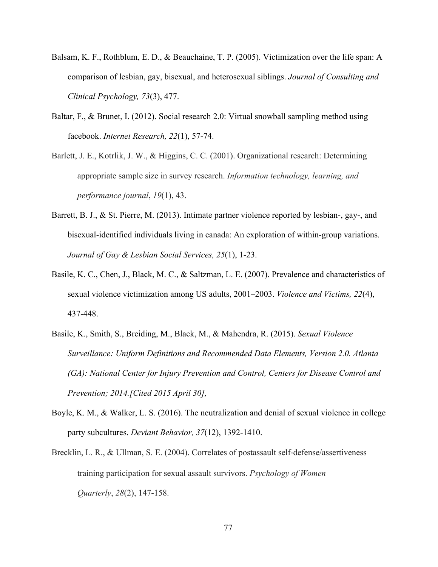- Balsam, K. F., Rothblum, E. D., & Beauchaine, T. P. (2005). Victimization over the life span: A comparison of lesbian, gay, bisexual, and heterosexual siblings. *Journal of Consulting and Clinical Psychology, 73*(3), 477.
- Baltar, F., & Brunet, I. (2012). Social research 2.0: Virtual snowball sampling method using facebook. *Internet Research, 22*(1), 57-74.
- Barlett, J. E., Kotrlik, J. W., & Higgins, C. C. (2001). Organizational research: Determining appropriate sample size in survey research. *Information technology, learning, and performance journal*, *19*(1), 43.
- Barrett, B. J., & St. Pierre, M. (2013). Intimate partner violence reported by lesbian-, gay-, and bisexual-identified individuals living in canada: An exploration of within-group variations. *Journal of Gay & Lesbian Social Services, 25*(1), 1-23.
- Basile, K. C., Chen, J., Black, M. C., & Saltzman, L. E. (2007). Prevalence and characteristics of sexual violence victimization among US adults, 2001–2003. *Violence and Victims, 22*(4), 437-448.
- Basile, K., Smith, S., Breiding, M., Black, M., & Mahendra, R. (2015). *Sexual Violence Surveillance: Uniform Definitions and Recommended Data Elements, Version 2.0. Atlanta (GA): National Center for Injury Prevention and Control, Centers for Disease Control and Prevention; 2014.[Cited 2015 April 30],*
- Boyle, K. M., & Walker, L. S. (2016). The neutralization and denial of sexual violence in college party subcultures. *Deviant Behavior, 37*(12), 1392-1410.
- Brecklin, L. R., & Ullman, S. E. (2004). Correlates of postassault self-defense/assertiveness training participation for sexual assault survivors. *Psychology of Women Quarterly*, *28*(2), 147-158.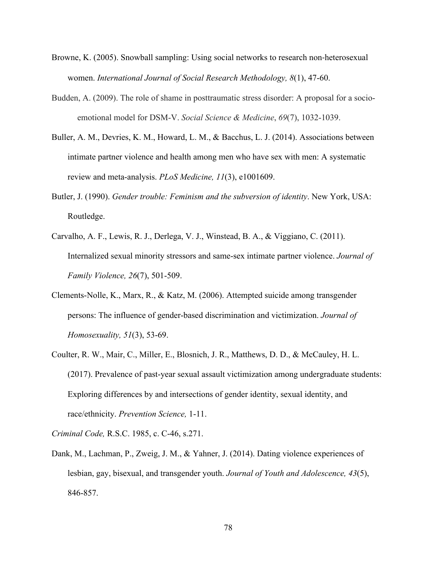- Browne, K. (2005). Snowball sampling: Using social networks to research non-heterosexual women. *International Journal of Social Research Methodology, 8*(1), 47-60.
- Budden, A. (2009). The role of shame in posttraumatic stress disorder: A proposal for a socioemotional model for DSM-V. *Social Science & Medicine*, *69*(7), 1032-1039.
- Buller, A. M., Devries, K. M., Howard, L. M., & Bacchus, L. J. (2014). Associations between intimate partner violence and health among men who have sex with men: A systematic review and meta-analysis. *PLoS Medicine, 11*(3), e1001609.
- Butler, J. (1990). *Gender trouble: Feminism and the subversion of identity*. New York, USA: Routledge.
- Carvalho, A. F., Lewis, R. J., Derlega, V. J., Winstead, B. A., & Viggiano, C. (2011). Internalized sexual minority stressors and same-sex intimate partner violence. *Journal of Family Violence, 26*(7), 501-509.
- Clements-Nolle, K., Marx, R., & Katz, M. (2006). Attempted suicide among transgender persons: The influence of gender-based discrimination and victimization. *Journal of Homosexuality, 51*(3), 53-69.
- Coulter, R. W., Mair, C., Miller, E., Blosnich, J. R., Matthews, D. D., & McCauley, H. L. (2017). Prevalence of past-year sexual assault victimization among undergraduate students: Exploring differences by and intersections of gender identity, sexual identity, and race/ethnicity. *Prevention Science,* 1-11.

*Criminal Code,* R.S.C. 1985, c. C-46, s.271.

Dank, M., Lachman, P., Zweig, J. M., & Yahner, J. (2014). Dating violence experiences of lesbian, gay, bisexual, and transgender youth. *Journal of Youth and Adolescence, 43*(5), 846-857.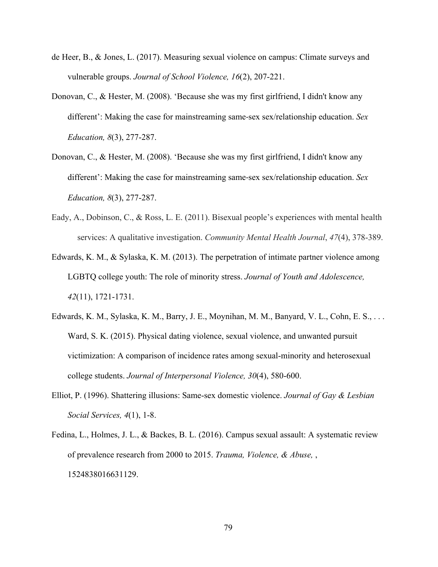- de Heer, B., & Jones, L. (2017). Measuring sexual violence on campus: Climate surveys and vulnerable groups. *Journal of School Violence, 16*(2), 207-221.
- Donovan, C., & Hester, M. (2008). 'Because she was my first girlfriend, I didn't know any different': Making the case for mainstreaming same-sex sex/relationship education. *Sex Education, 8*(3), 277-287.
- Donovan, C., & Hester, M. (2008). 'Because she was my first girlfriend, I didn't know any different': Making the case for mainstreaming same-sex sex/relationship education. *Sex Education, 8*(3), 277-287.
- Eady, A., Dobinson, C., & Ross, L. E. (2011). Bisexual people's experiences with mental health services: A qualitative investigation. *Community Mental Health Journal*, *47*(4), 378-389.
- Edwards, K. M., & Sylaska, K. M. (2013). The perpetration of intimate partner violence among LGBTQ college youth: The role of minority stress. *Journal of Youth and Adolescence, 42*(11), 1721-1731.
- Edwards, K. M., Sylaska, K. M., Barry, J. E., Moynihan, M. M., Banyard, V. L., Cohn, E. S., . . . Ward, S. K. (2015). Physical dating violence, sexual violence, and unwanted pursuit victimization: A comparison of incidence rates among sexual-minority and heterosexual college students. *Journal of Interpersonal Violence, 30*(4), 580-600.
- Elliot, P. (1996). Shattering illusions: Same-sex domestic violence. *Journal of Gay & Lesbian Social Services, 4*(1), 1-8.
- Fedina, L., Holmes, J. L., & Backes, B. L. (2016). Campus sexual assault: A systematic review of prevalence research from 2000 to 2015. *Trauma, Violence, & Abuse,* , 1524838016631129.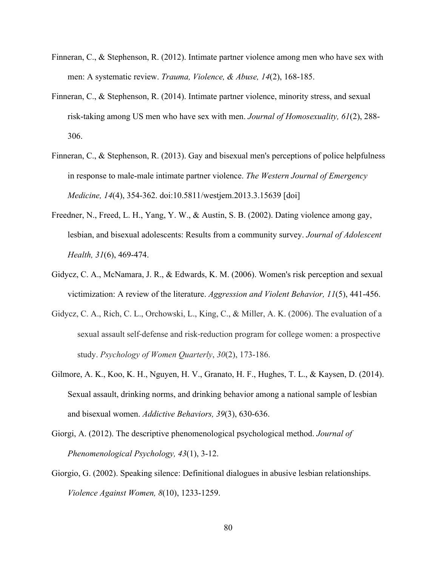- Finneran, C., & Stephenson, R. (2012). Intimate partner violence among men who have sex with men: A systematic review. *Trauma, Violence, & Abuse, 14*(2), 168-185.
- Finneran, C., & Stephenson, R. (2014). Intimate partner violence, minority stress, and sexual risk-taking among US men who have sex with men. *Journal of Homosexuality, 61*(2), 288- 306.
- Finneran, C., & Stephenson, R. (2013). Gay and bisexual men's perceptions of police helpfulness in response to male-male intimate partner violence. *The Western Journal of Emergency Medicine, 14*(4), 354-362. doi:10.5811/westjem.2013.3.15639 [doi]
- Freedner, N., Freed, L. H., Yang, Y. W., & Austin, S. B. (2002). Dating violence among gay, lesbian, and bisexual adolescents: Results from a community survey. *Journal of Adolescent Health, 31*(6), 469-474.
- Gidycz, C. A., McNamara, J. R., & Edwards, K. M. (2006). Women's risk perception and sexual victimization: A review of the literature. *Aggression and Violent Behavior, 11*(5), 441-456.
- Gidycz, C. A., Rich, C. L., Orchowski, L., King, C., & Miller, A. K. (2006). The evaluation of a sexual assault self-defense and risk-reduction program for college women: a prospective study. *Psychology of Women Quarterly*, *30*(2), 173-186.
- Gilmore, A. K., Koo, K. H., Nguyen, H. V., Granato, H. F., Hughes, T. L., & Kaysen, D. (2014). Sexual assault, drinking norms, and drinking behavior among a national sample of lesbian and bisexual women. *Addictive Behaviors, 39*(3), 630-636.
- Giorgi, A. (2012). The descriptive phenomenological psychological method. *Journal of Phenomenological Psychology, 43*(1), 3-12.
- Giorgio, G. (2002). Speaking silence: Definitional dialogues in abusive lesbian relationships. *Violence Against Women, 8*(10), 1233-1259.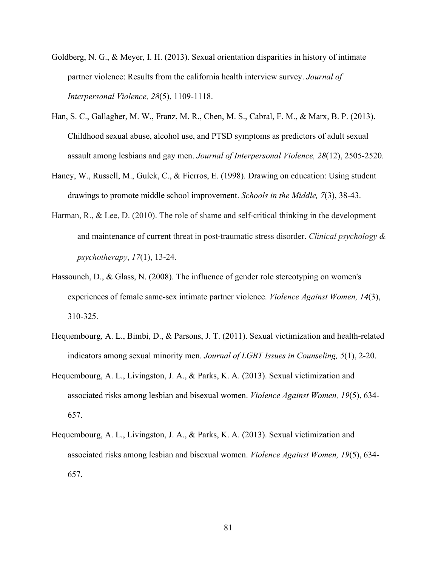- Goldberg, N. G., & Meyer, I. H. (2013). Sexual orientation disparities in history of intimate partner violence: Results from the california health interview survey. *Journal of Interpersonal Violence, 28*(5), 1109-1118.
- Han, S. C., Gallagher, M. W., Franz, M. R., Chen, M. S., Cabral, F. M., & Marx, B. P. (2013). Childhood sexual abuse, alcohol use, and PTSD symptoms as predictors of adult sexual assault among lesbians and gay men. *Journal of Interpersonal Violence, 28*(12), 2505-2520.
- Haney, W., Russell, M., Gulek, C., & Fierros, E. (1998). Drawing on education: Using student drawings to promote middle school improvement. *Schools in the Middle, 7*(3), 38-43.
- Harman, R., & Lee, D. (2010). The role of shame and self-critical thinking in the development and maintenance of current threat in post-traumatic stress disorder. *Clinical psychology & psychotherapy*, *17*(1), 13-24.
- Hassouneh, D., & Glass, N. (2008). The influence of gender role stereotyping on women's experiences of female same-sex intimate partner violence. *Violence Against Women, 14*(3), 310-325.
- Hequembourg, A. L., Bimbi, D., & Parsons, J. T. (2011). Sexual victimization and health-related indicators among sexual minority men. *Journal of LGBT Issues in Counseling, 5*(1), 2-20.
- Hequembourg, A. L., Livingston, J. A., & Parks, K. A. (2013). Sexual victimization and associated risks among lesbian and bisexual women. *Violence Against Women, 19*(5), 634- 657.
- Hequembourg, A. L., Livingston, J. A., & Parks, K. A. (2013). Sexual victimization and associated risks among lesbian and bisexual women. *Violence Against Women, 19*(5), 634- 657.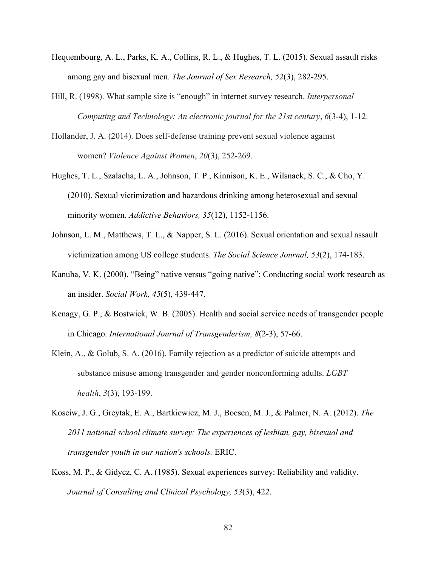- Hequembourg, A. L., Parks, K. A., Collins, R. L., & Hughes, T. L. (2015). Sexual assault risks among gay and bisexual men. *The Journal of Sex Research, 52*(3), 282-295.
- Hill, R. (1998). What sample size is "enough" in internet survey research. *Interpersonal Computing and Technology: An electronic journal for the 21st century*, *6*(3-4), 1-12.
- Hollander, J. A. (2014). Does self-defense training prevent sexual violence against women? *Violence Against Women*, *20*(3), 252-269.
- Hughes, T. L., Szalacha, L. A., Johnson, T. P., Kinnison, K. E., Wilsnack, S. C., & Cho, Y. (2010). Sexual victimization and hazardous drinking among heterosexual and sexual minority women. *Addictive Behaviors, 35*(12), 1152-1156.
- Johnson, L. M., Matthews, T. L., & Napper, S. L. (2016). Sexual orientation and sexual assault victimization among US college students. *The Social Science Journal, 53*(2), 174-183.
- Kanuha, V. K. (2000). "Being" native versus "going native": Conducting social work research as an insider. *Social Work, 45*(5), 439-447.
- Kenagy, G. P., & Bostwick, W. B. (2005). Health and social service needs of transgender people in Chicago. *International Journal of Transgenderism, 8*(2-3), 57-66.
- Klein, A., & Golub, S. A. (2016). Family rejection as a predictor of suicide attempts and substance misuse among transgender and gender nonconforming adults. *LGBT health*, *3*(3), 193-199.
- Kosciw, J. G., Greytak, E. A., Bartkiewicz, M. J., Boesen, M. J., & Palmer, N. A. (2012). *The 2011 national school climate survey: The experiences of lesbian, gay, bisexual and transgender youth in our nation's schools.* ERIC.
- Koss, M. P., & Gidycz, C. A. (1985). Sexual experiences survey: Reliability and validity. *Journal of Consulting and Clinical Psychology, 53*(3), 422.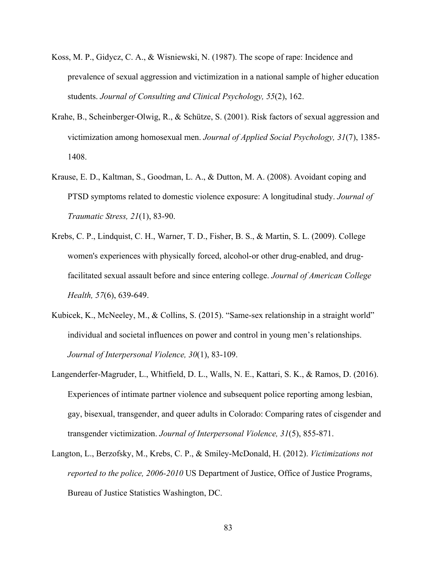- Koss, M. P., Gidycz, C. A., & Wisniewski, N. (1987). The scope of rape: Incidence and prevalence of sexual aggression and victimization in a national sample of higher education students. *Journal of Consulting and Clinical Psychology, 55*(2), 162.
- Krahe, B., Scheinberger-Olwig, R., & Schütze, S. (2001). Risk factors of sexual aggression and victimization among homosexual men. *Journal of Applied Social Psychology, 31*(7), 1385- 1408.
- Krause, E. D., Kaltman, S., Goodman, L. A., & Dutton, M. A. (2008). Avoidant coping and PTSD symptoms related to domestic violence exposure: A longitudinal study. *Journal of Traumatic Stress, 21*(1), 83-90.
- Krebs, C. P., Lindquist, C. H., Warner, T. D., Fisher, B. S., & Martin, S. L. (2009). College women's experiences with physically forced, alcohol-or other drug-enabled, and drugfacilitated sexual assault before and since entering college. *Journal of American College Health, 57*(6), 639-649.
- Kubicek, K., McNeeley, M., & Collins, S. (2015). "Same-sex relationship in a straight world" individual and societal influences on power and control in young men's relationships. *Journal of Interpersonal Violence, 30*(1), 83-109.
- Langenderfer-Magruder, L., Whitfield, D. L., Walls, N. E., Kattari, S. K., & Ramos, D. (2016). Experiences of intimate partner violence and subsequent police reporting among lesbian, gay, bisexual, transgender, and queer adults in Colorado: Comparing rates of cisgender and transgender victimization. *Journal of Interpersonal Violence, 31*(5), 855-871.
- Langton, L., Berzofsky, M., Krebs, C. P., & Smiley-McDonald, H. (2012). *Victimizations not reported to the police, 2006-2010* US Department of Justice, Office of Justice Programs, Bureau of Justice Statistics Washington, DC.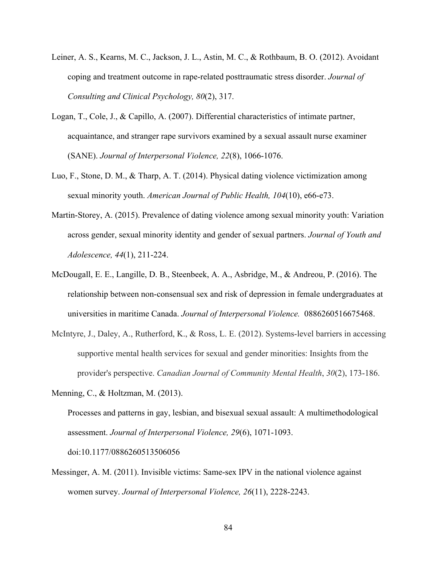- Leiner, A. S., Kearns, M. C., Jackson, J. L., Astin, M. C., & Rothbaum, B. O. (2012). Avoidant coping and treatment outcome in rape-related posttraumatic stress disorder. *Journal of Consulting and Clinical Psychology, 80*(2), 317.
- Logan, T., Cole, J., & Capillo, A. (2007). Differential characteristics of intimate partner, acquaintance, and stranger rape survivors examined by a sexual assault nurse examiner (SANE). *Journal of Interpersonal Violence, 22*(8), 1066-1076.
- Luo, F., Stone, D. M., & Tharp, A. T. (2014). Physical dating violence victimization among sexual minority youth. *American Journal of Public Health, 104*(10), e66-e73.
- Martin-Storey, A. (2015). Prevalence of dating violence among sexual minority youth: Variation across gender, sexual minority identity and gender of sexual partners. *Journal of Youth and Adolescence, 44*(1), 211-224.
- McDougall, E. E., Langille, D. B., Steenbeek, A. A., Asbridge, M., & Andreou, P. (2016). The relationship between non-consensual sex and risk of depression in female undergraduates at universities in maritime Canada. *Journal of Interpersonal Violence.* 0886260516675468.
- McIntyre, J., Daley, A., Rutherford, K., & Ross, L. E. (2012). Systems-level barriers in accessing supportive mental health services for sexual and gender minorities: Insights from the provider's perspective. *Canadian Journal of Community Mental Health*, *30*(2), 173-186.

Messinger, A. M. (2011). Invisible victims: Same-sex IPV in the national violence against women survey. *Journal of Interpersonal Violence, 26*(11), 2228-2243.

Menning, C., & Holtzman, M. (2013).

Processes and patterns in gay, lesbian, and bisexual sexual assault: A multimethodological assessment. *Journal of Interpersonal Violence, 29*(6), 1071-1093. doi:10.1177/0886260513506056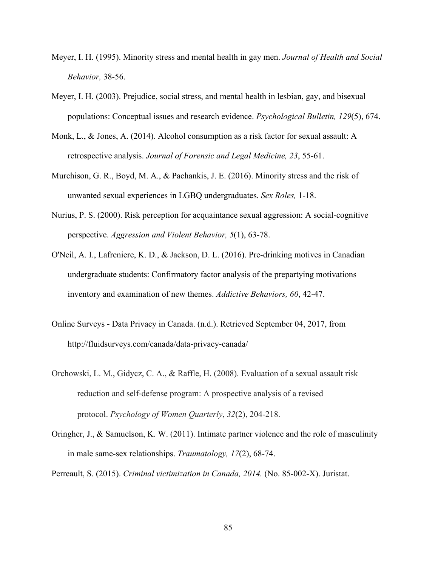- Meyer, I. H. (1995). Minority stress and mental health in gay men. *Journal of Health and Social Behavior,* 38-56.
- Meyer, I. H. (2003). Prejudice, social stress, and mental health in lesbian, gay, and bisexual populations: Conceptual issues and research evidence. *Psychological Bulletin, 129*(5), 674.
- Monk, L., & Jones, A. (2014). Alcohol consumption as a risk factor for sexual assault: A retrospective analysis. *Journal of Forensic and Legal Medicine, 23*, 55-61.
- Murchison, G. R., Boyd, M. A., & Pachankis, J. E. (2016). Minority stress and the risk of unwanted sexual experiences in LGBQ undergraduates. *Sex Roles,* 1-18.
- Nurius, P. S. (2000). Risk perception for acquaintance sexual aggression: A social-cognitive perspective. *Aggression and Violent Behavior, 5*(1), 63-78.
- O'Neil, A. I., Lafreniere, K. D., & Jackson, D. L. (2016). Pre-drinking motives in Canadian undergraduate students: Confirmatory factor analysis of the prepartying motivations inventory and examination of new themes. *Addictive Behaviors, 60*, 42-47.
- Online Surveys Data Privacy in Canada. (n.d.). Retrieved September 04, 2017, from http://fluidsurveys.com/canada/data-privacy-canada/
- Orchowski, L. M., Gidycz, C. A., & Raffle, H. (2008). Evaluation of a sexual assault risk reduction and self-defense program: A prospective analysis of a revised protocol. *Psychology of Women Quarterly*, *32*(2), 204-218.
- Oringher, J., & Samuelson, K. W. (2011). Intimate partner violence and the role of masculinity in male same-sex relationships. *Traumatology, 17*(2), 68-74.

Perreault, S. (2015). *Criminal victimization in Canada, 2014.* (No. 85-002-X). Juristat.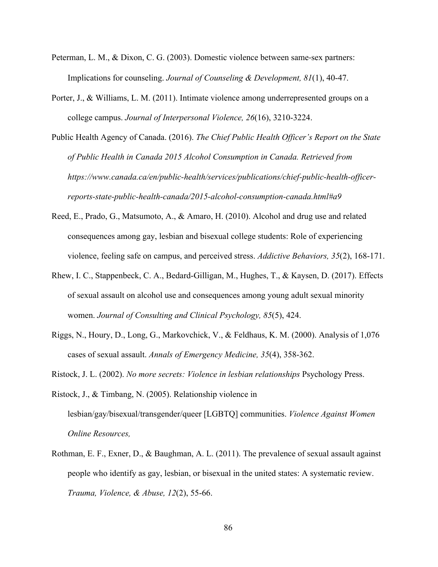- Peterman, L. M., & Dixon, C. G. (2003). Domestic violence between same-sex partners: Implications for counseling. *Journal of Counseling & Development, 81*(1), 40-47.
- Porter, J., & Williams, L. M. (2011). Intimate violence among underrepresented groups on a college campus. *Journal of Interpersonal Violence, 26*(16), 3210-3224.
- Public Health Agency of Canada. (2016). *The Chief Public Health Officer's Report on the State of Public Health in Canada 2015 Alcohol Consumption in Canada. Retrieved from https://www.canada.ca/en/public-health/services/publications/chief-public-health-officerreports-state-public-health-canada/2015-alcohol-consumption-canada.html#a9*
- Reed, E., Prado, G., Matsumoto, A., & Amaro, H. (2010). Alcohol and drug use and related consequences among gay, lesbian and bisexual college students: Role of experiencing violence, feeling safe on campus, and perceived stress. *Addictive Behaviors, 35*(2), 168-171.
- Rhew, I. C., Stappenbeck, C. A., Bedard-Gilligan, M., Hughes, T., & Kaysen, D. (2017). Effects of sexual assault on alcohol use and consequences among young adult sexual minority women. *Journal of Consulting and Clinical Psychology, 85*(5), 424.
- Riggs, N., Houry, D., Long, G., Markovchick, V., & Feldhaus, K. M. (2000). Analysis of 1,076 cases of sexual assault. *Annals of Emergency Medicine, 35*(4), 358-362.
- Ristock, J. L. (2002). *No more secrets: Violence in lesbian relationships* Psychology Press.
- Ristock, J., & Timbang, N. (2005). Relationship violence in lesbian/gay/bisexual/transgender/queer [LGBTQ] communities. *Violence Against Women Online Resources,*
- Rothman, E. F., Exner, D., & Baughman, A. L. (2011). The prevalence of sexual assault against people who identify as gay, lesbian, or bisexual in the united states: A systematic review. *Trauma, Violence, & Abuse, 12*(2), 55-66.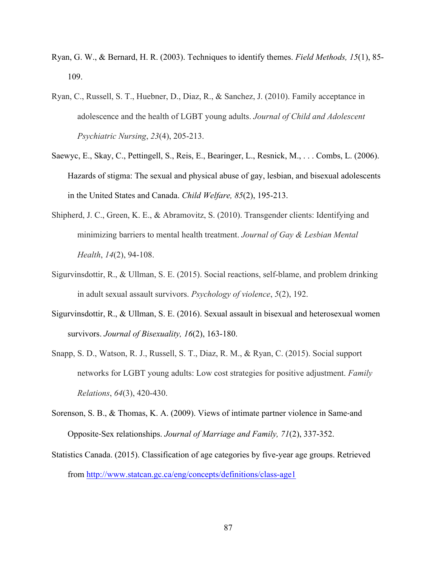- Ryan, G. W., & Bernard, H. R. (2003). Techniques to identify themes. *Field Methods, 15*(1), 85- 109.
- Ryan, C., Russell, S. T., Huebner, D., Diaz, R., & Sanchez, J. (2010). Family acceptance in adolescence and the health of LGBT young adults. *Journal of Child and Adolescent Psychiatric Nursing*, *23*(4), 205-213.
- Saewyc, E., Skay, C., Pettingell, S., Reis, E., Bearinger, L., Resnick, M., . . . Combs, L. (2006). Hazards of stigma: The sexual and physical abuse of gay, lesbian, and bisexual adolescents in the United States and Canada. *Child Welfare, 85*(2), 195-213.
- Shipherd, J. C., Green, K. E., & Abramovitz, S. (2010). Transgender clients: Identifying and minimizing barriers to mental health treatment. *Journal of Gay & Lesbian Mental Health*, *14*(2), 94-108.
- Sigurvinsdottir, R., & Ullman, S. E. (2015). Social reactions, self-blame, and problem drinking in adult sexual assault survivors. *Psychology of violence*, *5*(2), 192.
- Sigurvinsdottir, R., & Ullman, S. E. (2016). Sexual assault in bisexual and heterosexual women survivors. *Journal of Bisexuality, 16*(2), 163-180.
- Snapp, S. D., Watson, R. J., Russell, S. T., Diaz, R. M., & Ryan, C. (2015). Social support networks for LGBT young adults: Low cost strategies for positive adjustment. *Family Relations*, *64*(3), 420-430.
- Sorenson, S. B., & Thomas, K. A. (2009). Views of intimate partner violence in Same-and Opposite-Sex relationships. *Journal of Marriage and Family, 71*(2), 337-352.
- Statistics Canada. (2015). Classification of age categories by five-year age groups. Retrieved from http://www.statcan.gc.ca/eng/concepts/definitions/class-age1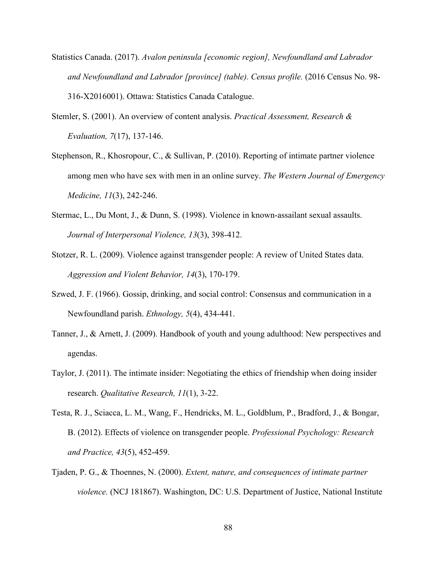- Statistics Canada. (2017). *Avalon peninsula [economic region], Newfoundland and Labrador and Newfoundland and Labrador [province] (table). Census profile.* (2016 Census No. 98- 316-X2016001). Ottawa: Statistics Canada Catalogue.
- Stemler, S. (2001). An overview of content analysis. *Practical Assessment, Research & Evaluation, 7*(17), 137-146.
- Stephenson, R., Khosropour, C., & Sullivan, P. (2010). Reporting of intimate partner violence among men who have sex with men in an online survey. *The Western Journal of Emergency Medicine, 11*(3), 242-246.
- Stermac, L., Du Mont, J., & Dunn, S. (1998). Violence in known-assailant sexual assaults. *Journal of Interpersonal Violence, 13*(3), 398-412.
- Stotzer, R. L. (2009). Violence against transgender people: A review of United States data. *Aggression and Violent Behavior, 14*(3), 170-179.
- Szwed, J. F. (1966). Gossip, drinking, and social control: Consensus and communication in a Newfoundland parish. *Ethnology, 5*(4), 434-441.
- Tanner, J., & Arnett, J. (2009). Handbook of youth and young adulthood: New perspectives and agendas.
- Taylor, J. (2011). The intimate insider: Negotiating the ethics of friendship when doing insider research. *Qualitative Research, 11*(1), 3-22.
- Testa, R. J., Sciacca, L. M., Wang, F., Hendricks, M. L., Goldblum, P., Bradford, J., & Bongar, B. (2012). Effects of violence on transgender people. *Professional Psychology: Research and Practice, 43*(5), 452-459.
- Tjaden, P. G., & Thoennes, N. (2000). *Extent, nature, and consequences of intimate partner violence.* (NCJ 181867). Washington, DC: U.S. Department of Justice, National Institute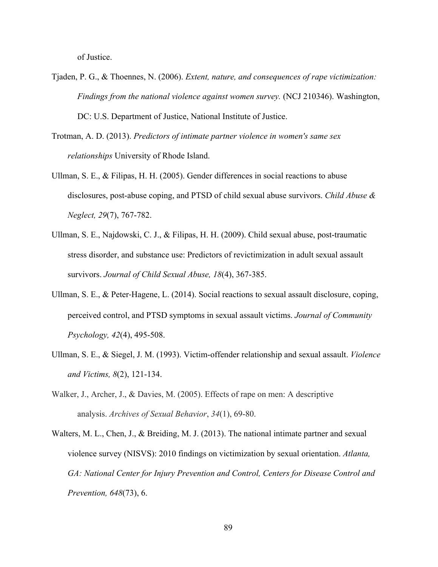of Justice.

- Tjaden, P. G., & Thoennes, N. (2006). *Extent, nature, and consequences of rape victimization: Findings from the national violence against women survey.* (NCJ 210346). Washington, DC: U.S. Department of Justice, National Institute of Justice.
- Trotman, A. D. (2013). *Predictors of intimate partner violence in women's same sex relationships* University of Rhode Island.
- Ullman, S. E., & Filipas, H. H. (2005). Gender differences in social reactions to abuse disclosures, post-abuse coping, and PTSD of child sexual abuse survivors. *Child Abuse & Neglect, 29*(7), 767-782.
- Ullman, S. E., Najdowski, C. J., & Filipas, H. H. (2009). Child sexual abuse, post-traumatic stress disorder, and substance use: Predictors of revictimization in adult sexual assault survivors. *Journal of Child Sexual Abuse, 18*(4), 367-385.
- Ullman, S. E., & Peter-Hagene, L. (2014). Social reactions to sexual assault disclosure, coping, perceived control, and PTSD symptoms in sexual assault victims. *Journal of Community Psychology, 42*(4), 495-508.
- Ullman, S. E., & Siegel, J. M. (1993). Victim-offender relationship and sexual assault. *Violence and Victims, 8*(2), 121-134.
- Walker, J., Archer, J., & Davies, M. (2005). Effects of rape on men: A descriptive analysis. *Archives of Sexual Behavior*, *34*(1), 69-80.
- Walters, M. L., Chen, J., & Breiding, M. J. (2013). The national intimate partner and sexual violence survey (NISVS): 2010 findings on victimization by sexual orientation. *Atlanta, GA: National Center for Injury Prevention and Control, Centers for Disease Control and Prevention, 648*(73), 6.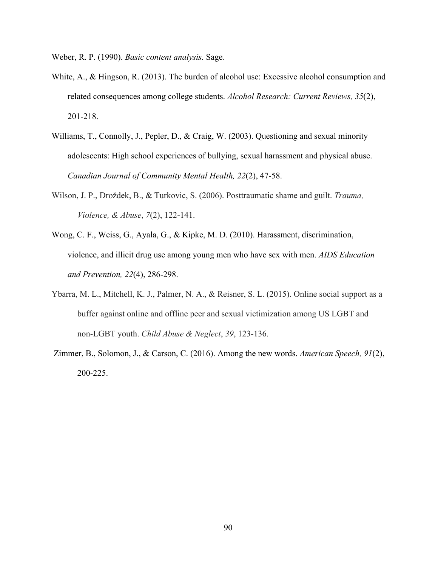Weber, R. P. (1990). *Basic content analysis.* Sage.

- White, A., & Hingson, R. (2013). The burden of alcohol use: Excessive alcohol consumption and related consequences among college students. *Alcohol Research: Current Reviews, 35*(2), 201-218.
- Williams, T., Connolly, J., Pepler, D., & Craig, W. (2003). Questioning and sexual minority adolescents: High school experiences of bullying, sexual harassment and physical abuse. *Canadian Journal of Community Mental Health, 22*(2), 47-58.
- Wilson, J. P., Droždek, B., & Turkovic, S. (2006). Posttraumatic shame and guilt. *Trauma, Violence, & Abuse*, *7*(2), 122-141.
- Wong, C. F., Weiss, G., Ayala, G., & Kipke, M. D. (2010). Harassment, discrimination, violence, and illicit drug use among young men who have sex with men. *AIDS Education and Prevention, 22*(4), 286-298.
- Ybarra, M. L., Mitchell, K. J., Palmer, N. A., & Reisner, S. L. (2015). Online social support as a buffer against online and offline peer and sexual victimization among US LGBT and non-LGBT youth. *Child Abuse & Neglect*, *39*, 123-136.
- Zimmer, B., Solomon, J., & Carson, C. (2016). Among the new words. *American Speech, 91*(2), 200-225.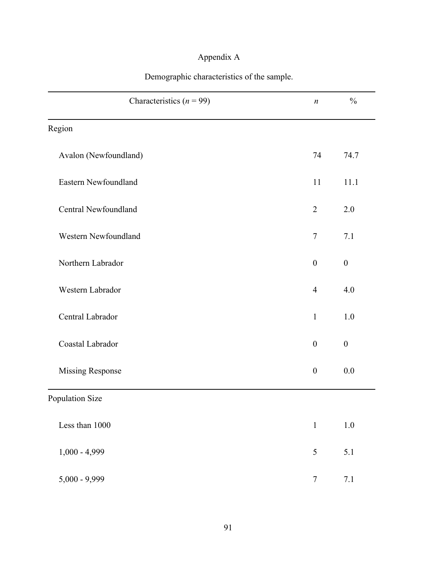# Appendix A

| Demographic characteristics of the sample. |
|--------------------------------------------|
|--------------------------------------------|

| Characteristics ( $n = 99$ ) | $\boldsymbol{n}$ | $\frac{0}{0}$    |
|------------------------------|------------------|------------------|
| Region                       |                  |                  |
| Avalon (Newfoundland)        | 74               | 74.7             |
| Eastern Newfoundland         | 11               | 11.1             |
| <b>Central Newfoundland</b>  | $\overline{2}$   | 2.0              |
| Western Newfoundland         | $\overline{7}$   | 7.1              |
| Northern Labrador            | $\boldsymbol{0}$ | $\boldsymbol{0}$ |
| Western Labrador             | $\overline{4}$   | 4.0              |
| Central Labrador             | $\mathbf{1}$     | 1.0              |
| Coastal Labrador             | $\boldsymbol{0}$ | $\boldsymbol{0}$ |
| <b>Missing Response</b>      | $\boldsymbol{0}$ | 0.0              |
| Population Size              |                  |                  |
| Less than 1000               | $1\,$            | $1.0\,$          |
| $1,000 - 4,999$              | 5                | $5.1$            |
| $5,000 - 9,999$              | $\tau$           | $7.1$            |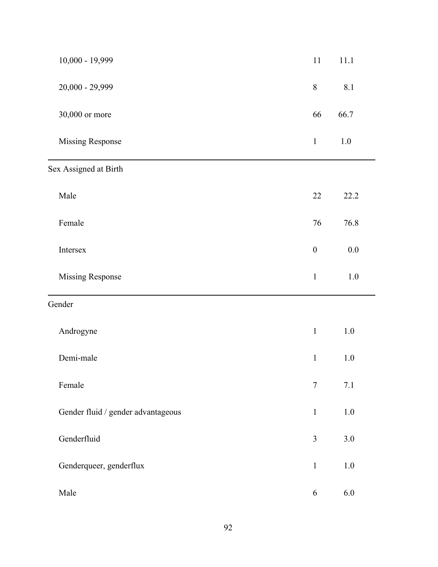| 10,000 - 19,999                    | $11\,$           | 11.1    |
|------------------------------------|------------------|---------|
| $20,000 - 29,999$                  | $8\,$            | 8.1     |
| 30,000 or more                     | 66               | 66.7    |
| <b>Missing Response</b>            | $\,1$            | $1.0\,$ |
| Sex Assigned at Birth              |                  |         |
| Male                               | 22               | 22.2    |
| Female                             | 76               | 76.8    |
| Intersex                           | $\boldsymbol{0}$ | $0.0\,$ |
| <b>Missing Response</b>            | $\,1\,$          | $1.0\,$ |
| Gender                             |                  |         |
| Androgyne                          | $\mathbf{1}$     | $1.0\,$ |
| Demi-male                          | $\,1$            | $1.0\,$ |
| Female                             | $\overline{7}$   | 7.1     |
| Gender fluid / gender advantageous | $\mathbf{1}$     | $1.0\,$ |
| Genderfluid                        | $\overline{3}$   | 3.0     |
| Genderqueer, genderflux            | $\mathbf{1}$     | $1.0\,$ |
| Male                               | 6                | 6.0     |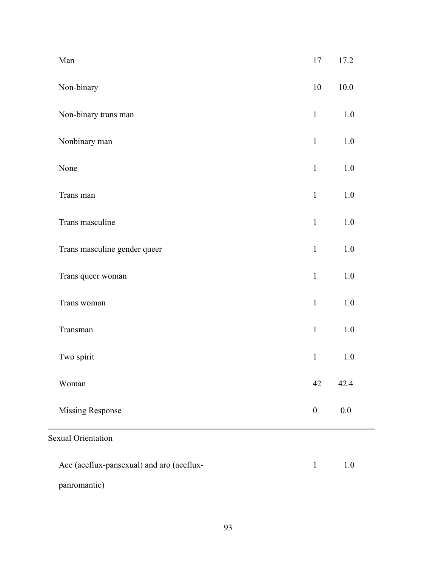| Man                                       | 17               | 17.2     |
|-------------------------------------------|------------------|----------|
| Non-binary                                | 10               | $10.0\,$ |
| Non-binary trans man                      | $\mathbf{1}$     | $1.0\,$  |
| Nonbinary man                             | $\mathbf{1}$     | 1.0      |
| None                                      | $\mathbf{1}$     | $1.0\,$  |
| Trans man                                 | $\mathbf{1}$     | $1.0\,$  |
| Trans masculine                           | $\mathbf{1}$     | 1.0      |
| Trans masculine gender queer              | $\mathbf{1}$     | $1.0\,$  |
| Trans queer woman                         | $\mathbf 1$      | $1.0\,$  |
| Trans woman                               | $\mathbf{1}$     | $1.0\,$  |
| Transman                                  | $\mathbf{1}$     | 1.0      |
| Two spirit                                | $\mathbf{1}$     | $1.0\,$  |
| Woman                                     | 42               | 42.4     |
| <b>Missing Response</b>                   | $\boldsymbol{0}$ | 0.0      |
| <b>Sexual Orientation</b>                 |                  |          |
| Ace (aceflux-pansexual) and aro (aceflux- | $\mathbf{1}$     | 1.0      |
| panromantic)                              |                  |          |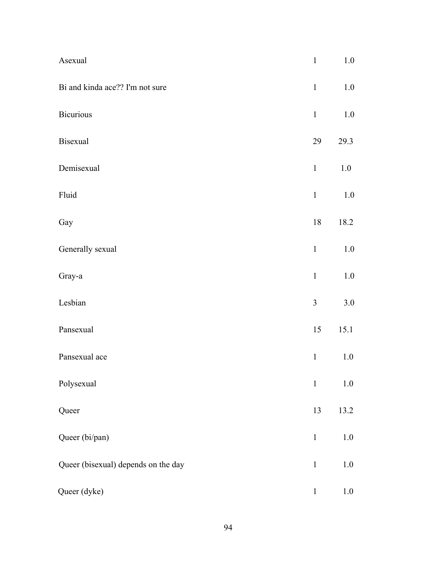| Asexual                             | $\mathbf{1}$   | 1.0     |
|-------------------------------------|----------------|---------|
| Bi and kinda ace?? I'm not sure     | $\mathbf{1}$   | 1.0     |
| <b>Bicurious</b>                    | $\mathbf{1}$   | $1.0\,$ |
| <b>Bisexual</b>                     | 29             | 29.3    |
| Demisexual                          | $\mathbf{1}$   | $1.0\,$ |
| Fluid                               | $\mathbf{1}$   | $1.0\,$ |
| Gay                                 | 18             | 18.2    |
| Generally sexual                    | $\mathbf{1}$   | $1.0\,$ |
| Gray-a                              | $\mathbf{1}$   | 1.0     |
| Lesbian                             | $\overline{3}$ | 3.0     |
| Pansexual                           | 15             | 15.1    |
| Pansexual ace                       | $\,1\,$        | 1.0     |
| Polysexual                          | $\mathbf{1}$   | $1.0\,$ |
| Queer                               | 13             | 13.2    |
| Queer (bi/pan)                      | $\mathbf{1}$   | $1.0\,$ |
| Queer (bisexual) depends on the day | $\mathbf{1}$   | 1.0     |
| Queer (dyke)                        | $\mathbf 1$    | 1.0     |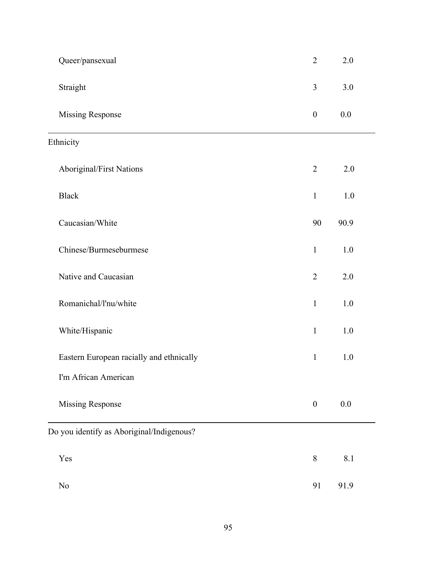| Queer/pansexual                           | $\overline{2}$   | 2.0     |
|-------------------------------------------|------------------|---------|
| Straight                                  | 3                | 3.0     |
| <b>Missing Response</b>                   | $\boldsymbol{0}$ | 0.0     |
| Ethnicity                                 |                  |         |
| Aboriginal/First Nations                  | $\overline{2}$   | 2.0     |
| <b>Black</b>                              | $\mathbf{1}$     | 1.0     |
| Caucasian/White                           | 90               | 90.9    |
| Chinese/Burmeseburmese                    | $\mathbf{1}$     | 1.0     |
| Native and Caucasian                      | $\overline{2}$   | 2.0     |
| Romanichal/l'nu/white                     | $\mathbf{1}$     | 1.0     |
| White/Hispanic                            | $\mathbf{1}$     | 1.0     |
| Eastern European racially and ethnically  | $\mathbf{1}$     | 1.0     |
| I'm African American                      |                  |         |
| <b>Missing Response</b>                   | $\boldsymbol{0}$ | $0.0\,$ |
| Do you identify as Aboriginal/Indigenous? |                  |         |
| Yes                                       | $8\,$            | 8.1     |
| No                                        | 91               | 91.9    |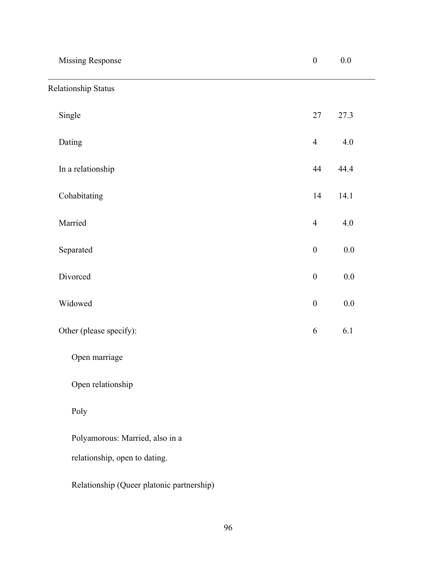| <b>Missing Response</b>                   | $\boldsymbol{0}$ | $0.0\,$ |
|-------------------------------------------|------------------|---------|
| <b>Relationship Status</b>                |                  |         |
| Single                                    | 27               | 27.3    |
| Dating                                    | $\overline{4}$   | $4.0\,$ |
| In a relationship                         | 44               | 44.4    |
| Cohabitating                              | 14               | 14.1    |
| Married                                   | $\overline{4}$   | 4.0     |
| Separated                                 | $\boldsymbol{0}$ | $0.0\,$ |
| Divorced                                  | $\boldsymbol{0}$ | $0.0\,$ |
| Widowed                                   | $\boldsymbol{0}$ | $0.0\,$ |
| Other (please specify):                   | 6                | 6.1     |
| Open marriage                             |                  |         |
| Open relationship                         |                  |         |
| Poly                                      |                  |         |
| Polyamorous: Married, also in a           |                  |         |
| relationship, open to dating.             |                  |         |
| Relationship (Queer platonic partnership) |                  |         |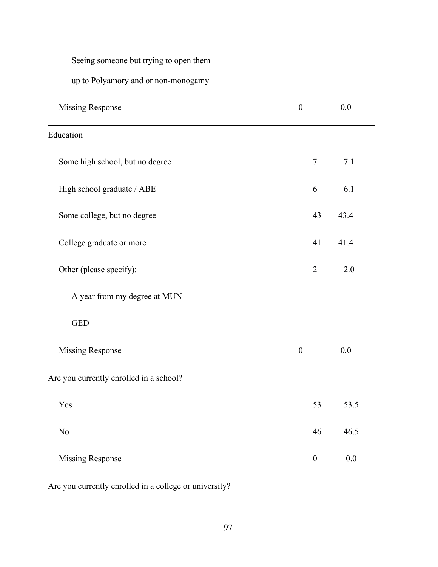Seeing someone but trying to open them

up to Polyamory and or non-monogamy

| <b>Missing Response</b>                 | $\boldsymbol{0}$ |                  | 0.0  |
|-----------------------------------------|------------------|------------------|------|
| Education                               |                  |                  |      |
| Some high school, but no degree         |                  | $\overline{7}$   | 7.1  |
| High school graduate / ABE              |                  | 6                | 6.1  |
| Some college, but no degree             |                  | 43               | 43.4 |
| College graduate or more                |                  | 41               | 41.4 |
| Other (please specify):                 |                  | $\overline{2}$   | 2.0  |
| A year from my degree at MUN            |                  |                  |      |
| <b>GED</b>                              |                  |                  |      |
| <b>Missing Response</b>                 | $\boldsymbol{0}$ |                  | 0.0  |
| Are you currently enrolled in a school? |                  |                  |      |
| Yes                                     |                  | 53               | 53.5 |
| No                                      |                  | 46               | 46.5 |
| <b>Missing Response</b>                 |                  | $\boldsymbol{0}$ | 0.0  |

Are you currently enrolled in a college or university?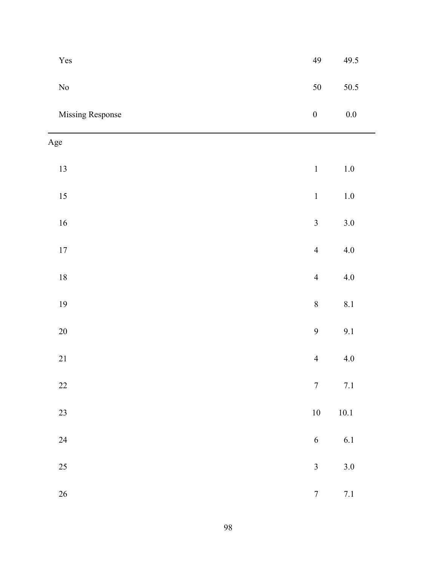| Yes              | 49                      | 49.5     |
|------------------|-------------------------|----------|
| $\rm No$         | 50                      | 50.5     |
| Missing Response | $\boldsymbol{0}$        | $0.0\,$  |
| Age              |                         |          |
| 13               | $\mathbf{1}$            | $1.0\,$  |
| $15\,$           | $\boldsymbol{1}$        | $1.0\,$  |
| $16\,$           | $\overline{\mathbf{3}}$ | $3.0\,$  |
| $17\,$           | $\overline{4}$          | $4.0\,$  |
| $18\,$           | $\overline{4}$          | $4.0\,$  |
| $19$             | $\,$ $\,$               | 8.1      |
| 20               | $\overline{9}$          | 9.1      |
| $21\,$           | $\overline{4}$          | $4.0\,$  |
| $22\,$           | $\boldsymbol{7}$        | $7.1\,$  |
| $23\,$           | $10\,$                  | $10.1\,$ |
| 24               | $\sqrt{6}$              | 6.1      |
| 25               | $\overline{\mathbf{3}}$ | $3.0\,$  |
| 26               | $\boldsymbol{7}$        | $7.1\,$  |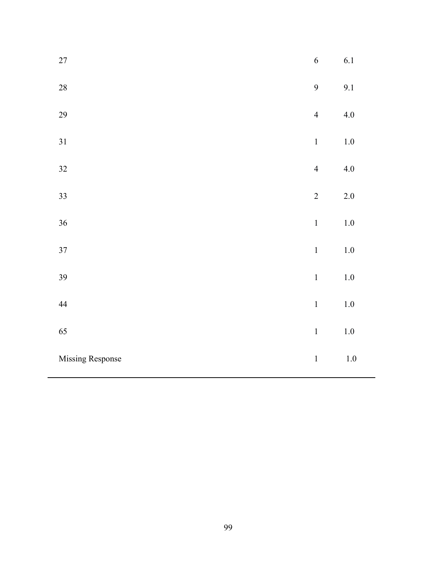| $27\,$           | $\overline{6}$ | 6.1     |
|------------------|----------------|---------|
| $28\,$           | 9              | 9.1     |
| 29               | $\overline{4}$ | $4.0\,$ |
| 31               | $\mathbf 1$    | $1.0\,$ |
| 32               | $\overline{4}$ | 4.0     |
| 33               | $\sqrt{2}$     | $2.0\,$ |
| 36               | $\,1$          | $1.0\,$ |
| $37\,$           | $\,1\,$        | $1.0\,$ |
| 39               | $\mathbf{1}$   | $1.0\,$ |
| 44               | $\mathbf{1}$   | $1.0\,$ |
| 65               | $\mathbf 1$    | $1.0\,$ |
| Missing Response | $\,1$          | $1.0\,$ |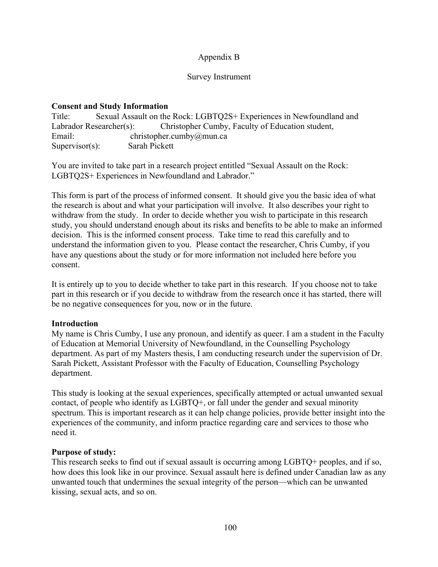# Appendix B

#### Survey Instrument

### **Consent and Study Information**

| Title:            | Sexual Assault on the Rock: LGBTQ2S+ Experiences in Newfoundland and        |
|-------------------|-----------------------------------------------------------------------------|
|                   | Christopher Cumby, Faculty of Education student,<br>Labrador Researcher(s): |
| Email:            | christopher.cumby@mun.ca                                                    |
| $Supervisor(s)$ : | Sarah Pickett                                                               |

You are invited to take part in a research project entitled "Sexual Assault on the Rock: LGBTQ2S+ Experiences in Newfoundland and Labrador."

This form is part of the process of informed consent. It should give you the basic idea of what the research is about and what your participation will involve. It also describes your right to withdraw from the study. In order to decide whether you wish to participate in this research study, you should understand enough about its risks and benefits to be able to make an informed decision. This is the informed consent process. Take time to read this carefully and to understand the information given to you. Please contact the researcher, Chris Cumby, if you have any questions about the study or for more information not included here before you consent.

It is entirely up to you to decide whether to take part in this research. If you choose not to take part in this research or if you decide to withdraw from the research once it has started, there will be no negative consequences for you, now or in the future.

#### **Introduction**

My name is Chris Cumby, I use any pronoun, and identify as queer. I am a student in the Faculty of Education at Memorial University of Newfoundland, in the Counselling Psychology department. As part of my Masters thesis, I am conducting research under the supervision of Dr. Sarah Pickett, Assistant Professor with the Faculty of Education, Counselling Psychology department.

This study is looking at the sexual experiences, specifically attempted or actual unwanted sexual contact, of people who identify as LGBTQ+, or fall under the gender and sexual minority spectrum. This is important research as it can help change policies, provide better insight into the experiences of the community, and inform practice regarding care and services to those who need it.

#### **Purpose of study:**

This research seeks to find out if sexual assault is occurring among LGBTQ+ peoples, and if so, how does this look like in our province. Sexual assault here is defined under Canadian law as any unwanted touch that undermines the sexual integrity of the person—which can be unwanted kissing, sexual acts, and so on.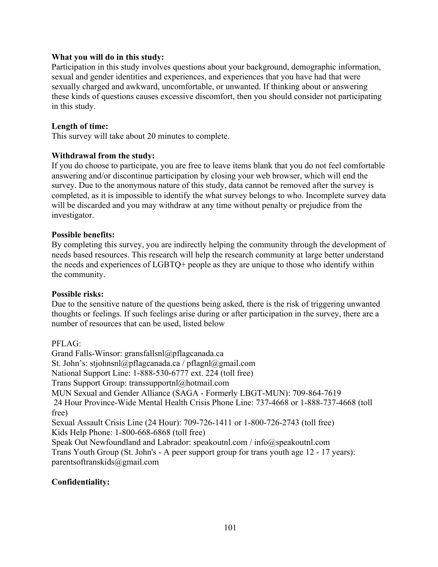# **What you will do in this study:**

Participation in this study involves questions about your background, demographic information, sexual and gender identities and experiences, and experiences that you have had that were sexually charged and awkward, uncomfortable, or unwanted. If thinking about or answering these kinds of questions causes excessive discomfort, then you should consider not participating in this study.

# **Length of time:**

This survey will take about 20 minutes to complete.

# **Withdrawal from the study:**

If you do choose to participate, you are free to leave items blank that you do not feel comfortable answering and/or discontinue participation by closing your web browser, which will end the survey. Due to the anonymous nature of this study, data cannot be removed after the survey is completed, as it is impossible to identify the what survey belongs to who. Incomplete survey data will be discarded and you may withdraw at any time without penalty or prejudice from the investigator.

#### **Possible benefits:**

By completing this survey, you are indirectly helping the community through the development of needs based resources. This research will help the research community at large better understand the needs and experiences of LGBTQ+ people as they are unique to those who identify within the community.

#### **Possible risks:**

Due to the sensitive nature of the questions being asked, there is the risk of triggering unwanted thoughts or feelings. If such feelings arise during or after participation in the survey, there are a number of resources that can be used, listed below

# PFLAG:

Grand Falls-Winsor: gransfallsnl@pflagcanada.ca St. John's: stjohnsnl@pflagcanada.ca / pflagnl@gmail.com National Support Line: 1-888-530-6777 ext. 224 (toll free) Trans Support Group: transsupportnl@hotmail.com MUN Sexual and Gender Alliance (SAGA - Formerly LBGT-MUN): 709-864-7619 24 Hour Province-Wide Mental Health Crisis Phone Line: 737-4668 or 1-888-737-4668 (toll free) Sexual Assault Crisis Line (24 Hour): 709-726-1411 or 1-800-726-2743 (toll free) Kids Help Phone: 1-800-668-6868 (toll free) Speak Out Newfoundland and Labrador: speakoutnl.com / info@speakoutnl.com Trans Youth Group (St. John's - A peer support group for trans youth age 12 - 17 years): parentsoftranskids@gmail.com

# **Confidentiality:**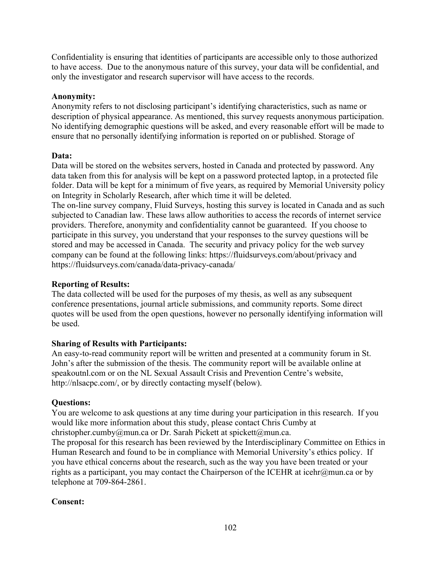Confidentiality is ensuring that identities of participants are accessible only to those authorized to have access. Due to the anonymous nature of this survey, your data will be confidential, and only the investigator and research supervisor will have access to the records.

# **Anonymity:**

Anonymity refers to not disclosing participant's identifying characteristics, such as name or description of physical appearance. As mentioned, this survey requests anonymous participation. No identifying demographic questions will be asked, and every reasonable effort will be made to ensure that no personally identifying information is reported on or published. Storage of

#### **Data:**

Data will be stored on the websites servers, hosted in Canada and protected by password. Any data taken from this for analysis will be kept on a password protected laptop, in a protected file folder. Data will be kept for a minimum of five years, as required by Memorial University policy on Integrity in Scholarly Research, after which time it will be deleted.

The on-line survey company, Fluid Surveys, hosting this survey is located in Canada and as such subjected to Canadian law. These laws allow authorities to access the records of internet service providers. Therefore, anonymity and confidentiality cannot be guaranteed. If you choose to participate in this survey, you understand that your responses to the survey questions will be stored and may be accessed in Canada. The security and privacy policy for the web survey company can be found at the following links: https://fluidsurveys.com/about/privacy and https://fluidsurveys.com/canada/data-privacy-canada/

#### **Reporting of Results:**

The data collected will be used for the purposes of my thesis, as well as any subsequent conference presentations, journal article submissions, and community reports. Some direct quotes will be used from the open questions, however no personally identifying information will be used.

#### **Sharing of Results with Participants:**

An easy-to-read community report will be written and presented at a community forum in St. John's after the submission of the thesis. The community report will be available online at speakoutnl.com or on the NL Sexual Assault Crisis and Prevention Centre's website, http://nlsacpc.com/, or by directly contacting myself (below).

#### **Questions:**

You are welcome to ask questions at any time during your participation in this research. If you would like more information about this study, please contact Chris Cumby at christopher.cumby@mun.ca or Dr. Sarah Pickett at spickett@mun.ca.

The proposal for this research has been reviewed by the Interdisciplinary Committee on Ethics in Human Research and found to be in compliance with Memorial University's ethics policy. If you have ethical concerns about the research, such as the way you have been treated or your rights as a participant, you may contact the Chairperson of the ICEHR at icehr@mun.ca or by telephone at 709-864-2861.

# **Consent:**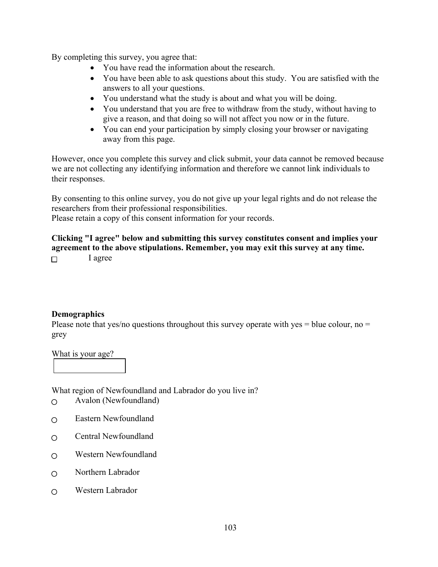By completing this survey, you agree that:

- You have read the information about the research.
- You have been able to ask questions about this study. You are satisfied with the answers to all your questions.
- You understand what the study is about and what you will be doing.
- You understand that you are free to withdraw from the study, without having to give a reason, and that doing so will not affect you now or in the future.
- You can end your participation by simply closing your browser or navigating away from this page.

However, once you complete this survey and click submit, your data cannot be removed because we are not collecting any identifying information and therefore we cannot link individuals to their responses.

By consenting to this online survey, you do not give up your legal rights and do not release the researchers from their professional responsibilities.

Please retain a copy of this consent information for your records.

**Clicking "I agree" below and submitting this survey constitutes consent and implies your agreement to the above stipulations. Remember, you may exit this survey at any time.** I agree  $\Box$ 

#### **Demographics**

Please note that yes/no questions throughout this survey operate with yes  $=$  blue colour, no  $=$ grey

What is your age?

What region of Newfoundland and Labrador do you live in?

- Avalon (Newfoundland)  $\overline{O}$
- Eastern Newfoundland  $\Omega$
- Central Newfoundland  $\overline{O}$
- Western Newfoundland  $\bigcirc$
- Northern Labrador  $\overline{O}$
- Western Labrador $\Omega$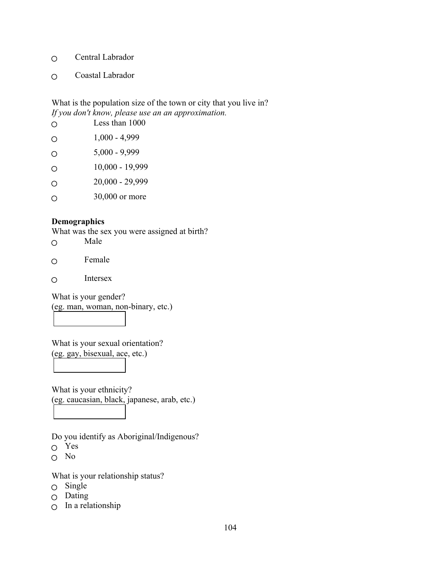- Central Labrador  $\circ$
- Coastal Labrador  $\Omega$

# What is the population size of the town or city that you live in? *If you don't know, please use an an approximation.*

|   | Less than 1000  |
|---|-----------------|
| ∩ | $1,000 - 4,999$ |
| O | $5,000 - 9,999$ |
| Ω | 10,000 - 19,999 |
| Ω | 20,000 - 29,999 |
|   | 30,000 or more  |

# **Demographics**

What was the sex you were assigned at birth?

- Male  $\circ$
- Female  $\circ$
- Intersex  $\circ$

What is your gender? (eg. man, woman, non-binary, etc.)

What is your sexual orientation? (eg. gay, bisexual, ace, etc.)

What is your ethnicity? (eg. caucasian, black, japanese, arab, etc.)

Do you identify as Aboriginal/Indigenous?

- Yes
- No

What is your relationship status?

- Single
- $O$  Dating
- $\circ$  In a relationship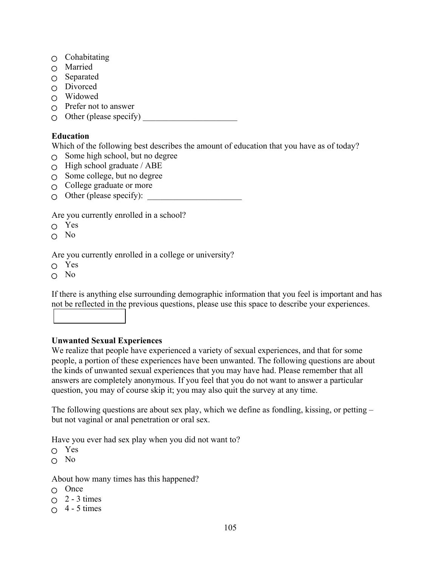- $\circ$  Cohabitating
- Married
- $\circ$  Separated
- $\cap$  Divorced
- $\cap$  Widowed
- $\bigcirc$  Prefer not to answer
- $\bigcirc$  Other (please specify)

# **Education**

Which of the following best describes the amount of education that you have as of today?

- $\circ$  Some high school, but no degree
- $\circ$  High school graduate / ABE
- $\circ$  Some college, but no degree
- $\circ$  College graduate or more
- $\bigcirc$  Other (please specify):

Are you currently enrolled in a school?

Yes

 $\cap$  No

Are you currently enrolled in a college or university?

 $\cap$  Yes

 $O$  No

If there is anything else surrounding demographic information that you feel is important and has not be reflected in the previous questions, please use this space to describe your experiences.

# **Unwanted Sexual Experiences**

We realize that people have experienced a variety of sexual experiences, and that for some people, a portion of these experiences have been unwanted. The following questions are about the kinds of unwanted sexual experiences that you may have had. Please remember that all answers are completely anonymous. If you feel that you do not want to answer a particular question, you may of course skip it; you may also quit the survey at any time.

The following questions are about sex play, which we define as fondling, kissing, or petting – but not vaginal or anal penetration or oral sex.

Have you ever had sex play when you did not want to?

- Yes
- $\cap$  No

About how many times has this happened?

- $\cap$  Once
- $\bigcirc$  2 3 times
- $0 \quad 4 5 \text{ times}$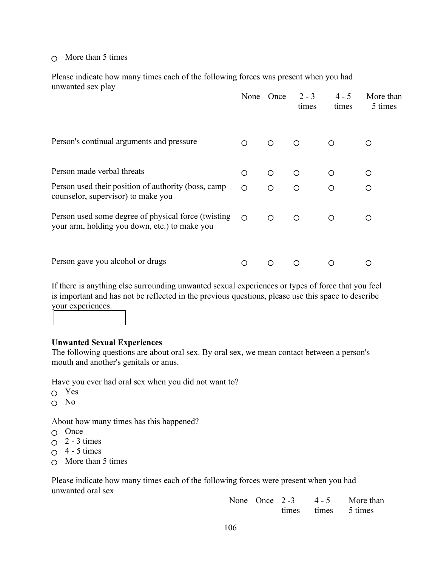# $\cap$  More than 5 times

Please indicate how many times each of the following forces was present when you had unwanted sex play

|                                                                                                      | None       | Once       | $2 - 3$<br>times | $4 - 5$<br>times | More than<br>5 times |
|------------------------------------------------------------------------------------------------------|------------|------------|------------------|------------------|----------------------|
| Person's continual arguments and pressure                                                            | $\bigcirc$ | $\circ$    | $\circ$          | ◯                | Ω                    |
| Person made verbal threats                                                                           | $\circ$    | $\bigcirc$ | $\circ$          | O                | Ο                    |
| Person used their position of authority (boss, camp<br>counselor, supervisor) to make you            | $\circ$    | $\circ$    | $\circ$          | $\circ$          | Ο                    |
| Person used some degree of physical force (twisting<br>your arm, holding you down, etc.) to make you | $\bigcirc$ | ◯          | $\bigcirc$       | ∩                | ∩                    |
| Person gave you alcohol or drugs                                                                     | ∩          |            | ∩                | ∩                |                      |

If there is anything else surrounding unwanted sexual experiences or types of force that you feel is important and has not be reflected in the previous questions, please use this space to describe your experiences.

#### **Unwanted Sexual Experiences**

The following questions are about oral sex. By oral sex, we mean contact between a person's mouth and another's genitals or anus.

Have you ever had oral sex when you did not want to?

- Yes
- No

About how many times has this happened?

- $O$  Once
- $\circ$  2 3 times
- $\cap$  4 5 times
- $\circ$  More than 5 times

Please indicate how many times each of the following forces were present when you had unwanted oral sex

| None Once 2-3 | $4 - 5$ | More than           |
|---------------|---------|---------------------|
|               |         | times times 5 times |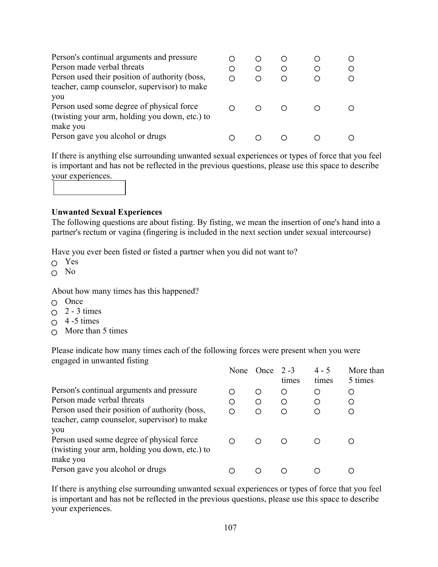| Person's continual arguments and pressure<br>Person made verbal threats<br>Person used their position of authority (boss,<br>teacher, camp counselor, supervisor) to make | ( ) | ( )<br>( ) | ( )<br>O |  |
|---------------------------------------------------------------------------------------------------------------------------------------------------------------------------|-----|------------|----------|--|
| you<br>Person used some degree of physical force<br>(twisting your arm, holding you down, etc.) to<br>make you                                                            |     |            |          |  |
| Person gave you alcohol or drugs                                                                                                                                          |     |            |          |  |

If there is anything else surrounding unwanted sexual experiences or types of force that you feel is important and has not be reflected in the previous questions, please use this space to describe your experiences.



# **Unwanted Sexual Experiences**

The following questions are about fisting. By fisting, we mean the insertion of one's hand into a partner's rectum or vagina (fingering is included in the next section under sexual intercourse)

Have you ever been fisted or fisted a partner when you did not want to?

- $\cap$  Yes
- No

About how many times has this happened?

- $\cap$  Once
- $\bigcirc$  2 3 times
- $\circ$  4 -5 times
- $\circ$  More than 5 times

Please indicate how many times each of the following forces were present when you were engaged in unwanted fisting

|                                                                                                    | None | <b>Once</b> | $2 - 3$<br>times | $4 - 5$<br>times | More than<br>5 times |
|----------------------------------------------------------------------------------------------------|------|-------------|------------------|------------------|----------------------|
| Person's continual arguments and pressure                                                          | Ω    | Ο           | Ο                | O                | Ο                    |
| Person made verbal threats                                                                         | Ο    | O           | O                | Ω                | Ο                    |
| Person used their position of authority (boss,<br>teacher, camp counselor, supervisor) to make     | ∩    | ∩           | ∩                | ∩                |                      |
| you<br>Person used some degree of physical force<br>(twisting your arm, holding you down, etc.) to | ∩    | ∩           |                  |                  |                      |
| make you<br>Person gave you alcohol or drugs                                                       | ( )  |             |                  |                  |                      |

If there is anything else surrounding unwanted sexual experiences or types of force that you feel is important and has not be reflected in the previous questions, please use this space to describe your experiences.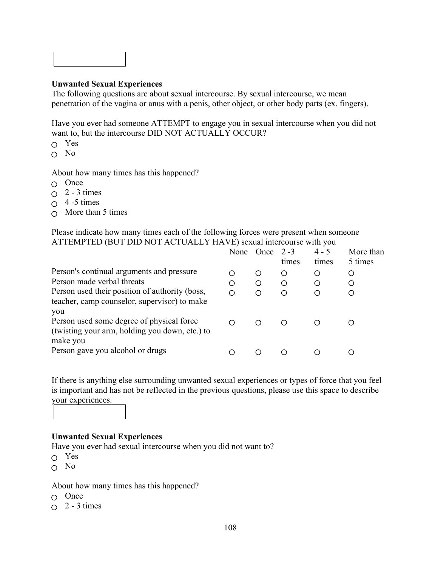#### **Unwanted Sexual Experiences**

The following questions are about sexual intercourse. By sexual intercourse, we mean penetration of the vagina or anus with a penis, other object, or other body parts (ex. fingers).

Have you ever had someone ATTEMPT to engage you in sexual intercourse when you did not want to, but the intercourse DID NOT ACTUALLY OCCUR?

- Yes
- $O$  No

About how many times has this happened?

- $O$  Once
- $\circ$  2 3 times
- $\circ$  4 -5 times
- $\circ$  More than 5 times

Please indicate how many times each of the following forces were present when someone ATTEMPTED (BUT DID NOT ACTUALLY HAVE) sexual intercourse with you

|                                                                                                    | None | <b>Once</b> | $2 - 3$<br>times | $4 - 5$<br>times | More than<br>5 times |
|----------------------------------------------------------------------------------------------------|------|-------------|------------------|------------------|----------------------|
| Person's continual arguments and pressure                                                          | ∩    | O           | O                | Ο                | Ο                    |
| Person made verbal threats                                                                         | O    | $\circ$     | O                | ◯                | O                    |
| Person used their position of authority (boss,<br>teacher, camp counselor, supervisor) to make     | ∩    | ∩           | ∩                | ◯                |                      |
| you<br>Person used some degree of physical force<br>(twisting your arm, holding you down, etc.) to | ∩    | ∩           | ∩                |                  |                      |
| make you<br>Person gave you alcohol or drugs                                                       |      |             |                  |                  |                      |

If there is anything else surrounding unwanted sexual experiences or types of force that you feel is important and has not be reflected in the previous questions, please use this space to describe your experiences.

#### **Unwanted Sexual Experiences**

Have you ever had sexual intercourse when you did not want to?

- Yes
- $\cap$  No

#### About how many times has this happened?

- $O$  Once
- $\bigcap$  2 3 times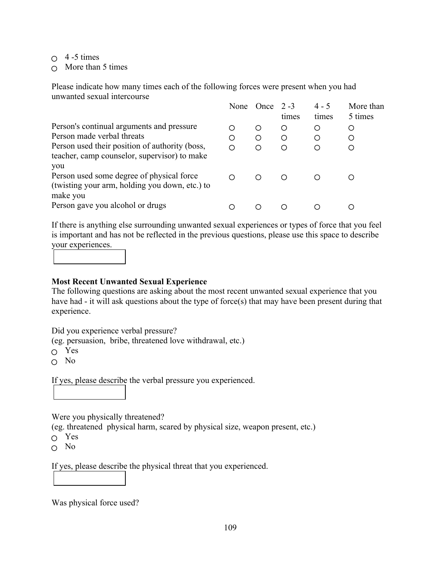- $\circ$  4 -5 times
- $\cap$  More than 5 times

Please indicate how many times each of the following forces were present when you had unwanted sexual intercourse

|                                                                                                    | None | <b>Once</b> | $2 - 3$<br>times | $4 - 5$<br>times | More than<br>5 times |
|----------------------------------------------------------------------------------------------------|------|-------------|------------------|------------------|----------------------|
| Person's continual arguments and pressure                                                          | О    | O           | Ο                | O                | Ο                    |
| Person made verbal threats                                                                         | Ο    | O           | O                | Ω                | Ο                    |
| Person used their position of authority (boss,<br>teacher, camp counselor, supervisor) to make     | ∩    | ∩           | ∩                | ◯                |                      |
| you<br>Person used some degree of physical force<br>(twisting your arm, holding you down, etc.) to | ∩    | ∩           |                  |                  |                      |
| make you<br>Person gave you alcohol or drugs                                                       | €.   |             |                  |                  |                      |

If there is anything else surrounding unwanted sexual experiences or types of force that you feel is important and has not be reflected in the previous questions, please use this space to describe your experiences.

# **Most Recent Unwanted Sexual Experience**

The following questions are asking about the most recent unwanted sexual experience that you have had - it will ask questions about the type of force(s) that may have been present during that experience.

Did you experience verbal pressure?

(eg. persuasion, bribe, threatened love withdrawal, etc.)

- Yes
- $\cap$  No

If yes, please describe the verbal pressure you experienced.

Were you physically threatened?

(eg. threatened physical harm, scared by physical size, weapon present, etc.)

- Yes
- $\circ$  No

If yes, please describe the physical threat that you experienced.

Was physical force used?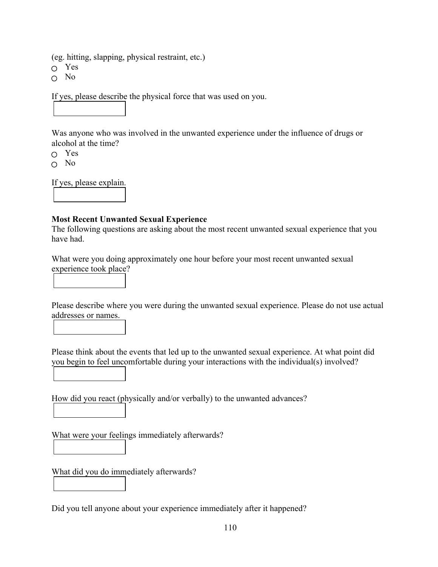(eg. hitting, slapping, physical restraint, etc.)

Yes

 $\cap$  No

If yes, please describe the physical force that was used on you.

Was anyone who was involved in the unwanted experience under the influence of drugs or alcohol at the time?

- Yes
- $\cap$  No

If yes, please explain.

# **Most Recent Unwanted Sexual Experience**

The following questions are asking about the most recent unwanted sexual experience that you have had.

What were you doing approximately one hour before your most recent unwanted sexual experience took place?

Please describe where you were during the unwanted sexual experience. Please do not use actual addresses or names.

Please think about the events that led up to the unwanted sexual experience. At what point did you begin to feel uncomfortable during your interactions with the individual(s) involved?

How did you react (physically and/or verbally) to the unwanted advances?

What were your feelings immediately afterwards?

What did you do immediately afterwards?

Did you tell anyone about your experience immediately after it happened?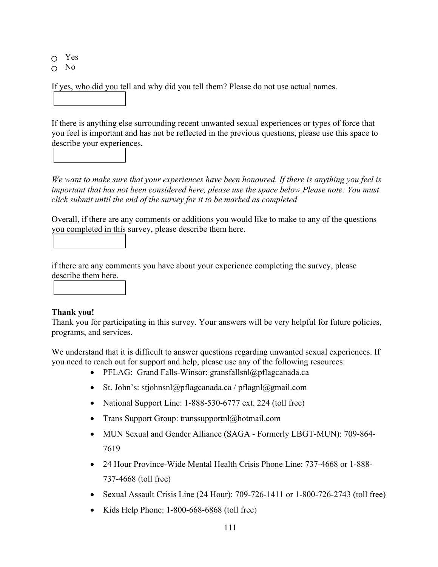Yes

 $\Omega$  No

If yes, who did you tell and why did you tell them? Please do not use actual names.

If there is anything else surrounding recent unwanted sexual experiences or types of force that you feel is important and has not be reflected in the previous questions, please use this space to describe your experiences.

*We want to make sure that your experiences have been honoured. If there is anything you feel is important that has not been considered here, please use the space below.Please note: You must click submit until the end of the survey for it to be marked as completed*

Overall, if there are any comments or additions you would like to make to any of the questions you completed in this survey, please describe them here.

if there are any comments you have about your experience completing the survey, please describe them here.

# **Thank you!**

Thank you for participating in this survey. Your answers will be very helpful for future policies, programs, and services.

We understand that it is difficult to answer questions regarding unwanted sexual experiences. If you need to reach out for support and help, please use any of the following resources:

- PFLAG: Grand Falls-Winsor: gransfallsnl@pflagcanada.ca
- St. John's: stjohnsnl@pflagcanada.ca / pflagnl@gmail.com
- National Support Line: 1-888-530-6777 ext. 224 (toll free)
- Trans Support Group: transsupportnl@hotmail.com
- MUN Sexual and Gender Alliance (SAGA Formerly LBGT-MUN): 709-864-7619
- 24 Hour Province-Wide Mental Health Crisis Phone Line: 737-4668 or 1-888-737-4668 (toll free)
- Sexual Assault Crisis Line (24 Hour): 709-726-1411 or 1-800-726-2743 (toll free)
- Kids Help Phone: 1-800-668-6868 (toll free)